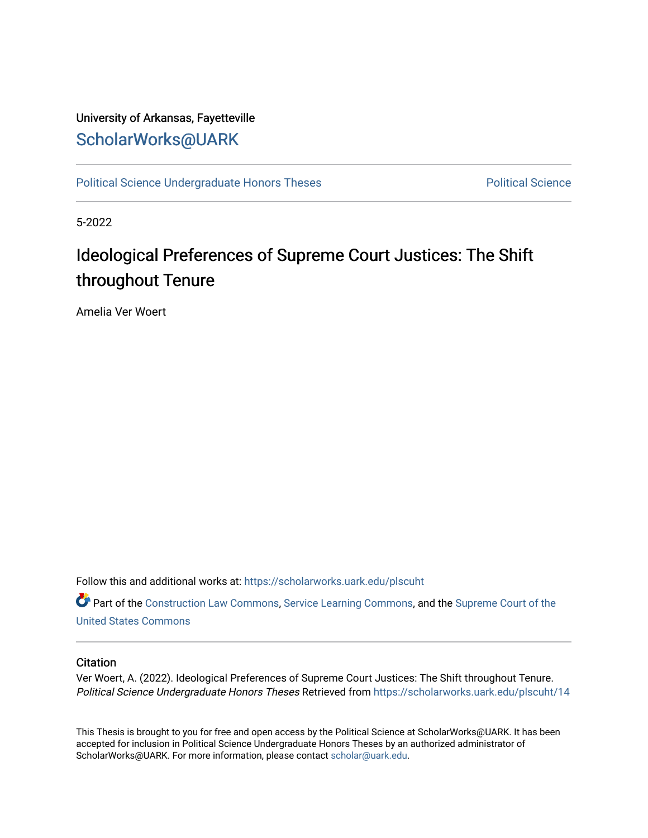# University of Arkansas, Fayetteville [ScholarWorks@UARK](https://scholarworks.uark.edu/)

[Political Science Undergraduate Honors Theses](https://scholarworks.uark.edu/plscuht) **Political Science** Political Science

5-2022

# Ideological Preferences of Supreme Court Justices: The Shift throughout Tenure

Amelia Ver Woert

Follow this and additional works at: [https://scholarworks.uark.edu/plscuht](https://scholarworks.uark.edu/plscuht?utm_source=scholarworks.uark.edu%2Fplscuht%2F14&utm_medium=PDF&utm_campaign=PDFCoverPages) 

Part of the [Construction Law Commons,](http://network.bepress.com/hgg/discipline/590?utm_source=scholarworks.uark.edu%2Fplscuht%2F14&utm_medium=PDF&utm_campaign=PDFCoverPages) [Service Learning Commons](http://network.bepress.com/hgg/discipline/1024?utm_source=scholarworks.uark.edu%2Fplscuht%2F14&utm_medium=PDF&utm_campaign=PDFCoverPages), and the [Supreme Court of the](http://network.bepress.com/hgg/discipline/1350?utm_source=scholarworks.uark.edu%2Fplscuht%2F14&utm_medium=PDF&utm_campaign=PDFCoverPages) [United States Commons](http://network.bepress.com/hgg/discipline/1350?utm_source=scholarworks.uark.edu%2Fplscuht%2F14&utm_medium=PDF&utm_campaign=PDFCoverPages) 

#### **Citation**

Ver Woert, A. (2022). Ideological Preferences of Supreme Court Justices: The Shift throughout Tenure. Political Science Undergraduate Honors Theses Retrieved from [https://scholarworks.uark.edu/plscuht/14](https://scholarworks.uark.edu/plscuht/14?utm_source=scholarworks.uark.edu%2Fplscuht%2F14&utm_medium=PDF&utm_campaign=PDFCoverPages) 

This Thesis is brought to you for free and open access by the Political Science at ScholarWorks@UARK. It has been accepted for inclusion in Political Science Undergraduate Honors Theses by an authorized administrator of ScholarWorks@UARK. For more information, please contact [scholar@uark.edu](mailto:scholar@uark.edu).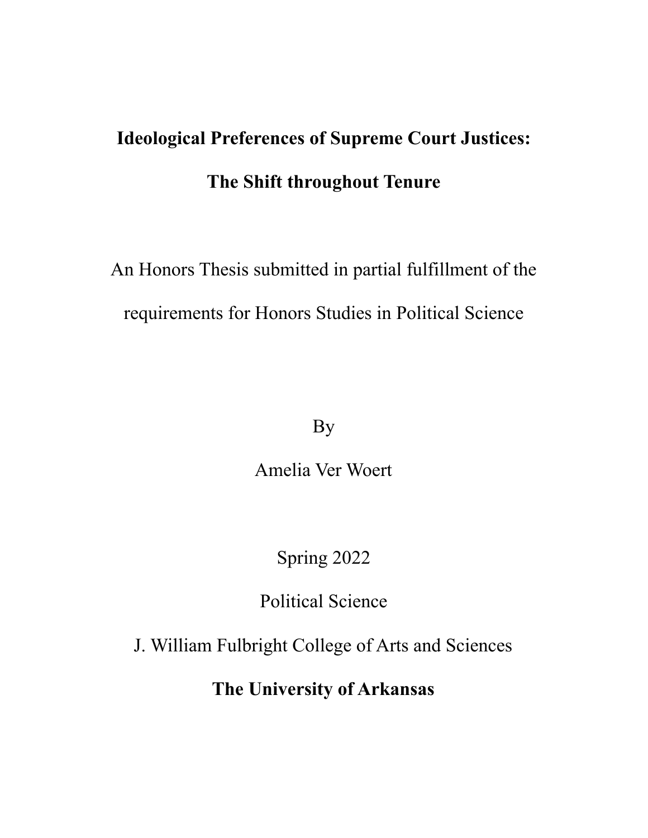# **Ideological Preferences of Supreme Court Justices: The Shift throughout Tenure**

An Honors Thesis submitted in partial fulfillment of the requirements for Honors Studies in Political Science

By

Amelia Ver Woert

Spring 2022

Political Science

J. William Fulbright College of Arts and Sciences

**The University of Arkansas**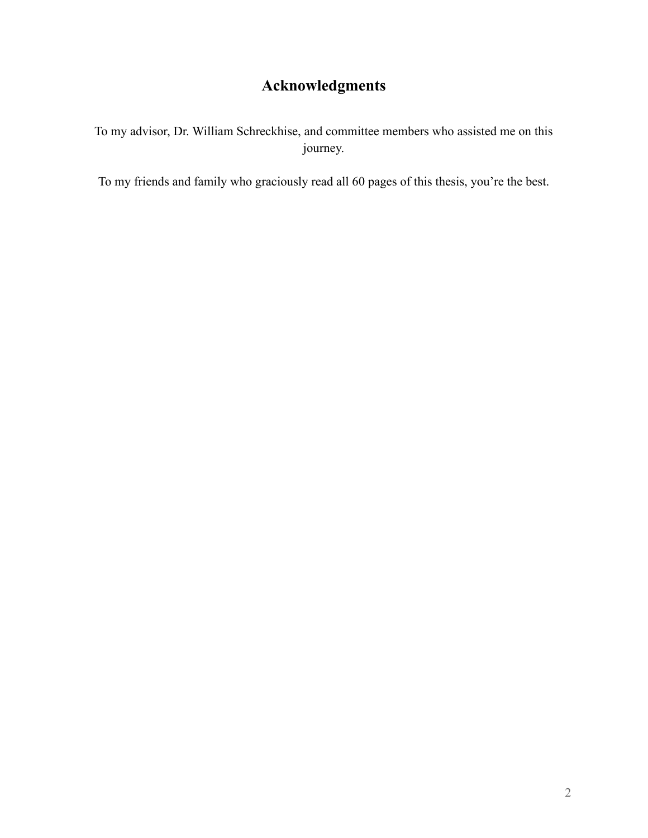# **Acknowledgments**

To my advisor, Dr. William Schreckhise, and committee members who assisted me on this journey.

To my friends and family who graciously read all 60 pages of this thesis, you're the best.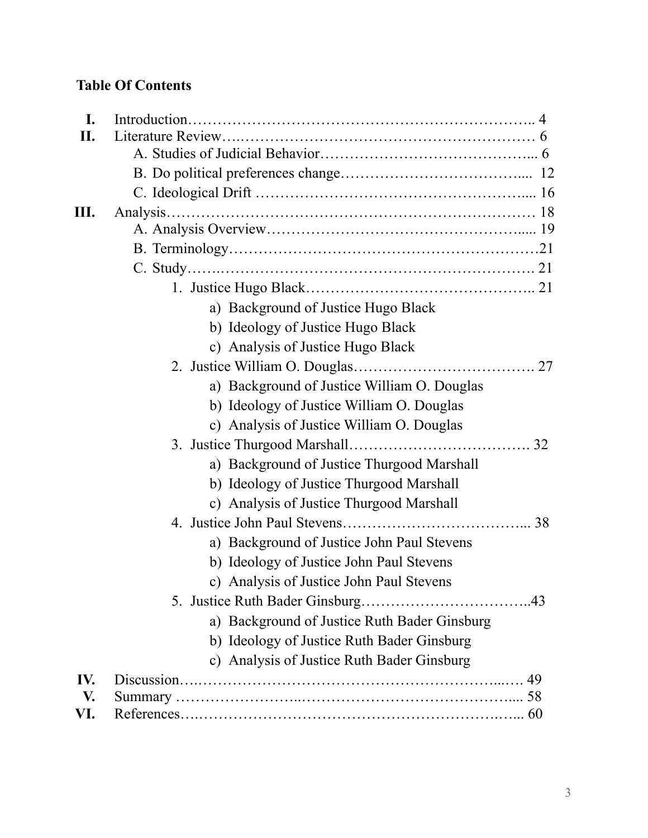# **Table Of Contents**

|  | a) Background of Justice Hugo Black          |  |
|--|----------------------------------------------|--|
|  | b) Ideology of Justice Hugo Black            |  |
|  | c) Analysis of Justice Hugo Black            |  |
|  |                                              |  |
|  | a) Background of Justice William O. Douglas  |  |
|  | b) Ideology of Justice William O. Douglas    |  |
|  | c) Analysis of Justice William O. Douglas    |  |
|  |                                              |  |
|  | a) Background of Justice Thurgood Marshall   |  |
|  | b) Ideology of Justice Thurgood Marshall     |  |
|  | c) Analysis of Justice Thurgood Marshall     |  |
|  |                                              |  |
|  | a) Background of Justice John Paul Stevens   |  |
|  | b) Ideology of Justice John Paul Stevens     |  |
|  | c) Analysis of Justice John Paul Stevens     |  |
|  |                                              |  |
|  | a) Background of Justice Ruth Bader Ginsburg |  |
|  | b) Ideology of Justice Ruth Bader Ginsburg   |  |
|  | c) Analysis of Justice Ruth Bader Ginsburg   |  |
|  |                                              |  |
|  |                                              |  |
|  |                                              |  |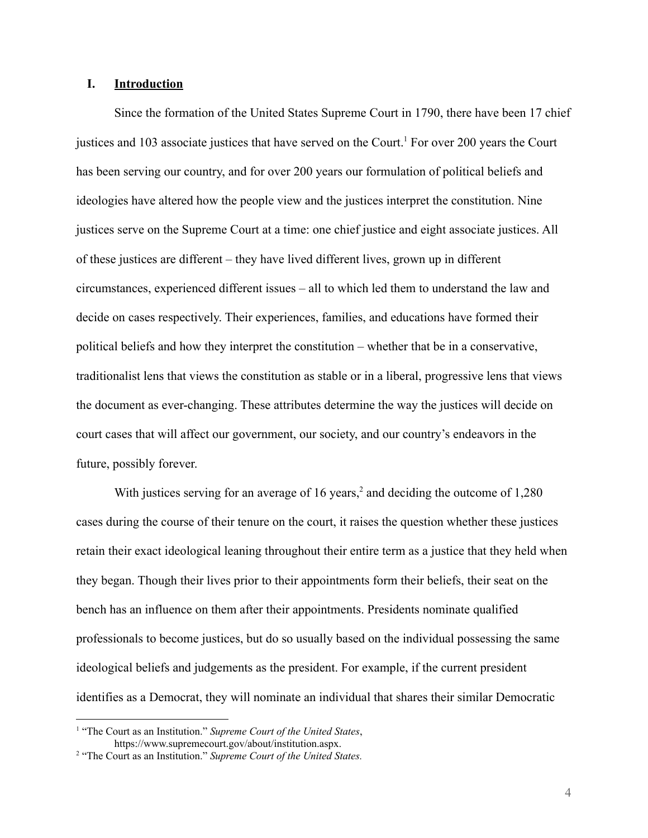# **I. Introduction**

Since the formation of the United States Supreme Court in 1790, there have been 17 chief justices and 103 associate justices that have served on the Court.<sup>1</sup> For over 200 years the Court has been serving our country, and for over 200 years our formulation of political beliefs and ideologies have altered how the people view and the justices interpret the constitution. Nine justices serve on the Supreme Court at a time: one chief justice and eight associate justices. All of these justices are different – they have lived different lives, grown up in different circumstances, experienced different issues – all to which led them to understand the law and decide on cases respectively. Their experiences, families, and educations have formed their political beliefs and how they interpret the constitution – whether that be in a conservative, traditionalist lens that views the constitution as stable or in a liberal, progressive lens that views the document as ever-changing. These attributes determine the way the justices will decide on court cases that will affect our government, our society, and our country's endeavors in the future, possibly forever.

With justices serving for an average of 16 years,<sup>2</sup> and deciding the outcome of  $1,280$ cases during the course of their tenure on the court, it raises the question whether these justices retain their exact ideological leaning throughout their entire term as a justice that they held when they began. Though their lives prior to their appointments form their beliefs, their seat on the bench has an influence on them after their appointments. Presidents nominate qualified professionals to become justices, but do so usually based on the individual possessing the same ideological beliefs and judgements as the president. For example, if the current president identifies as a Democrat, they will nominate an individual that shares their similar Democratic

<sup>1</sup> "The Court as an Institution." *Supreme Court of the United States*, https://www.supremecourt.gov/about/institution.aspx.

<sup>2</sup> "The Court as an Institution." *Supreme Court of the United States.*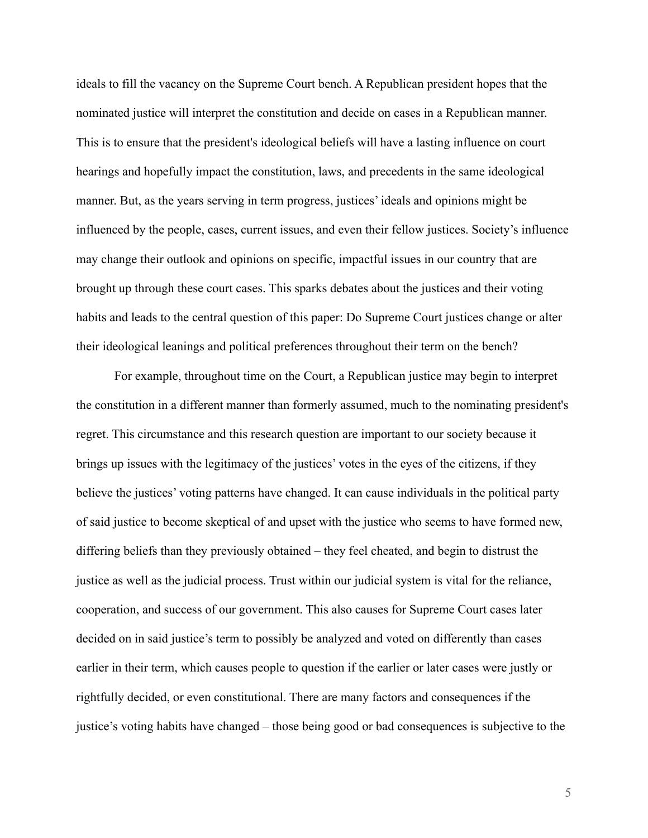ideals to fill the vacancy on the Supreme Court bench. A Republican president hopes that the nominated justice will interpret the constitution and decide on cases in a Republican manner. This is to ensure that the president's ideological beliefs will have a lasting influence on court hearings and hopefully impact the constitution, laws, and precedents in the same ideological manner. But, as the years serving in term progress, justices' ideals and opinions might be influenced by the people, cases, current issues, and even their fellow justices. Society's influence may change their outlook and opinions on specific, impactful issues in our country that are brought up through these court cases. This sparks debates about the justices and their voting habits and leads to the central question of this paper: Do Supreme Court justices change or alter their ideological leanings and political preferences throughout their term on the bench?

For example, throughout time on the Court, a Republican justice may begin to interpret the constitution in a different manner than formerly assumed, much to the nominating president's regret. This circumstance and this research question are important to our society because it brings up issues with the legitimacy of the justices' votes in the eyes of the citizens, if they believe the justices' voting patterns have changed. It can cause individuals in the political party of said justice to become skeptical of and upset with the justice who seems to have formed new, differing beliefs than they previously obtained – they feel cheated, and begin to distrust the justice as well as the judicial process. Trust within our judicial system is vital for the reliance, cooperation, and success of our government. This also causes for Supreme Court cases later decided on in said justice's term to possibly be analyzed and voted on differently than cases earlier in their term, which causes people to question if the earlier or later cases were justly or rightfully decided, or even constitutional. There are many factors and consequences if the justice's voting habits have changed – those being good or bad consequences is subjective to the

5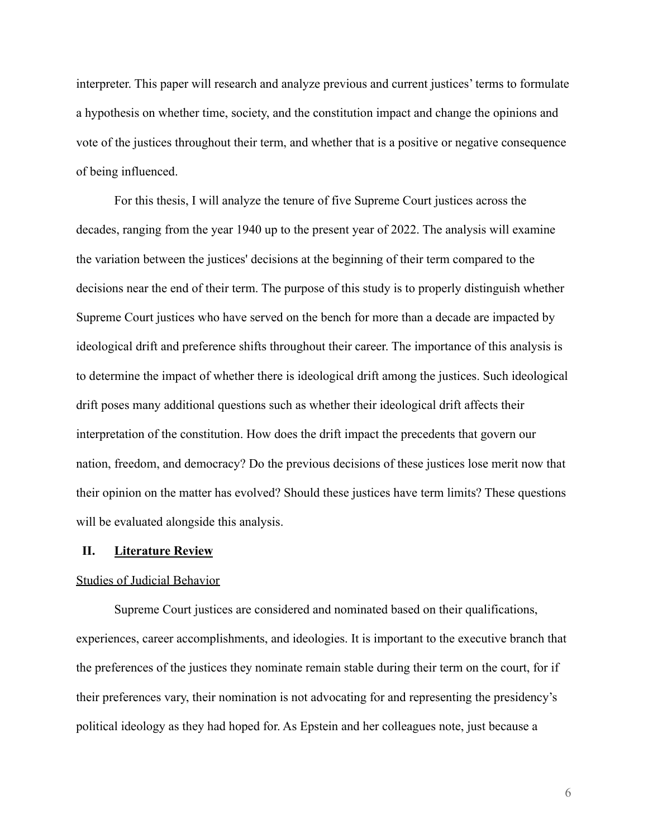interpreter. This paper will research and analyze previous and current justices' terms to formulate a hypothesis on whether time, society, and the constitution impact and change the opinions and vote of the justices throughout their term, and whether that is a positive or negative consequence of being influenced.

For this thesis, I will analyze the tenure of five Supreme Court justices across the decades, ranging from the year 1940 up to the present year of 2022. The analysis will examine the variation between the justices' decisions at the beginning of their term compared to the decisions near the end of their term. The purpose of this study is to properly distinguish whether Supreme Court justices who have served on the bench for more than a decade are impacted by ideological drift and preference shifts throughout their career. The importance of this analysis is to determine the impact of whether there is ideological drift among the justices. Such ideological drift poses many additional questions such as whether their ideological drift affects their interpretation of the constitution. How does the drift impact the precedents that govern our nation, freedom, and democracy? Do the previous decisions of these justices lose merit now that their opinion on the matter has evolved? Should these justices have term limits? These questions will be evaluated alongside this analysis.

## **II. Literature Review**

#### Studies of Judicial Behavior

Supreme Court justices are considered and nominated based on their qualifications, experiences, career accomplishments, and ideologies. It is important to the executive branch that the preferences of the justices they nominate remain stable during their term on the court, for if their preferences vary, their nomination is not advocating for and representing the presidency's political ideology as they had hoped for. As Epstein and her colleagues note, just because a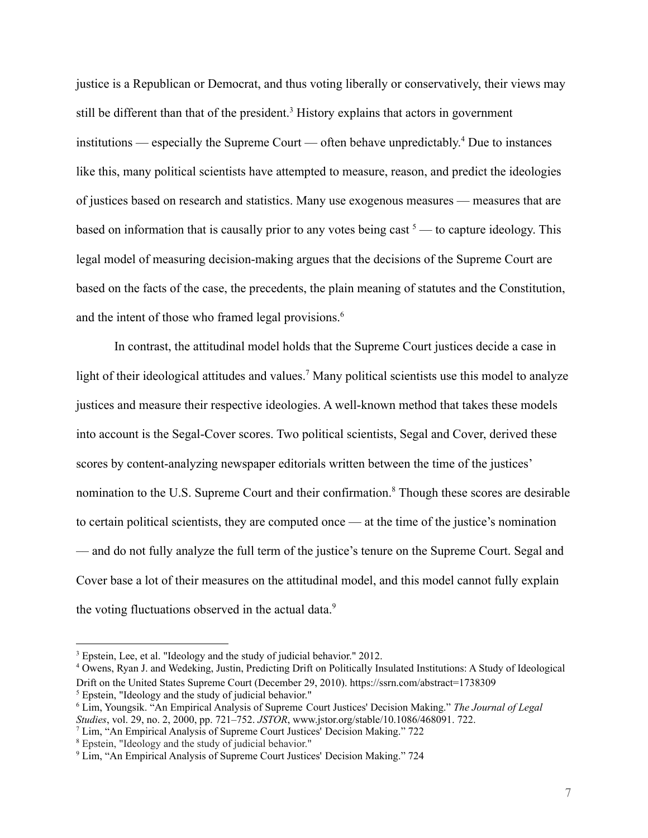justice is a Republican or Democrat, and thus voting liberally or conservatively, their views may still be different than that of the president.<sup>3</sup> History explains that actors in government institutions — especially the Supreme Court — often behave unpredictably. <sup>4</sup> Due to instances like this, many political scientists have attempted to measure, reason, and predict the ideologies of justices based on research and statistics. Many use exogenous measures — measures that are based on information that is causally prior to any votes being cast  $5$  — to capture ideology. This legal model of measuring decision-making argues that the decisions of the Supreme Court are based on the facts of the case, the precedents, the plain meaning of statutes and the Constitution, and the intent of those who framed legal provisions.<sup>6</sup>

In contrast, the attitudinal model holds that the Supreme Court justices decide a case in light of their ideological attitudes and values.<sup>7</sup> Many political scientists use this model to analyze justices and measure their respective ideologies. A well-known method that takes these models into account is the Segal-Cover scores. Two political scientists, Segal and Cover, derived these scores by content-analyzing newspaper editorials written between the time of the justices' nomination to the U.S. Supreme Court and their confirmation.<sup>8</sup> Though these scores are desirable to certain political scientists, they are computed once — at the time of the justice's nomination –– and do not fully analyze the full term of the justice's tenure on the Supreme Court. Segal and Cover base a lot of their measures on the attitudinal model, and this model cannot fully explain the voting fluctuations observed in the actual data.<sup>9</sup>

<sup>&</sup>lt;sup>3</sup> Epstein, Lee, et al. "Ideology and the study of judicial behavior." 2012.

<sup>5</sup> Epstein, "Ideology and the study of judicial behavior." <sup>4</sup> Owens, Ryan J. and Wedeking, Justin, Predicting Drift on Politically Insulated Institutions: A Study of Ideological Drift on the United States Supreme Court (December 29, 2010). <https://ssrn.com/abstract=1738309>

<sup>6</sup> Lim, Youngsik. "An Empirical Analysis of Supreme Court Justices' Decision Making." *The Journal of Legal Studies*, vol. 29, no. 2, 2000, pp. 721–752. *JSTOR*, www.jstor.org/stable/10.1086/468091. 722.

<sup>7</sup> Lim, "An Empirical Analysis of Supreme Court Justices' Decision Making." 722

<sup>8</sup> Epstein, "Ideology and the study of judicial behavior."

<sup>9</sup> Lim, "An Empirical Analysis of Supreme Court Justices' Decision Making." 724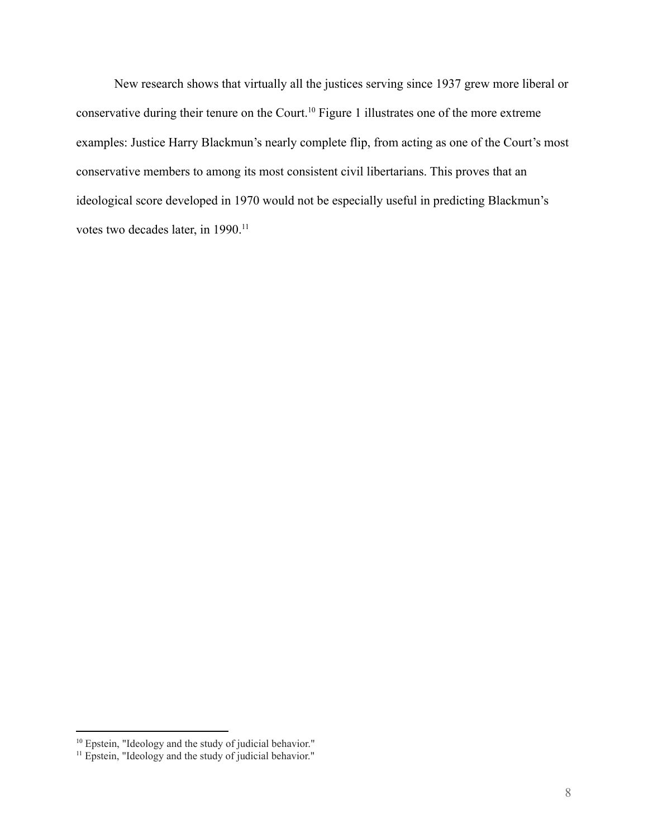New research shows that virtually all the justices serving since 1937 grew more liberal or conservative during their tenure on the Court.<sup>10</sup> Figure 1 illustrates one of the more extreme examples: Justice Harry Blackmun's nearly complete flip, from acting as one of the Court's most conservative members to among its most consistent civil libertarians. This proves that an ideological score developed in 1970 would not be especially useful in predicting Blackmun's votes two decades later, in 1990.<sup>11</sup>

<sup>&</sup>lt;sup>10</sup> Epstein, "Ideology and the study of judicial behavior."

<sup>&</sup>lt;sup>11</sup> Epstein, "Ideology and the study of judicial behavior."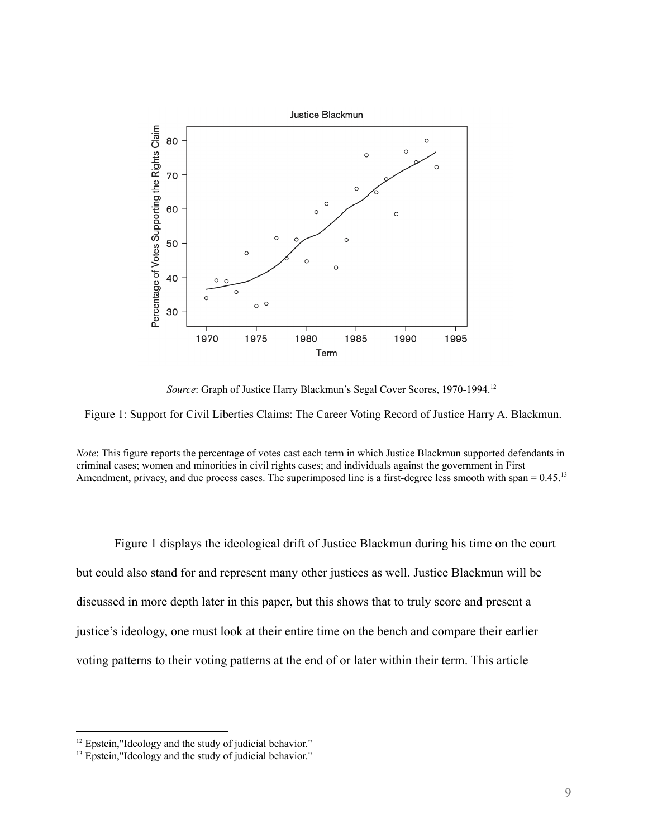

*Source*: Graph of Justice Harry Blackmun's Segal Cover Scores, 1970-1994. 12



*Note*: This figure reports the percentage of votes cast each term in which Justice Blackmun supported defendants in criminal cases; women and minorities in civil rights cases; and individuals against the government in First Amendment, privacy, and due process cases. The superimposed line is a first-degree less smooth with span = 0.45.<sup>13</sup>

Figure 1 displays the ideological drift of Justice Blackmun during his time on the court but could also stand for and represent many other justices as well. Justice Blackmun will be discussed in more depth later in this paper, but this shows that to truly score and present a justice's ideology, one must look at their entire time on the bench and compare their earlier voting patterns to their voting patterns at the end of or later within their term. This article

<sup>&</sup>lt;sup>12</sup> Epstein,"Ideology and the study of judicial behavior."

<sup>&</sup>lt;sup>13</sup> Epstein,"Ideology and the study of judicial behavior."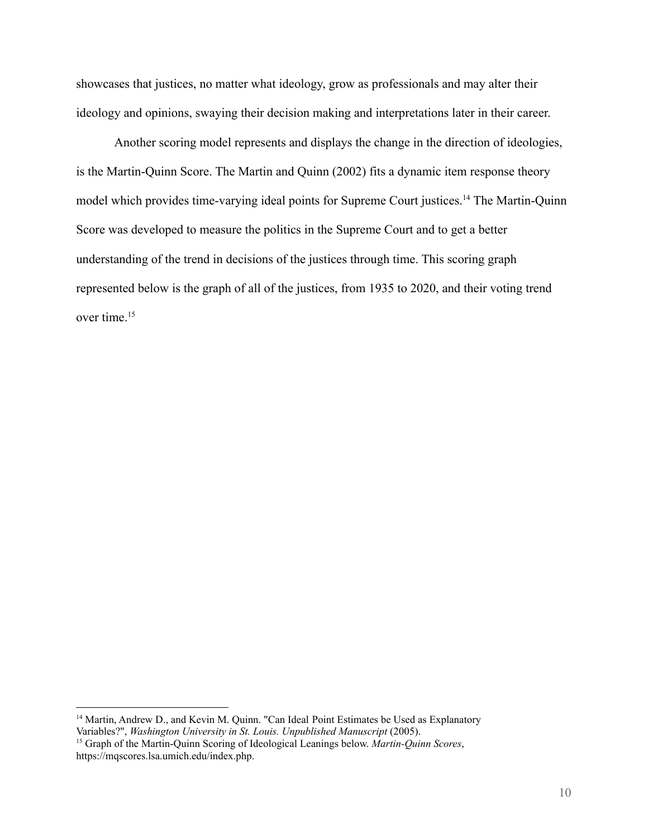showcases that justices, no matter what ideology, grow as professionals and may alter their ideology and opinions, swaying their decision making and interpretations later in their career.

Another scoring model represents and displays the change in the direction of ideologies, is the Martin-Quinn Score. The Martin and Quinn (2002) fits a dynamic item response theory model which provides time-varying ideal points for Supreme Court justices.<sup>14</sup> The Martin-Quinn Score was developed to measure the politics in the Supreme Court and to get a better understanding of the trend in decisions of the justices through time. This scoring graph represented below is the graph of all of the justices, from 1935 to 2020, and their voting trend over time.<sup>15</sup>

<sup>&</sup>lt;sup>14</sup> Martin, Andrew D., and Kevin M. Quinn. "Can Ideal Point Estimates be Used as Explanatory Variables?", *Washington University in St. Louis. Unpublished Manuscript* (2005).

<sup>15</sup> Graph of the Martin-Quinn Scoring of Ideological Leanings below. *Martin-Quinn Scores*, https://mqscores.lsa.umich.edu/index.php.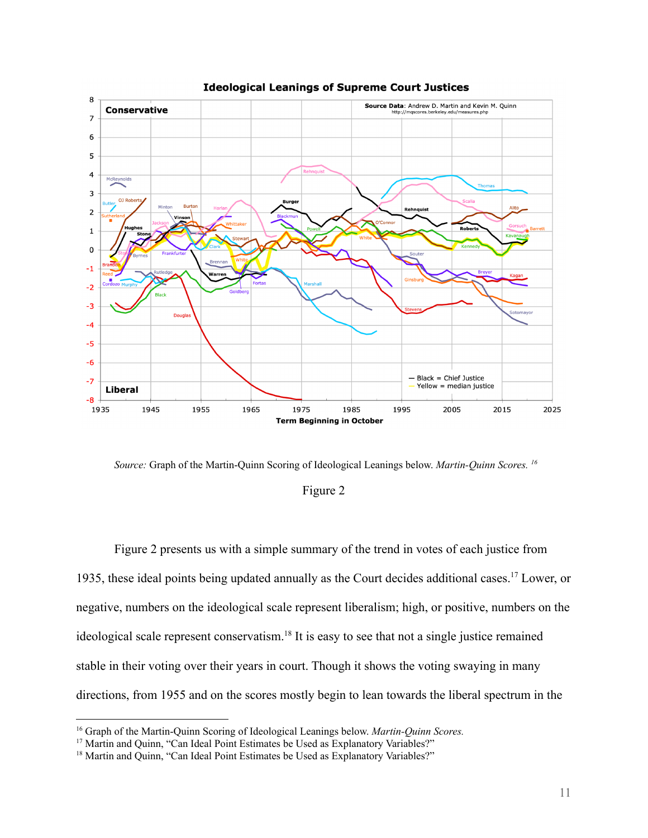

**Ideological Leanings of Supreme Court Justices** 

*Source:* Graph of the Martin-Quinn Scoring of Ideological Leanings below. *Martin-Quinn Scores. 16*

# Figure 2

Figure 2 presents us with a simple summary of the trend in votes of each justice from 1935, these ideal points being updated annually as the Court decides additional cases.<sup>17</sup> Lower, or negative, numbers on the ideological scale represent liberalism; high, or positive, numbers on the ideological scale represent conservatism.<sup>18</sup> It is easy to see that not a single justice remained stable in their voting over their years in court. Though it shows the voting swaying in many directions, from 1955 and on the scores mostly begin to lean towards the liberal spectrum in the

<sup>16</sup> Graph of the Martin-Quinn Scoring of Ideological Leanings below. *Martin-Quinn Scores.*

<sup>&</sup>lt;sup>17</sup> Martin and Quinn, "Can Ideal Point Estimates be Used as Explanatory Variables?"

<sup>&</sup>lt;sup>18</sup> Martin and Quinn, "Can Ideal Point Estimates be Used as Explanatory Variables?"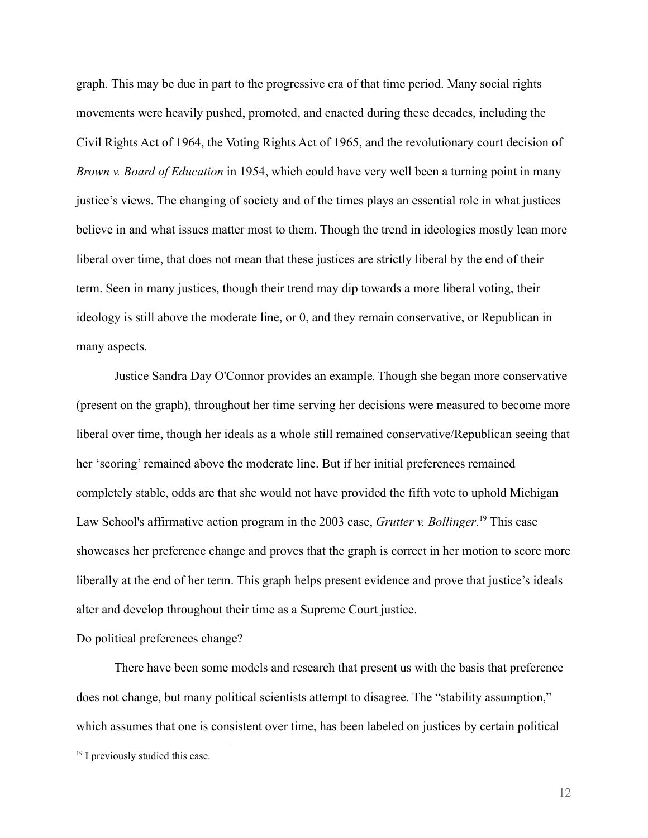graph. This may be due in part to the progressive era of that time period. Many social rights movements were heavily pushed, promoted, and enacted during these decades, including the Civil Rights Act of 1964, the Voting Rights Act of 1965, and the revolutionary court decision of *Brown v. Board of Education* in 1954, which could have very well been a turning point in many justice's views. The changing of society and of the times plays an essential role in what justices believe in and what issues matter most to them. Though the trend in ideologies mostly lean more liberal over time, that does not mean that these justices are strictly liberal by the end of their term. Seen in many justices, though their trend may dip towards a more liberal voting, their ideology is still above the moderate line, or 0, and they remain conservative, or Republican in many aspects.

Justice Sandra Day O'Connor provides an example*.*Though she began more conservative (present on the graph), throughout her time serving her decisions were measured to become more liberal over time, though her ideals as a whole still remained conservative/Republican seeing that her 'scoring' remained above the moderate line. But if her initial preferences remained completely stable, odds are that she would not have provided the fifth vote to uphold Michigan Law School's affirmative action program in the 2003 case, *Grutter v. Bollinger*. <sup>19</sup> This case showcases her preference change and proves that the graph is correct in her motion to score more liberally at the end of her term. This graph helps present evidence and prove that justice's ideals alter and develop throughout their time as a Supreme Court justice.

# Do political preferences change?

There have been some models and research that present us with the basis that preference does not change, but many political scientists attempt to disagree. The "stability assumption," which assumes that one is consistent over time, has been labeled on justices by certain political

<sup>&</sup>lt;sup>19</sup> I previously studied this case.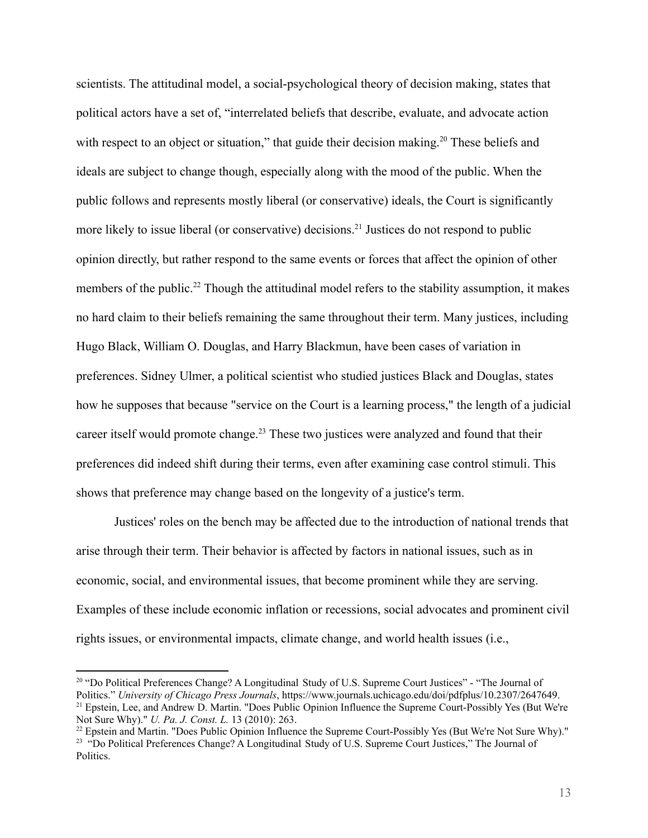scientists. The attitudinal model, a social-psychological theory of decision making, states that political actors have a set of, "interrelated beliefs that describe, evaluate, and advocate action with respect to an object or situation," that guide their decision making.<sup>20</sup> These beliefs and ideals are subject to change though, especially along with the mood of the public. When the public follows and represents mostly liberal (or conservative) ideals, the Court is significantly more likely to issue liberal (or conservative) decisions.<sup>21</sup> Justices do not respond to public opinion directly, but rather respond to the same events or forces that affect the opinion of other members of the public.<sup>22</sup> Though the attitudinal model refers to the stability assumption, it makes no hard claim to their beliefs remaining the same throughout their term. Many justices, including Hugo Black, William O. Douglas, and Harry Blackmun, have been cases of variation in preferences. Sidney Ulmer, a political scientist who studied justices Black and Douglas, states how he supposes that because "service on the Court is a learning process," the length of a judicial career itself would promote change.<sup>23</sup> These two justices were analyzed and found that their preferences did indeed shift during their terms, even after examining case control stimuli. This shows that preference may change based on the longevity of a justice's term.

Justices' roles on the bench may be affected due to the introduction of national trends that arise through their term. Their behavior is affected by factors in national issues, such as in economic, social, and environmental issues, that become prominent while they are serving. Examples of these include economic inflation or recessions, social advocates and prominent civil rights issues, or environmental impacts, climate change, and world health issues (i.e.,

<sup>&</sup>lt;sup>21</sup> Epstein, Lee, and Andrew D. Martin. "Does Public Opinion Influence the Supreme Court-Possibly Yes (But We're Not Sure Why)." *U. Pa. J. Const. L.* 13 (2010): 263. <sup>20</sup> "Do Political Preferences Change? A Longitudinal Study of U.S. Supreme Court Justices" - "The Journal of Politics." *University of Chicago Press Journals*, https://www.journals.uchicago.edu/doi/pdfplus/10.2307/2647649.

<sup>&</sup>lt;sup>23</sup> "Do Political Preferences Change? A Longitudinal Study of U.S. Supreme Court Justices," The Journal of Politics. <sup>22</sup> Epstein and Martin. "Does Public Opinion Influence the Supreme Court-Possibly Yes (But We're Not Sure Why)."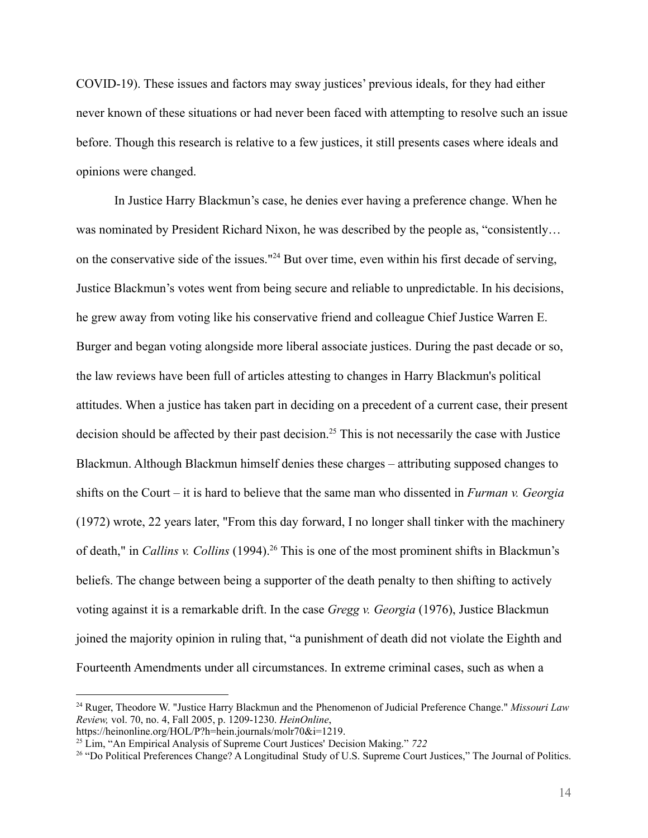COVID-19). These issues and factors may sway justices' previous ideals, for they had either never known of these situations or had never been faced with attempting to resolve such an issue before. Though this research is relative to a few justices, it still presents cases where ideals and opinions were changed.

In Justice Harry Blackmun's case, he denies ever having a preference change. When he was nominated by President Richard Nixon, he was described by the people as, "consistently... on the conservative side of the issues."<sup>24</sup> But over time, even within his first decade of serving, Justice Blackmun's votes went from being secure and reliable to unpredictable. In his decisions, he grew away from voting like his conservative friend and colleague Chief Justice Warren E. Burger and began voting alongside more liberal associate justices. During the past decade or so, the law reviews have been full of articles attesting to changes in Harry Blackmun's political attitudes. When a justice has taken part in deciding on a precedent of a current case, their present decision should be affected by their past decision.<sup>25</sup> This is not necessarily the case with Justice Blackmun. Although Blackmun himself denies these charges – attributing supposed changes to shifts on the Court – it is hard to believe that the same man who dissented in *Furman v. Georgia* (1972) wrote, 22 years later, "From this day forward, I no longer shall tinker with the machinery of death," in *Callins v. Collins* (1994).<sup>26</sup> This is one of the most prominent shifts in Blackmun's beliefs. The change between being a supporter of the death penalty to then shifting to actively voting against it is a remarkable drift. In the case *Gregg v. Georgia* (1976), Justice Blackmun joined the majority opinion in ruling that, "a punishment of death did not violate the Eighth and Fourteenth Amendments under all circumstances. In extreme criminal cases, such as when a

<sup>24</sup> Ruger, Theodore W. "Justice Harry Blackmun and the Phenomenon of Judicial Preference Change." *Missouri Law Review,* vol. 70, no. 4, Fall 2005, p. 1209-1230. *HeinOnline*,

https://heinonline.org/HOL/P?h=hein.journals/molr70&i=1219.

<sup>25</sup> Lim, "An Empirical Analysis of Supreme Court Justices' Decision Making." *722*

<sup>&</sup>lt;sup>26</sup> "Do Political Preferences Change? A Longitudinal Study of U.S. Supreme Court Justices," The Journal of Politics.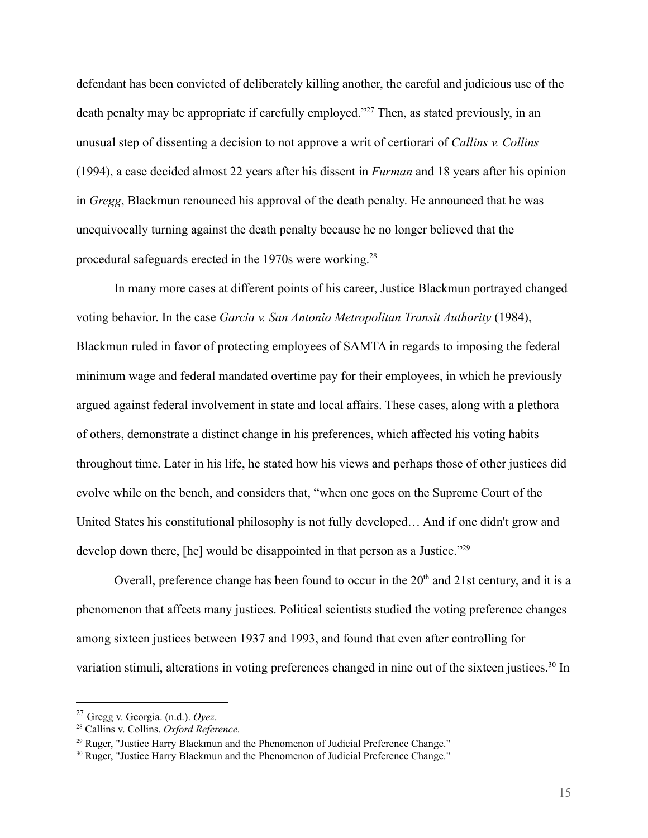defendant has been convicted of deliberately killing another, the careful and judicious use of the death penalty may be appropriate if carefully employed."<sup>27</sup> Then, as stated previously, in an unusual step of dissenting a decision to not approve a writ of certiorari of *Callins v. Collins* (1994), a case decided almost 22 years after his dissent in *Furman* and 18 years after his opinion in *Gregg*, Blackmun renounced his approval of the death penalty. He announced that he was unequivocally turning against the death penalty because he no longer believed that the procedural safeguards erected in the 1970s were working.<sup>28</sup>

In many more cases at different points of his career, Justice Blackmun portrayed changed voting behavior. In the case *Garcia v. San Antonio Metropolitan Transit Authority* (1984), Blackmun ruled in favor of protecting employees of SAMTA in regards to imposing the federal minimum wage and federal mandated overtime pay for their employees, in which he previously argued against federal involvement in state and local affairs. These cases, along with a plethora of others, demonstrate a distinct change in his preferences, which affected his voting habits throughout time. Later in his life, he stated how his views and perhaps those of other justices did evolve while on the bench, and considers that, "when one goes on the Supreme Court of the United States his constitutional philosophy is not fully developed… And if one didn't grow and develop down there, [he] would be disappointed in that person as a Justice."<sup>29</sup>

Overall, preference change has been found to occur in the  $20<sup>th</sup>$  and  $21$ st century, and it is a phenomenon that affects many justices. Political scientists studied the voting preference changes among sixteen justices between 1937 and 1993, and found that even after controlling for variation stimuli, alterations in voting preferences changed in nine out of the sixteen justices.<sup>30</sup> In

<sup>27</sup> Gregg v. Georgia. (n.d.). *Oyez*.

<sup>28</sup> Callins v. Collins. *Oxford Reference.*

<sup>&</sup>lt;sup>29</sup> Ruger, "Justice Harry Blackmun and the Phenomenon of Judicial Preference Change."

<sup>&</sup>lt;sup>30</sup> Ruger, "Justice Harry Blackmun and the Phenomenon of Judicial Preference Change."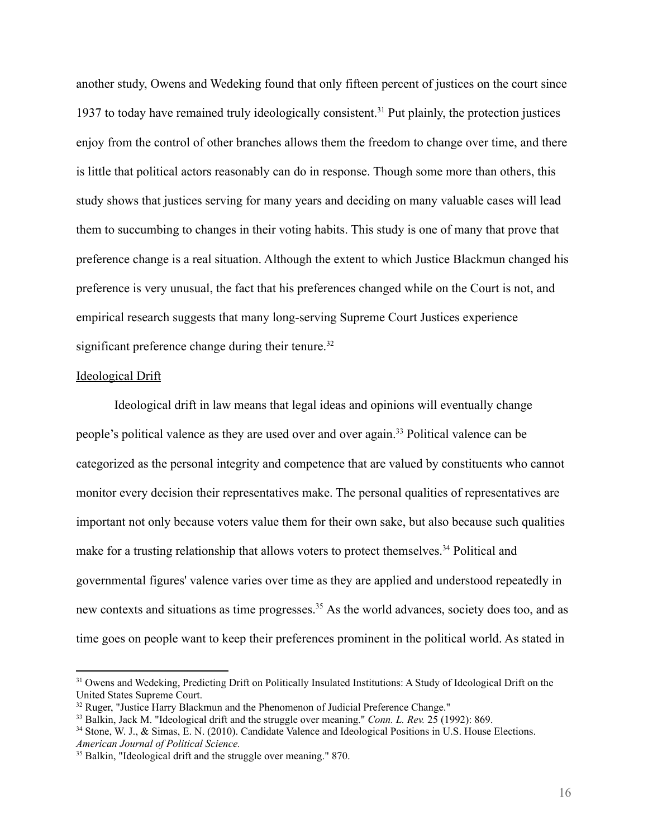another study, Owens and Wedeking found that only fifteen percent of justices on the court since 1937 to today have remained truly ideologically consistent.<sup>31</sup> Put plainly, the protection justices enjoy from the control of other branches allows them the freedom to change over time, and there is little that political actors reasonably can do in response. Though some more than others, this study shows that justices serving for many years and deciding on many valuable cases will lead them to succumbing to changes in their voting habits. This study is one of many that prove that preference change is a real situation. Although the extent to which Justice Blackmun changed his preference is very unusual, the fact that his preferences changed while on the Court is not, and empirical research suggests that many long-serving Supreme Court Justices experience significant preference change during their tenure.<sup>32</sup>

#### Ideological Drift

Ideological drift in law means that legal ideas and opinions will eventually change people's political valence as they are used over and over again.<sup>33</sup> Political valence can be categorized as the personal integrity and competence that are valued by constituents who cannot monitor every decision their representatives make. The personal qualities of representatives are important not only because voters value them for their own sake, but also because such qualities make for a trusting relationship that allows voters to protect themselves.<sup>34</sup> Political and governmental figures' valence varies over time as they are applied and understood repeatedly in new contexts and situations as time progresses.<sup>35</sup> As the world advances, society does too, and as time goes on people want to keep their preferences prominent in the political world. As stated in

<sup>&</sup>lt;sup>31</sup> Owens and Wedeking, Predicting Drift on Politically Insulated Institutions: A Study of Ideological Drift on the United States Supreme Court.

<sup>&</sup>lt;sup>32</sup> Ruger, "Justice Harry Blackmun and the Phenomenon of Judicial Preference Change."

<sup>33</sup> Balkin, Jack M. "Ideological drift and the struggle over meaning." *Conn. L. Rev.* 25 (1992): 869.

<sup>&</sup>lt;sup>34</sup> Stone, W. J., & Simas, E. N. (2010). Candidate Valence and Ideological Positions in U.S. House Elections. *American Journal of Political Science.*

<sup>&</sup>lt;sup>35</sup> Balkin, "Ideological drift and the struggle over meaning." 870.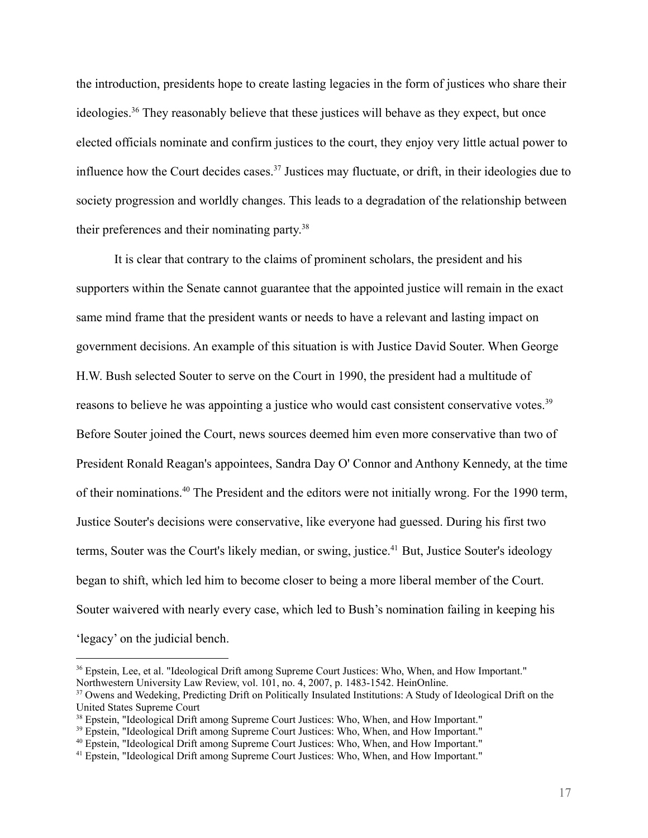the introduction, presidents hope to create lasting legacies in the form of justices who share their ideologies.<sup>36</sup> They reasonably believe that these justices will behave as they expect, but once elected officials nominate and confirm justices to the court, they enjoy very little actual power to influence how the Court decides cases.<sup>37</sup> Justices may fluctuate, or drift, in their ideologies due to society progression and worldly changes. This leads to a degradation of the relationship between their preferences and their nominating party. 38

It is clear that contrary to the claims of prominent scholars, the president and his supporters within the Senate cannot guarantee that the appointed justice will remain in the exact same mind frame that the president wants or needs to have a relevant and lasting impact on government decisions. An example of this situation is with Justice David Souter. When George H.W. Bush selected Souter to serve on the Court in 1990, the president had a multitude of reasons to believe he was appointing a justice who would cast consistent conservative votes.<sup>39</sup> Before Souter joined the Court, news sources deemed him even more conservative than two of President Ronald Reagan's appointees, Sandra Day O' Connor and Anthony Kennedy, at the time of their nominations.<sup>40</sup> The President and the editors were not initially wrong. For the 1990 term, Justice Souter's decisions were conservative, like everyone had guessed. During his first two terms, Souter was the Court's likely median, or swing, justice.<sup>41</sup> But, Justice Souter's ideology began to shift, which led him to become closer to being a more liberal member of the Court. Souter waivered with nearly every case, which led to Bush's nomination failing in keeping his 'legacy' on the judicial bench.

<sup>&</sup>lt;sup>36</sup> Epstein, Lee, et al. "Ideological Drift among Supreme Court Justices: Who, When, and How Important." Northwestern University Law Review, vol. 101, no. 4, 2007, p. 1483-1542. HeinOnline.

<sup>&</sup>lt;sup>37</sup> Owens and Wedeking, Predicting Drift on Politically Insulated Institutions: A Study of Ideological Drift on the United States Supreme Court

<sup>38</sup> Epstein, "Ideological Drift among Supreme Court Justices: Who, When, and How Important."

<sup>&</sup>lt;sup>39</sup> Epstein, "Ideological Drift among Supreme Court Justices: Who, When, and How Important."

<sup>40</sup> Epstein, "Ideological Drift among Supreme Court Justices: Who, When, and How Important."

<sup>41</sup> Epstein, "Ideological Drift among Supreme Court Justices: Who, When, and How Important."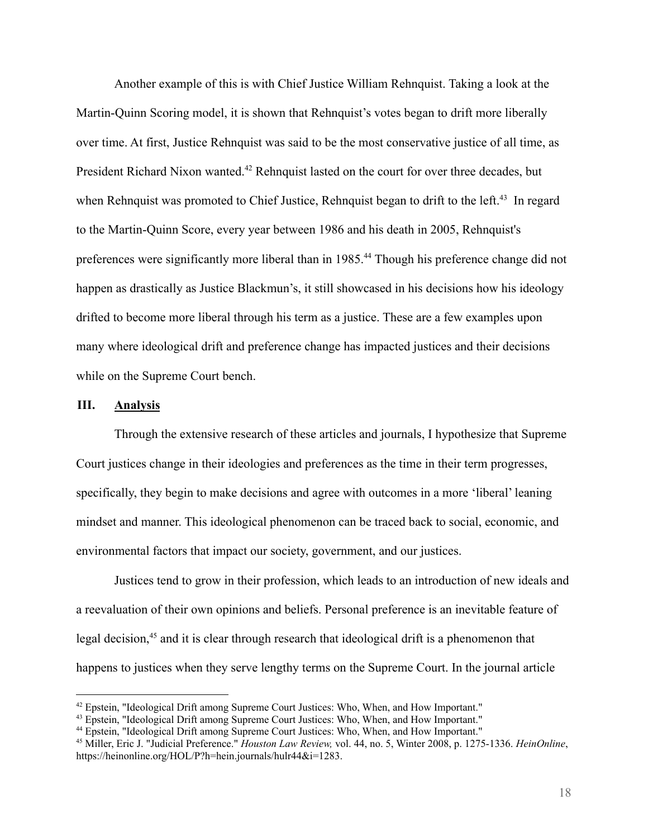Another example of this is with Chief Justice William Rehnquist. Taking a look at the Martin-Quinn Scoring model, it is shown that Rehnquist's votes began to drift more liberally over time. At first, Justice Rehnquist was said to be the most conservative justice of all time, as President Richard Nixon wanted.<sup>42</sup> Rehnquist lasted on the court for over three decades, but when Rehnquist was promoted to Chief Justice, Rehnquist began to drift to the left.<sup>43</sup> In regard to the Martin-Quinn Score, every year between 1986 and his death in 2005, Rehnquist's preferences were significantly more liberal than in 1985.<sup>44</sup> Though his preference change did not happen as drastically as Justice Blackmun's, it still showcased in his decisions how his ideology drifted to become more liberal through his term as a justice. These are a few examples upon many where ideological drift and preference change has impacted justices and their decisions while on the Supreme Court bench.

# **III. Analysis**

Through the extensive research of these articles and journals, I hypothesize that Supreme Court justices change in their ideologies and preferences as the time in their term progresses, specifically, they begin to make decisions and agree with outcomes in a more 'liberal' leaning mindset and manner. This ideological phenomenon can be traced back to social, economic, and environmental factors that impact our society, government, and our justices.

Justices tend to grow in their profession, which leads to an introduction of new ideals and a reevaluation of their own opinions and beliefs. Personal preference is an inevitable feature of legal decision,<sup>45</sup> and it is clear through research that ideological drift is a phenomenon that happens to justices when they serve lengthy terms on the Supreme Court. In the journal article

 $42$  Epstein, "Ideological Drift among Supreme Court Justices: Who, When, and How Important."

<sup>43</sup> Epstein, "Ideological Drift among Supreme Court Justices: Who, When, and How Important."

<sup>44</sup> Epstein, "Ideological Drift among Supreme Court Justices: Who, When, and How Important."

<sup>45</sup> Miller, Eric J. "Judicial Preference." *Houston Law Review,* vol. 44, no. 5, Winter 2008, p. 1275-1336. *HeinOnline*, https://heinonline.org/HOL/P?h=hein.journals/hulr44&i=1283.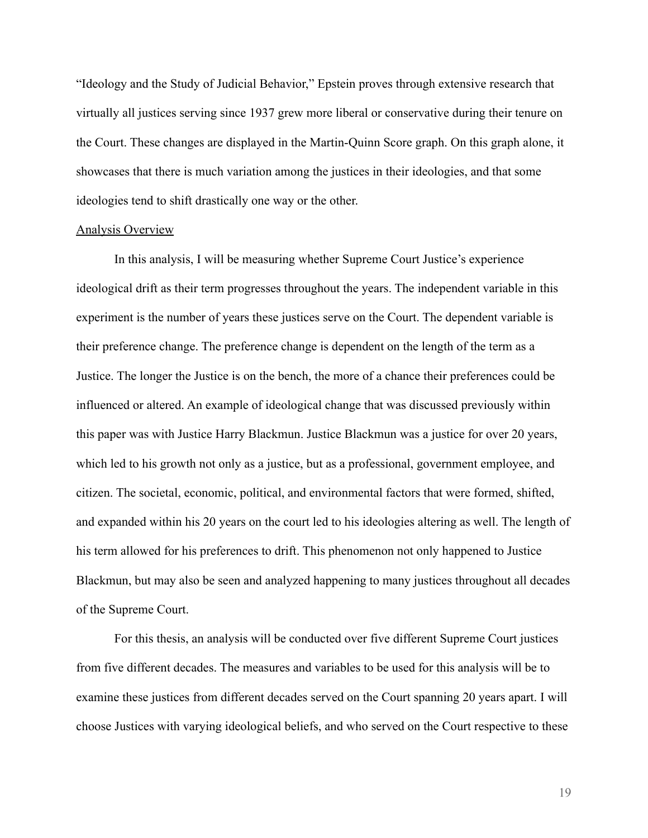"Ideology and the Study of Judicial Behavior," Epstein proves through extensive research that virtually all justices serving since 1937 grew more liberal or conservative during their tenure on the Court. These changes are displayed in the Martin-Quinn Score graph. On this graph alone, it showcases that there is much variation among the justices in their ideologies, and that some ideologies tend to shift drastically one way or the other.

#### Analysis Overview

In this analysis, I will be measuring whether Supreme Court Justice's experience ideological drift as their term progresses throughout the years. The independent variable in this experiment is the number of years these justices serve on the Court. The dependent variable is their preference change. The preference change is dependent on the length of the term as a Justice. The longer the Justice is on the bench, the more of a chance their preferences could be influenced or altered. An example of ideological change that was discussed previously within this paper was with Justice Harry Blackmun. Justice Blackmun was a justice for over 20 years, which led to his growth not only as a justice, but as a professional, government employee, and citizen. The societal, economic, political, and environmental factors that were formed, shifted, and expanded within his 20 years on the court led to his ideologies altering as well. The length of his term allowed for his preferences to drift. This phenomenon not only happened to Justice Blackmun, but may also be seen and analyzed happening to many justices throughout all decades of the Supreme Court.

For this thesis, an analysis will be conducted over five different Supreme Court justices from five different decades. The measures and variables to be used for this analysis will be to examine these justices from different decades served on the Court spanning 20 years apart. I will choose Justices with varying ideological beliefs, and who served on the Court respective to these

19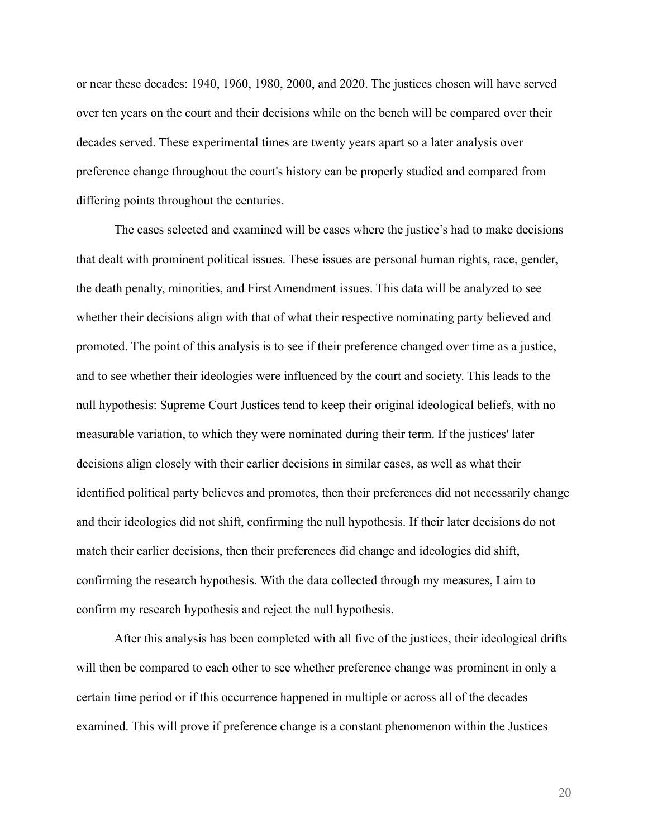or near these decades: 1940, 1960, 1980, 2000, and 2020. The justices chosen will have served over ten years on the court and their decisions while on the bench will be compared over their decades served. These experimental times are twenty years apart so a later analysis over preference change throughout the court's history can be properly studied and compared from differing points throughout the centuries.

The cases selected and examined will be cases where the justice's had to make decisions that dealt with prominent political issues. These issues are personal human rights, race, gender, the death penalty, minorities, and First Amendment issues. This data will be analyzed to see whether their decisions align with that of what their respective nominating party believed and promoted. The point of this analysis is to see if their preference changed over time as a justice, and to see whether their ideologies were influenced by the court and society. This leads to the null hypothesis: Supreme Court Justices tend to keep their original ideological beliefs, with no measurable variation, to which they were nominated during their term. If the justices' later decisions align closely with their earlier decisions in similar cases, as well as what their identified political party believes and promotes, then their preferences did not necessarily change and their ideologies did not shift, confirming the null hypothesis. If their later decisions do not match their earlier decisions, then their preferences did change and ideologies did shift, confirming the research hypothesis. With the data collected through my measures, I aim to confirm my research hypothesis and reject the null hypothesis.

After this analysis has been completed with all five of the justices, their ideological drifts will then be compared to each other to see whether preference change was prominent in only a certain time period or if this occurrence happened in multiple or across all of the decades examined. This will prove if preference change is a constant phenomenon within the Justices

20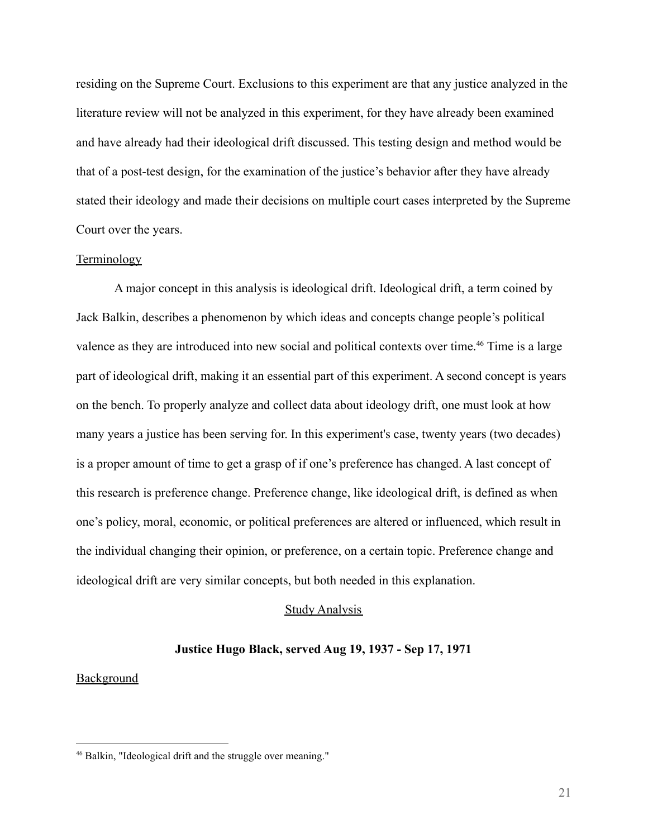residing on the Supreme Court. Exclusions to this experiment are that any justice analyzed in the literature review will not be analyzed in this experiment, for they have already been examined and have already had their ideological drift discussed. This testing design and method would be that of a post-test design, for the examination of the justice's behavior after they have already stated their ideology and made their decisions on multiple court cases interpreted by the Supreme Court over the years.

## Terminology

A major concept in this analysis is ideological drift. Ideological drift, a term coined by Jack Balkin, describes a phenomenon by which ideas and concepts change people's political valence as they are introduced into new social and political contexts over time.<sup>46</sup> Time is a large part of ideological drift, making it an essential part of this experiment. A second concept is years on the bench. To properly analyze and collect data about ideology drift, one must look at how many years a justice has been serving for. In this experiment's case, twenty years (two decades) is a proper amount of time to get a grasp of if one's preference has changed. A last concept of this research is preference change. Preference change, like ideological drift, is defined as when one's policy, moral, economic, or political preferences are altered or influenced, which result in the individual changing their opinion, or preference, on a certain topic. Preference change and ideological drift are very similar concepts, but both needed in this explanation.

#### Study Analysis

#### **Justice Hugo Black, served Aug 19, 1937 - Sep 17, 1971**

#### **Background**

<sup>46</sup> Balkin, "Ideological drift and the struggle over meaning."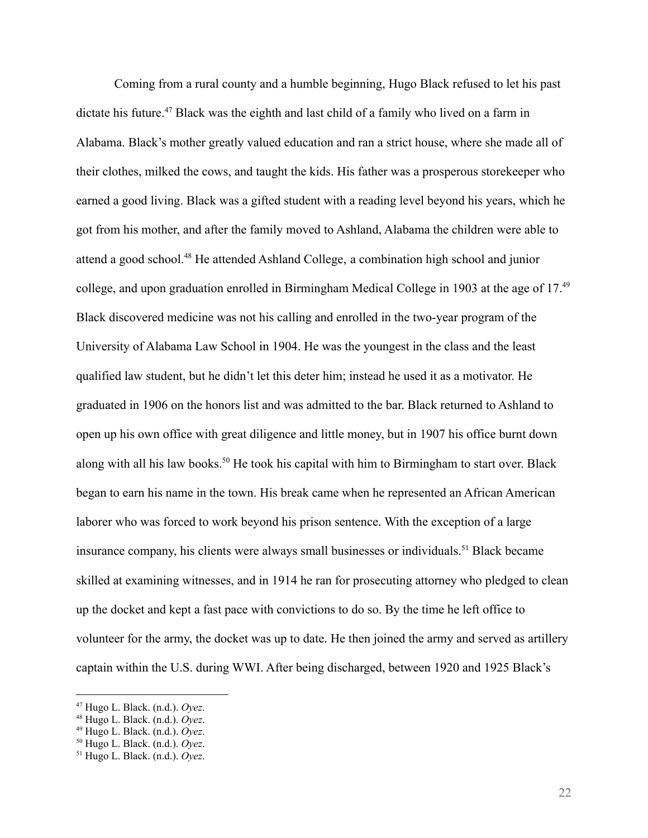Coming from a rural county and a humble beginning, Hugo Black refused to let his past dictate his future.<sup>47</sup> Black was the eighth and last child of a family who lived on a farm in Alabama. Black's mother greatly valued education and ran a strict house, where she made all of their clothes, milked the cows, and taught the kids. His father was a prosperous storekeeper who earned a good living. Black was a gifted student with a reading level beyond his years, which he got from his mother, and after the family moved to Ashland, Alabama the children were able to attend a good school.<sup>48</sup> He attended Ashland College, a combination high school and junior college, and upon graduation enrolled in Birmingham Medical College in 1903 at the age of 17.<sup>49</sup> Black discovered medicine was not his calling and enrolled in the two-year program of the University of Alabama Law School in 1904. He was the youngest in the class and the least qualified law student, but he didn't let this deter him; instead he used it as a motivator. He graduated in 1906 on the honors list and was admitted to the bar. Black returned to Ashland to open up his own office with great diligence and little money, but in 1907 his office burnt down along with all his law books.<sup>50</sup> He took his capital with him to Birmingham to start over. Black began to earn his name in the town. His break came when he represented an African American laborer who was forced to work beyond his prison sentence. With the exception of a large insurance company, his clients were always small businesses or individuals.<sup>51</sup> Black became skilled at examining witnesses, and in 1914 he ran for prosecuting attorney who pledged to clean up the docket and kept a fast pace with convictions to do so. By the time he left office to volunteer for the army, the docket was up to date. He then joined the army and served as artillery captain within the U.S. during WWI. After being discharged, between 1920 and 1925 Black's

<sup>47</sup> Hugo L. Black. (n.d.). *Oyez*.

<sup>48</sup> Hugo L. Black. (n.d.). *Oyez*.

<sup>49</sup> Hugo L. Black. (n.d.). *Oyez*.

<sup>50</sup> Hugo L. Black. (n.d.). *Oyez*.

<sup>51</sup> Hugo L. Black. (n.d.). *Oyez*.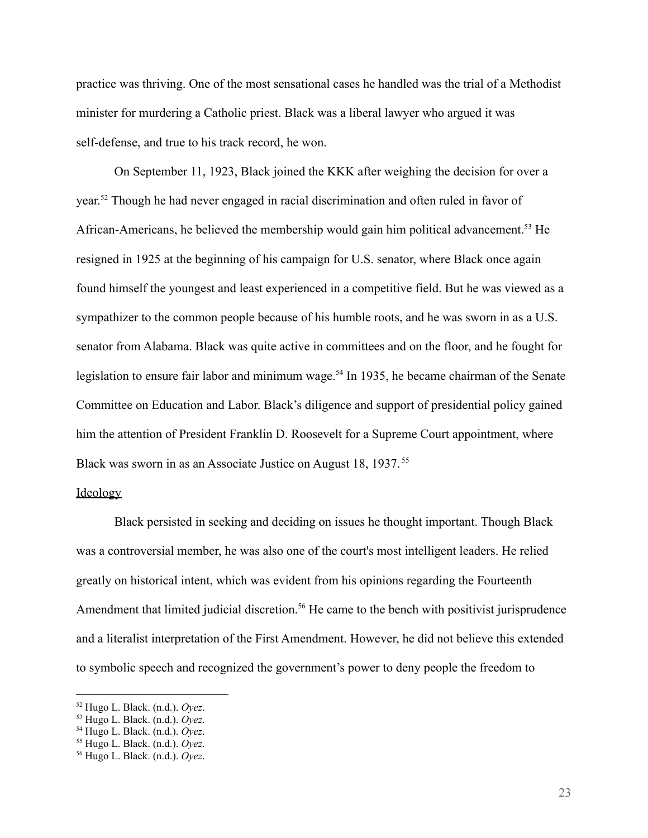practice was thriving. One of the most sensational cases he handled was the trial of a Methodist minister for murdering a Catholic priest. Black was a liberal lawyer who argued it was self-defense, and true to his track record, he won.

On September 11, 1923, Black joined the KKK after weighing the decision for over a year. <sup>52</sup> Though he had never engaged in racial discrimination and often ruled in favor of African-Americans, he believed the membership would gain him political advancement.<sup>53</sup> He resigned in 1925 at the beginning of his campaign for U.S. senator, where Black once again found himself the youngest and least experienced in a competitive field. But he was viewed as a sympathizer to the common people because of his humble roots, and he was sworn in as a U.S. senator from Alabama. Black was quite active in committees and on the floor, and he fought for legislation to ensure fair labor and minimum wage.<sup>54</sup> In 1935, he became chairman of the Senate Committee on Education and Labor. Black's diligence and support of presidential policy gained him the attention of President Franklin D. Roosevelt for a Supreme Court appointment, where Black was sworn in as an Associate Justice on August 18, 1937. <sup>55</sup>

# **Ideology**

Black persisted in seeking and deciding on issues he thought important. Though Black was a controversial member, he was also one of the court's most intelligent leaders. He relied greatly on historical intent, which was evident from his opinions regarding the Fourteenth Amendment that limited judicial discretion.<sup>56</sup> He came to the bench with positivist jurisprudence and a literalist interpretation of the First Amendment. However, he did not believe this extended to symbolic speech and recognized the government's power to deny people the freedom to

<sup>52</sup> Hugo L. Black. (n.d.). *Oyez*.

<sup>53</sup> Hugo L. Black. (n.d.). *Oyez*.

<sup>54</sup> Hugo L. Black. (n.d.). *Oyez*.

<sup>55</sup> Hugo L. Black. (n.d.). *Oyez*.

<sup>56</sup> Hugo L. Black. (n.d.). *Oyez*.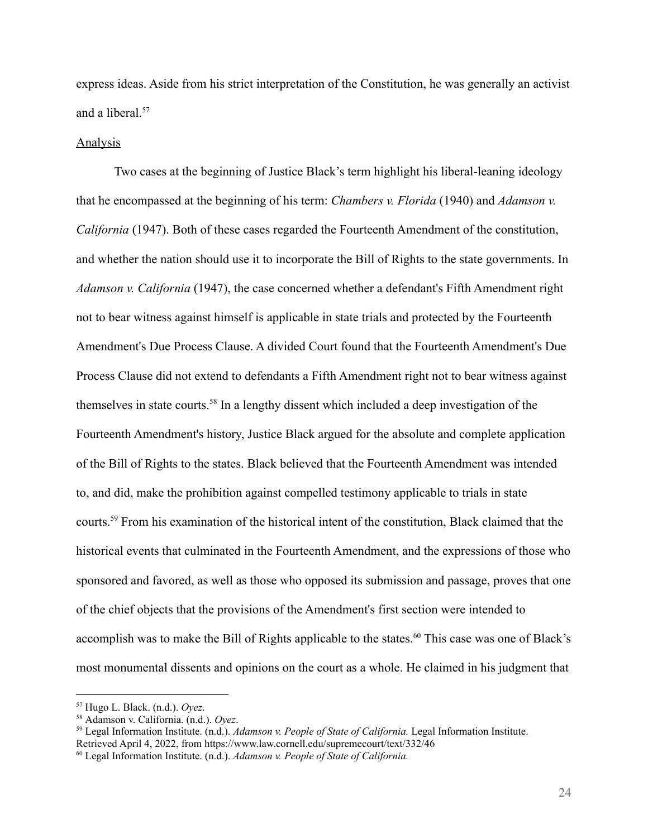express ideas. Aside from his strict interpretation of the Constitution, he was generally an activist and a liberal.<sup>57</sup>

#### **Analysis**

Two cases at the beginning of Justice Black's term highlight his liberal-leaning ideology that he encompassed at the beginning of his term: *Chambers v. Florida* (1940) and *Adamson v. California* (1947). Both of these cases regarded the Fourteenth Amendment of the constitution, and whether the nation should use it to incorporate the Bill of Rights to the state governments. In *Adamson v. California* (1947), the case concerned whether a defendant's Fifth Amendment right not to bear witness against himself is applicable in state trials and protected by the Fourteenth Amendment's Due Process Clause. A divided Court found that the Fourteenth Amendment's Due Process Clause did not extend to defendants a Fifth Amendment right not to bear witness against themselves in state courts.<sup>58</sup> In a lengthy dissent which included a deep investigation of the Fourteenth Amendment's history, Justice Black argued for the absolute and complete application of the Bill of Rights to the states. Black believed that the Fourteenth Amendment was intended to, and did, make the prohibition against compelled testimony applicable to trials in state courts.<sup>59</sup> From his examination of the historical intent of the constitution, Black claimed that the historical events that culminated in the Fourteenth Amendment, and the expressions of those who sponsored and favored, as well as those who opposed its submission and passage, proves that one of the chief objects that the provisions of the Amendment's first section were intended to accomplish was to make the Bill of Rights applicable to the states.<sup>60</sup> This case was one of Black's most monumental dissents and opinions on the court as a whole. He claimed in his judgment that

<sup>57</sup> Hugo L. Black. (n.d.). *Oyez*.

<sup>58</sup> Adamson v. California. (n.d.). *Oyez*.

<sup>59</sup> Legal Information Institute. (n.d.). *Adamson v. People of State of California.* Legal Information Institute. Retrieved April 4, 2022, from https://www.law.cornell.edu/supremecourt/text/332/46

<sup>60</sup> Legal Information Institute. (n.d.). *Adamson v. People of State of California.*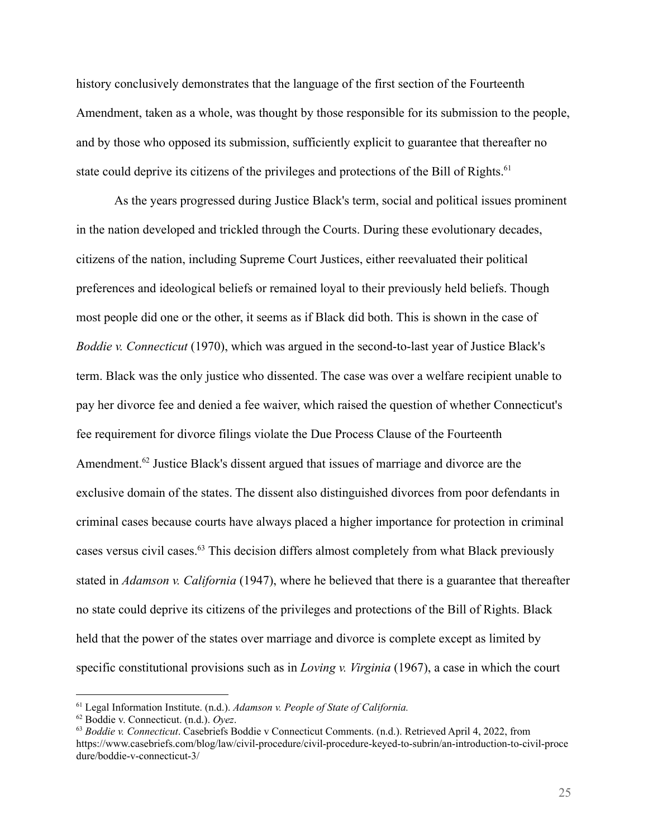history conclusively demonstrates that the language of the first section of the Fourteenth Amendment, taken as a whole, was thought by those responsible for its submission to the people, and by those who opposed its submission, sufficiently explicit to guarantee that thereafter no state could deprive its citizens of the privileges and protections of the Bill of Rights.<sup>61</sup>

As the years progressed during Justice Black's term, social and political issues prominent in the nation developed and trickled through the Courts. During these evolutionary decades, citizens of the nation, including Supreme Court Justices, either reevaluated their political preferences and ideological beliefs or remained loyal to their previously held beliefs. Though most people did one or the other, it seems as if Black did both. This is shown in the case of *Boddie v. Connecticut* (1970), which was argued in the second-to-last year of Justice Black's term. Black was the only justice who dissented. The case was over a welfare recipient unable to pay her divorce fee and denied a fee waiver, which raised the question of whether Connecticut's fee requirement for divorce filings violate the Due Process Clause of the Fourteenth Amendment.<sup>62</sup> Justice Black's dissent argued that issues of marriage and divorce are the exclusive domain of the states. The dissent also distinguished divorces from poor defendants in criminal cases because courts have always placed a higher importance for protection in criminal cases versus civil cases.<sup>63</sup> This decision differs almost completely from what Black previously stated in *Adamson v. California* (1947), where he believed that there is a guarantee that thereafter no state could deprive its citizens of the privileges and protections of the Bill of Rights. Black held that the power of the states over marriage and divorce is complete except as limited by specific constitutional provisions such as in *Loving v. Virginia* (1967), a case in which the court

<sup>61</sup> Legal Information Institute. (n.d.). *Adamson v. People of State of California.*

<sup>62</sup> Boddie v. Connecticut. (n.d.). *Oyez*.

<sup>63</sup> *Boddie v. Connecticut*. Casebriefs Boddie v Connecticut Comments. (n.d.). Retrieved April 4, 2022, from https://www.casebriefs.com/blog/law/civil-procedure/civil-procedure-keyed-to-subrin/an-introduction-to-civil-proce dure/boddie-v-connecticut-3/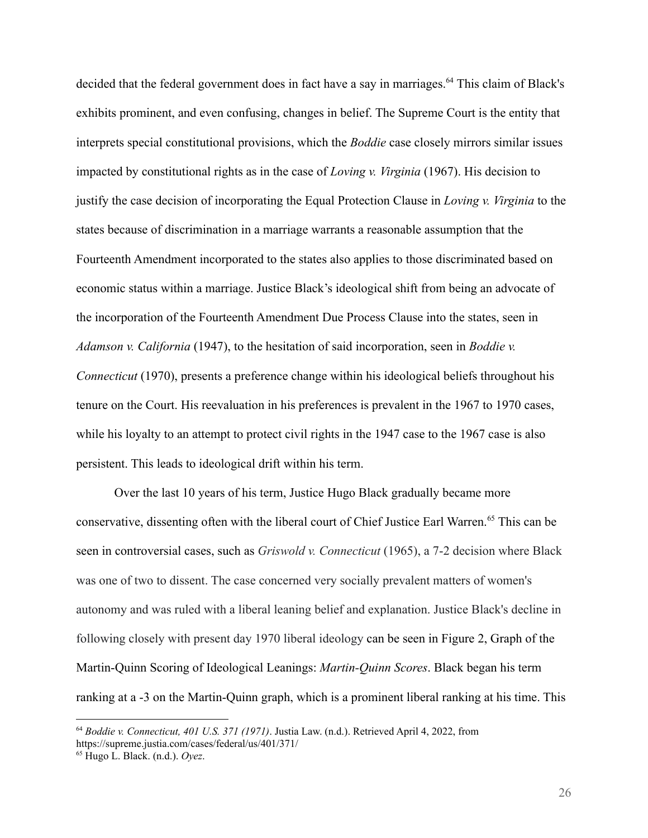decided that the federal government does in fact have a say in marriages.<sup>64</sup> This claim of Black's exhibits prominent, and even confusing, changes in belief. The Supreme Court is the entity that interprets special constitutional provisions, which the *Boddie* case closely mirrors similar issues impacted by constitutional rights as in the case of *Loving v. Virginia* (1967). His decision to justify the case decision of incorporating the Equal Protection Clause in *Loving v. Virginia* to the states because of discrimination in a marriage warrants a reasonable assumption that the Fourteenth Amendment incorporated to the states also applies to those discriminated based on economic status within a marriage. Justice Black's ideological shift from being an advocate of the incorporation of the Fourteenth Amendment Due Process Clause into the states, seen in *Adamson v. California* (1947), to the hesitation of said incorporation, seen in *Boddie v. Connecticut* (1970), presents a preference change within his ideological beliefs throughout his tenure on the Court. His reevaluation in his preferences is prevalent in the 1967 to 1970 cases, while his loyalty to an attempt to protect civil rights in the 1947 case to the 1967 case is also persistent. This leads to ideological drift within his term.

Over the last 10 years of his term, Justice Hugo Black gradually became more conservative, dissenting often with the liberal court of Chief Justice Earl Warren.<sup>65</sup> This can be seen in controversial cases, such as *Griswold v. Connecticut* (1965), a 7-2 decision where Black was one of two to dissent. The case concerned very socially prevalent matters of women's autonomy and was ruled with a liberal leaning belief and explanation. Justice Black's decline in following closely with present day 1970 liberal ideology can be seen in Figure 2, Graph of the Martin-Quinn Scoring of Ideological Leanings: *Martin-Quinn Scores*. Black began his term ranking at a -3 on the Martin-Quinn graph, which is a prominent liberal ranking at his time. This

<sup>64</sup> *Boddie v. Connecticut, 401 U.S. 371 (1971)*. Justia Law. (n.d.). Retrieved April 4, 2022, from https://supreme.justia.com/cases/federal/us/401/371/

<sup>65</sup> Hugo L. Black. (n.d.). *Oyez*.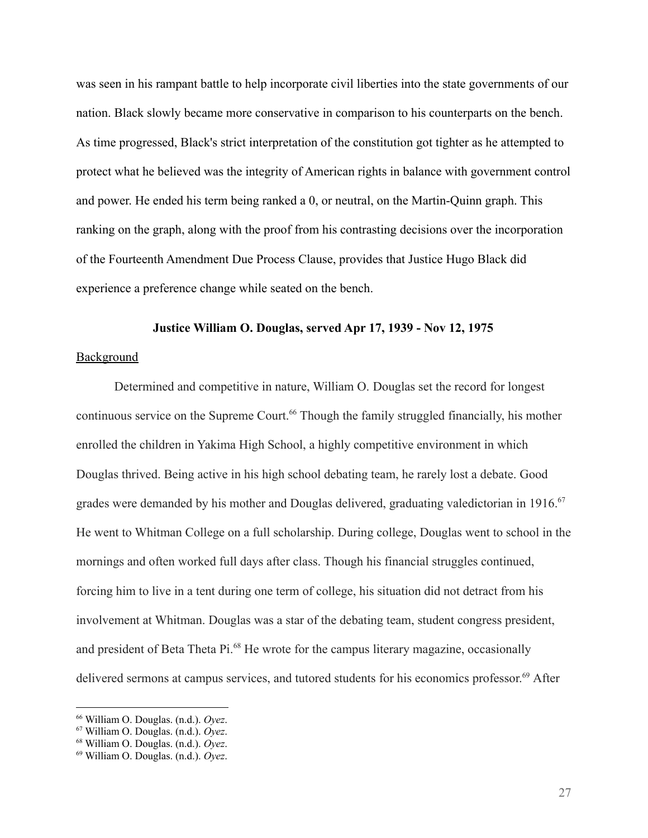was seen in his rampant battle to help incorporate civil liberties into the state governments of our nation. Black slowly became more conservative in comparison to his counterparts on the bench. As time progressed, Black's strict interpretation of the constitution got tighter as he attempted to protect what he believed was the integrity of American rights in balance with government control and power. He ended his term being ranked a 0, or neutral, on the Martin-Quinn graph. This ranking on the graph, along with the proof from his contrasting decisions over the incorporation of the Fourteenth Amendment Due Process Clause, provides that Justice Hugo Black did experience a preference change while seated on the bench.

# **Justice William O. Douglas, served Apr 17, 1939 - Nov 12, 1975**

# **Background**

Determined and competitive in nature, William O. Douglas set the record for longest continuous service on the Supreme Court.<sup>66</sup> Though the family struggled financially, his mother enrolled the children in Yakima High School, a highly competitive environment in which Douglas thrived. Being active in his high school debating team, he rarely lost a debate. Good grades were demanded by his mother and Douglas delivered, graduating valedictorian in 1916.<sup>67</sup> He went to Whitman College on a full scholarship. During college, Douglas went to school in the mornings and often worked full days after class. Though his financial struggles continued, forcing him to live in a tent during one term of college, his situation did not detract from his involvement at Whitman. Douglas was a star of the debating team, student congress president, and president of Beta Theta Pi.<sup>68</sup> He wrote for the campus literary magazine, occasionally delivered sermons at campus services, and tutored students for his economics professor. <sup>69</sup> After

<sup>66</sup> William O. Douglas. (n.d.). *Oyez*.

<sup>67</sup> William O. Douglas. (n.d.). *Oyez*.

<sup>68</sup> William O. Douglas. (n.d.). *Oyez*.

<sup>69</sup> William O. Douglas. (n.d.). *Oyez*.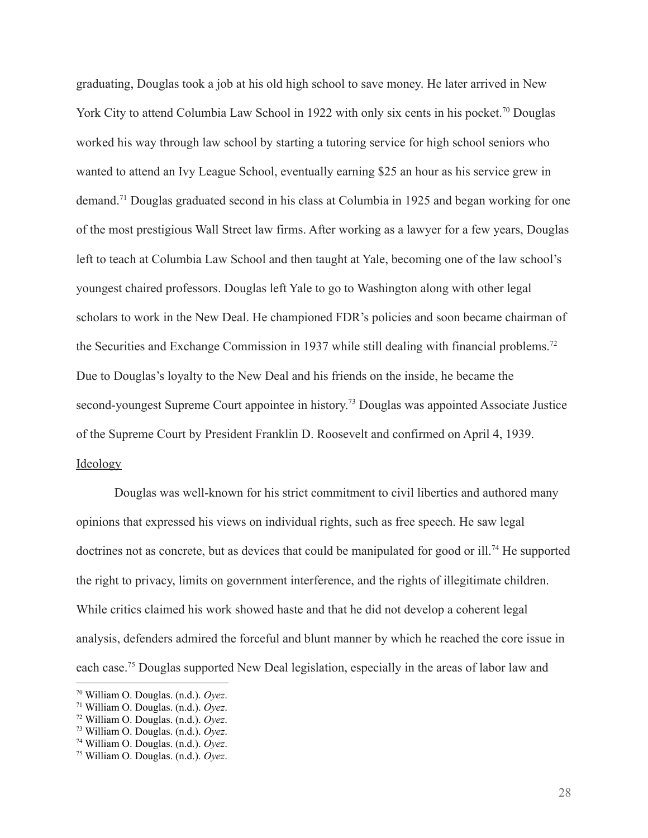graduating, Douglas took a job at his old high school to save money. He later arrived in New York City to attend Columbia Law School in 1922 with only six cents in his pocket.<sup>70</sup> Douglas worked his way through law school by starting a tutoring service for high school seniors who wanted to attend an Ivy League School, eventually earning \$25 an hour as his service grew in demand.<sup>71</sup> Douglas graduated second in his class at Columbia in 1925 and began working for one of the most prestigious Wall Street law firms. After working as a lawyer for a few years, Douglas left to teach at Columbia Law School and then taught at Yale, becoming one of the law school's youngest chaired professors. Douglas left Yale to go to Washington along with other legal scholars to work in the New Deal. He championed FDR's policies and soon became chairman of the Securities and Exchange Commission in 1937 while still dealing with financial problems.<sup>72</sup> Due to Douglas's loyalty to the New Deal and his friends on the inside, he became the second-youngest Supreme Court appointee in history.<sup>73</sup> Douglas was appointed Associate Justice of the Supreme Court by President Franklin D. Roosevelt and confirmed on April 4, 1939. Ideology

Douglas was well-known for his strict commitment to civil liberties and authored many opinions that expressed his views on individual rights, such as free speech. He saw legal doctrines not as concrete, but as devices that could be manipulated for good or ill.<sup>74</sup> He supported the right to privacy, limits on government interference, and the rights of illegitimate children. While critics claimed his work showed haste and that he did not develop a coherent legal analysis, defenders admired the forceful and blunt manner by which he reached the core issue in each case.<sup>75</sup> Douglas supported New Deal legislation, especially in the areas of labor law and

<sup>70</sup> William O. Douglas. (n.d.). *Oyez*.

<sup>71</sup> William O. Douglas. (n.d.). *Oyez*.

<sup>72</sup> William O. Douglas. (n.d.). *Oyez*.

<sup>73</sup> William O. Douglas. (n.d.). *Oyez*.

<sup>74</sup> William O. Douglas. (n.d.). *Oyez*.

<sup>75</sup> William O. Douglas. (n.d.). *Oyez*.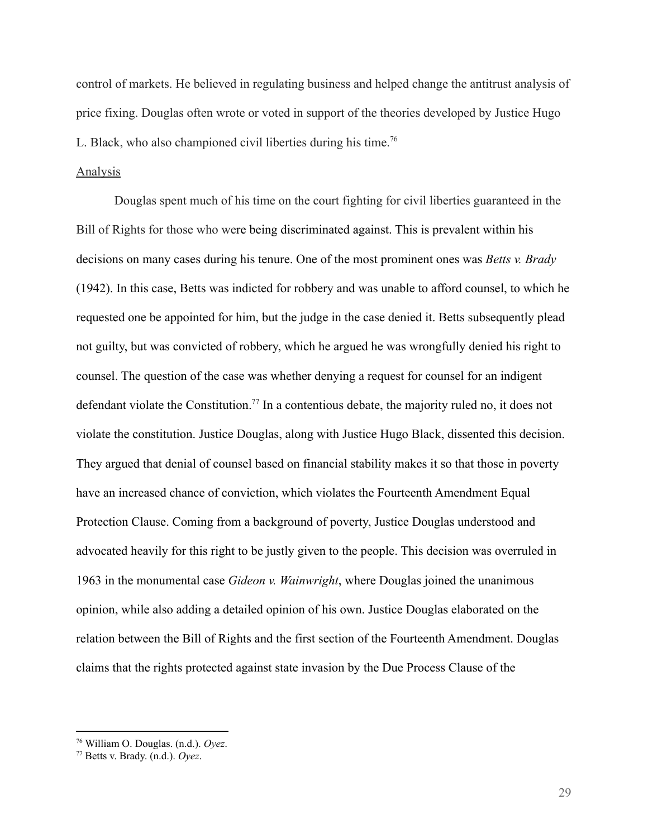control of markets. He believed in regulating business and helped change the antitrust analysis of price fixing. Douglas often wrote or voted in support of the theories developed by Justice Hugo L. Black, who also championed civil liberties during his time.<sup>76</sup>

# Analysis

Douglas spent much of his time on the court fighting for civil liberties guaranteed in the Bill of Rights for those who were being discriminated against. This is prevalent within his decisions on many cases during his tenure. One of the most prominent ones was *Betts v. Brady* (1942). In this case, Betts was indicted for robbery and was unable to afford counsel, to which he requested one be appointed for him, but the judge in the case denied it. Betts subsequently plead not guilty, but was convicted of robbery, which he argued he was wrongfully denied his right to counsel. The question of the case was whether denying a request for counsel for an indigent defendant violate the Constitution.<sup>77</sup> In a contentious debate, the majority ruled no, it does not violate the constitution. Justice Douglas, along with Justice Hugo Black, dissented this decision. They argued that denial of counsel based on financial stability makes it so that those in poverty have an increased chance of conviction, which violates the Fourteenth Amendment Equal Protection Clause. Coming from a background of poverty, Justice Douglas understood and advocated heavily for this right to be justly given to the people. This decision was overruled in 1963 in the monumental case *Gideon v. Wainwright*, where Douglas joined the unanimous opinion, while also adding a detailed opinion of his own. Justice Douglas elaborated on the relation between the Bill of Rights and the first section of the Fourteenth Amendment. Douglas claims that the rights protected against state invasion by the Due Process Clause of the

<sup>76</sup> William O. Douglas. (n.d.). *Oyez*.

<sup>77</sup> Betts v. Brady. (n.d.). *Oyez*.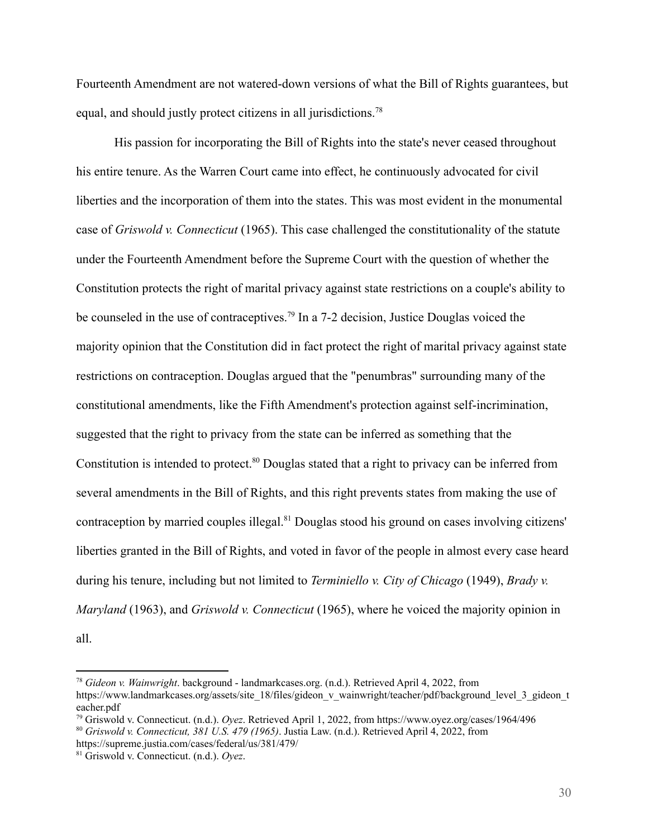Fourteenth Amendment are not watered-down versions of what the Bill of Rights guarantees, but equal, and should justly protect citizens in all jurisdictions.<sup>78</sup>

His passion for incorporating the Bill of Rights into the state's never ceased throughout his entire tenure. As the Warren Court came into effect, he continuously advocated for civil liberties and the incorporation of them into the states. This was most evident in the monumental case of *Griswold v. Connecticut* (1965). This case challenged the constitutionality of the statute under the Fourteenth Amendment before the Supreme Court with the question of whether the Constitution protects the right of marital privacy against state restrictions on a couple's ability to be counseled in the use of contraceptives.<sup>79</sup> In a 7-2 decision, Justice Douglas voiced the majority opinion that the Constitution did in fact protect the right of marital privacy against state restrictions on contraception. Douglas argued that the "penumbras" surrounding many of the constitutional amendments, like the Fifth Amendment's protection against self-incrimination, suggested that the right to privacy from the state can be inferred as something that the Constitution is intended to protect.<sup>80</sup> Douglas stated that a right to privacy can be inferred from several amendments in the Bill of Rights, and this right prevents states from making the use of contraception by married couples illegal.<sup>81</sup> Douglas stood his ground on cases involving citizens' liberties granted in the Bill of Rights, and voted in favor of the people in almost every case heard during his tenure, including but not limited to *Terminiello v. City of Chicago* (1949), *Brady v. Maryland* (1963), and *Griswold v. Connecticut* (1965), where he voiced the majority opinion in

all.

<sup>78</sup> *Gideon v. Wainwright*. background - landmarkcases.org. (n.d.). Retrieved April 4, 2022, from https://www.landmarkcases.org/assets/site\_18/files/gideon\_v\_wainwright/teacher/pdf/background\_level\_3\_gideon\_t eacher.pdf

<sup>80</sup> *Griswold v. Connecticut, 381 U.S. 479 (1965)*. Justia Law. (n.d.). Retrieved April 4, 2022, from <sup>79</sup> Griswold v. Connecticut. (n.d.). *Oyez*. Retrieved April 1, 2022, from https://www.oyez.org/cases/1964/496

https://supreme.justia.com/cases/federal/us/381/479/

<sup>81</sup> Griswold v. Connecticut. (n.d.). *Oyez*.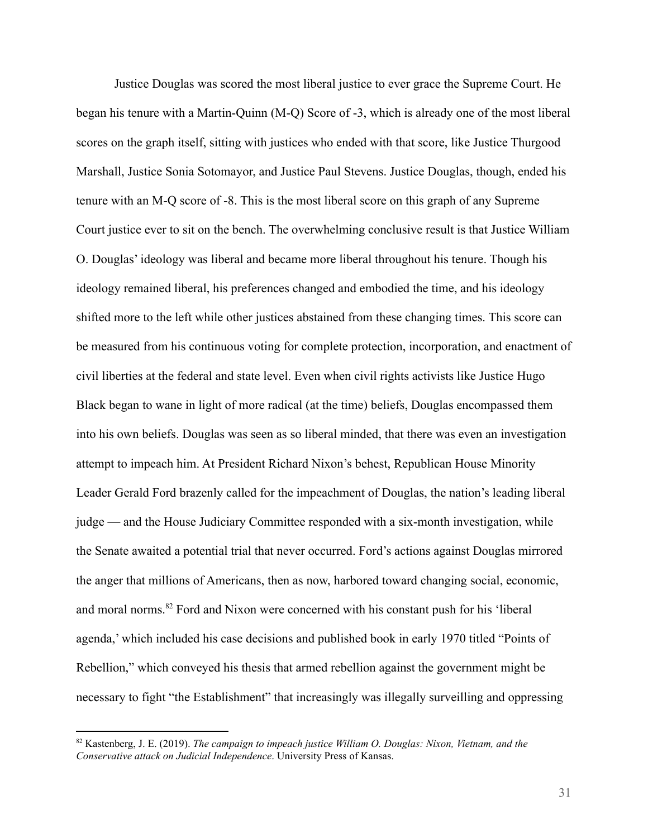Justice Douglas was scored the most liberal justice to ever grace the Supreme Court. He began his tenure with a Martin-Quinn (M-Q) Score of -3, which is already one of the most liberal scores on the graph itself, sitting with justices who ended with that score, like Justice Thurgood Marshall, Justice Sonia Sotomayor, and Justice Paul Stevens. Justice Douglas, though, ended his tenure with an M-Q score of -8. This is the most liberal score on this graph of any Supreme Court justice ever to sit on the bench. The overwhelming conclusive result is that Justice William O. Douglas' ideology was liberal and became more liberal throughout his tenure. Though his ideology remained liberal, his preferences changed and embodied the time, and his ideology shifted more to the left while other justices abstained from these changing times. This score can be measured from his continuous voting for complete protection, incorporation, and enactment of civil liberties at the federal and state level. Even when civil rights activists like Justice Hugo Black began to wane in light of more radical (at the time) beliefs, Douglas encompassed them into his own beliefs. Douglas was seen as so liberal minded, that there was even an investigation attempt to impeach him. At President Richard Nixon's behest, Republican House Minority Leader Gerald Ford brazenly called for the impeachment of Douglas, the nation's leading liberal judge — and the House Judiciary Committee responded with a six-month investigation, while the Senate awaited a potential trial that never occurred. Ford's actions against Douglas mirrored the anger that millions of Americans, then as now, harbored toward changing social, economic, and moral norms.<sup>82</sup> Ford and Nixon were concerned with his constant push for his 'liberal agenda,' which included his case decisions and published book in early 1970 titled "Points of Rebellion," which conveyed his thesis that armed rebellion against the government might be necessary to fight "the Establishment" that increasingly was illegally surveilling and oppressing

<sup>82</sup> Kastenberg, J. E. (2019). *The campaign to impeach justice William O. Douglas: Nixon, Vietnam, and the Conservative attack on Judicial Independence*. University Press of Kansas.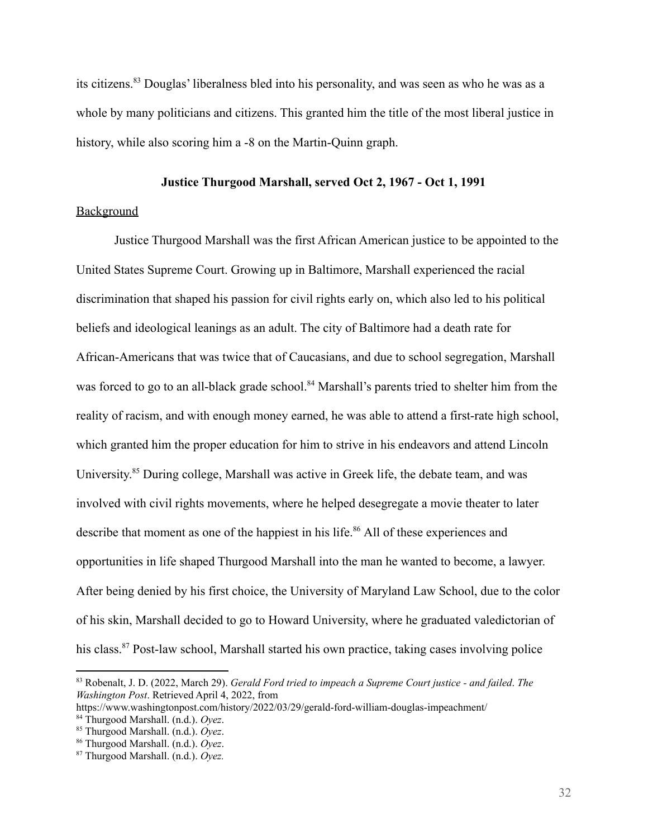its citizens.<sup>83</sup> Douglas' liberalness bled into his personality, and was seen as who he was as a whole by many politicians and citizens. This granted him the title of the most liberal justice in history, while also scoring him a -8 on the Martin-Quinn graph.

# **Justice Thurgood Marshall, served Oct 2, 1967 - Oct 1, 1991**

# Background

Justice Thurgood Marshall was the first African American justice to be appointed to the United States Supreme Court. Growing up in Baltimore, Marshall experienced the racial discrimination that shaped his passion for civil rights early on, which also led to his political beliefs and ideological leanings as an adult. The city of Baltimore had a death rate for African-Americans that was twice that of Caucasians, and due to school segregation, Marshall was forced to go to an all-black grade school.<sup>84</sup> Marshall's parents tried to shelter him from the reality of racism, and with enough money earned, he was able to attend a first-rate high school, which granted him the proper education for him to strive in his endeavors and attend Lincoln University.<sup>85</sup> During college, Marshall was active in Greek life, the debate team, and was involved with civil rights movements, where he helped desegregate a movie theater to later describe that moment as one of the happiest in his life.<sup>86</sup> All of these experiences and opportunities in life shaped Thurgood Marshall into the man he wanted to become, a lawyer. After being denied by his first choice, the University of Maryland Law School, due to the color of his skin, Marshall decided to go to Howard University, where he graduated valedictorian of his class.<sup>87</sup> Post-law school, Marshall started his own practice, taking cases involving police

<sup>83</sup> Robenalt, J. D. (2022, March 29). *Gerald Ford tried to impeach a Supreme Court justice - and failed*. *The Washington Post*. Retrieved April 4, 2022, from

https://www.washingtonpost.com/history/2022/03/29/gerald-ford-william-douglas-impeachment/

<sup>84</sup> Thurgood Marshall. (n.d.). *Oyez*.

<sup>85</sup> Thurgood Marshall. (n.d.). *Oyez*.

<sup>86</sup> Thurgood Marshall. (n.d.). *Oyez*.

<sup>87</sup> Thurgood Marshall. (n.d.). *Oyez.*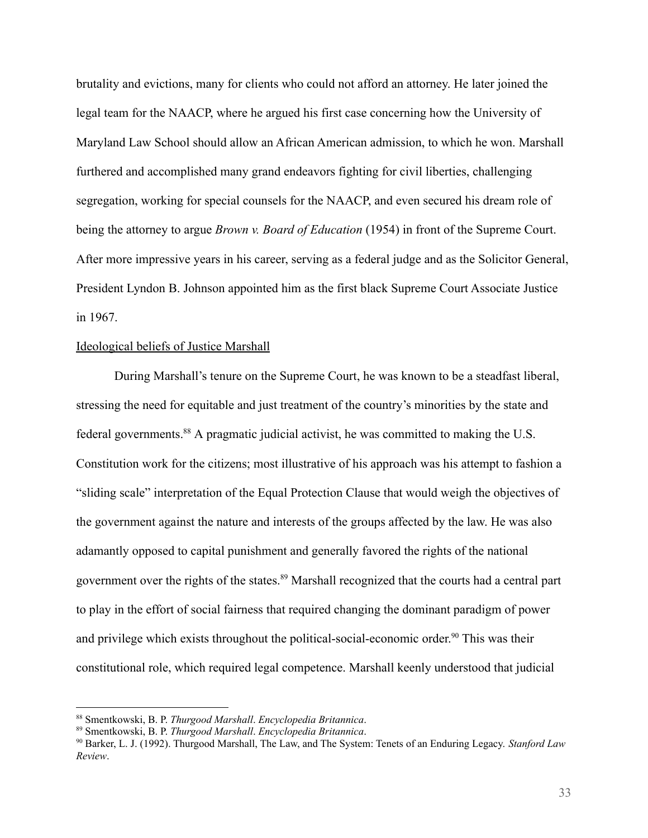brutality and evictions, many for clients who could not afford an attorney. He later joined the legal team for the NAACP, where he argued his first case concerning how the University of Maryland Law School should allow an African American admission, to which he won. Marshall furthered and accomplished many grand endeavors fighting for civil liberties, challenging segregation, working for special counsels for the NAACP, and even secured his dream role of being the attorney to argue *Brown v. Board of Education* (1954) in front of the Supreme Court. After more impressive years in his career, serving as a federal judge and as the Solicitor General, President Lyndon B. Johnson appointed him as the first black Supreme Court Associate Justice in 1967.

## Ideological beliefs of Justice Marshall

During Marshall's tenure on the Supreme Court, he was known to be a steadfast liberal, stressing the need for equitable and just treatment of the country's minorities by the state and federal governments.<sup>88</sup> A pragmatic judicial activist, he was committed to making the U.S. Constitution work for the citizens; most illustrative of his approach was his attempt to fashion a "sliding scale" interpretation of the Equal Protection Clause that would weigh the objectives of the government against the nature and interests of the groups affected by the law. He was also adamantly opposed to capital punishment and generally favored the rights of the national government over the rights of the states. <sup>89</sup> Marshall recognized that the courts had a central part to play in the effort of social fairness that required changing the dominant paradigm of power and privilege which exists throughout the political-social-economic order. <sup>90</sup> This was their constitutional role, which required legal competence. Marshall keenly understood that judicial

<sup>88</sup> Smentkowski, B. P. *Thurgood Marshall*. *Encyclopedia Britannica*.

<sup>89</sup> Smentkowski, B. P. *Thurgood Marshall*. *Encyclopedia Britannica*.

<sup>90</sup> Barker, L. J. (1992). Thurgood Marshall, The Law, and The System: Tenets of an Enduring Legacy. *Stanford Law Review*.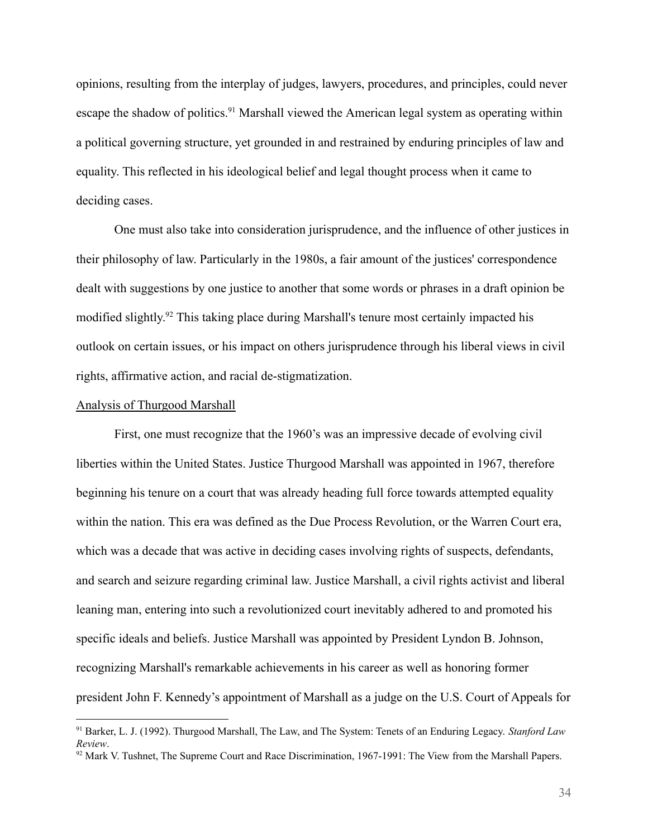opinions, resulting from the interplay of judges, lawyers, procedures, and principles, could never escape the shadow of politics.<sup>91</sup> Marshall viewed the American legal system as operating within a political governing structure, yet grounded in and restrained by enduring principles of law and equality. This reflected in his ideological belief and legal thought process when it came to deciding cases.

One must also take into consideration jurisprudence, and the influence of other justices in their philosophy of law. Particularly in the 1980s, a fair amount of the justices' correspondence dealt with suggestions by one justice to another that some words or phrases in a draft opinion be modified slightly.<sup>92</sup> This taking place during Marshall's tenure most certainly impacted his outlook on certain issues, or his impact on others jurisprudence through his liberal views in civil rights, affirmative action, and racial de-stigmatization.

#### Analysis of Thurgood Marshall

First, one must recognize that the 1960's was an impressive decade of evolving civil liberties within the United States. Justice Thurgood Marshall was appointed in 1967, therefore beginning his tenure on a court that was already heading full force towards attempted equality within the nation. This era was defined as the Due Process Revolution, or the Warren Court era, which was a decade that was active in deciding cases involving rights of suspects, defendants, and search and seizure regarding criminal law. Justice Marshall, a civil rights activist and liberal leaning man, entering into such a revolutionized court inevitably adhered to and promoted his specific ideals and beliefs. Justice Marshall was appointed by President Lyndon B. Johnson, recognizing Marshall's remarkable achievements in his career as well as honoring former president John F. Kennedy's appointment of Marshall as a judge on the U.S. Court of Appeals for

<sup>91</sup> Barker, L. J. (1992). Thurgood Marshall, The Law, and The System: Tenets of an Enduring Legacy. *Stanford Law Review*.

 $92$  Mark V. Tushnet, The Supreme Court and Race Discrimination, 1967-1991: The View from the Marshall Papers.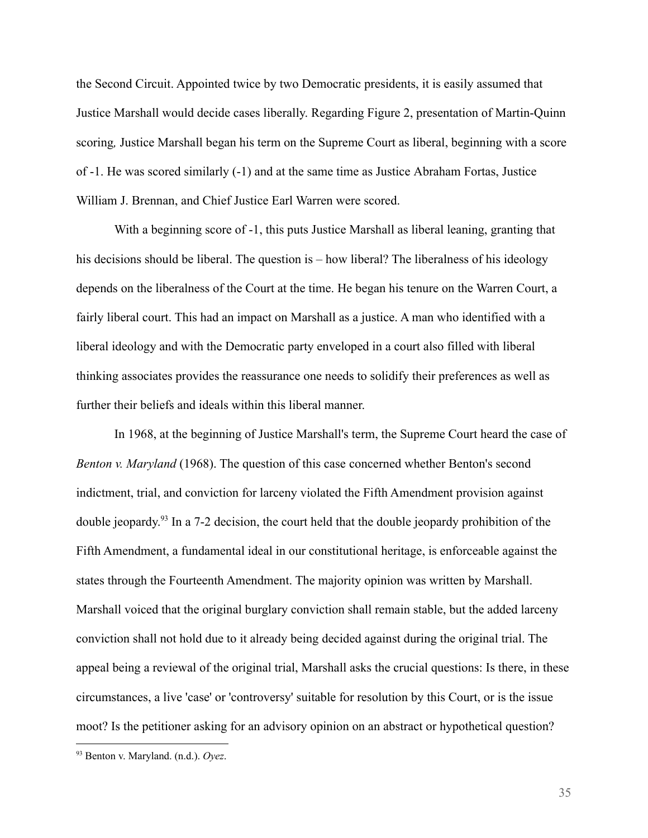the Second Circuit. Appointed twice by two Democratic presidents, it is easily assumed that Justice Marshall would decide cases liberally. Regarding Figure 2, presentation of Martin-Quinn scoring*,* Justice Marshall began his term on the Supreme Court as liberal, beginning with a score of -1. He was scored similarly (-1) and at the same time as Justice Abraham Fortas, Justice William J. Brennan, and Chief Justice Earl Warren were scored.

With a beginning score of -1, this puts Justice Marshall as liberal leaning, granting that his decisions should be liberal. The question is – how liberal? The liberalness of his ideology depends on the liberalness of the Court at the time. He began his tenure on the Warren Court, a fairly liberal court. This had an impact on Marshall as a justice. A man who identified with a liberal ideology and with the Democratic party enveloped in a court also filled with liberal thinking associates provides the reassurance one needs to solidify their preferences as well as further their beliefs and ideals within this liberal manner.

In 1968, at the beginning of Justice Marshall's term, the Supreme Court heard the case of *Benton v. Maryland* (1968). The question of this case concerned whether Benton's second indictment, trial, and conviction for larceny violated the Fifth Amendment provision against double jeopardy.<sup>93</sup> In a 7-2 decision, the court held that the double jeopardy prohibition of the Fifth Amendment, a fundamental ideal in our constitutional heritage, is enforceable against the states through the Fourteenth Amendment. The majority opinion was written by Marshall. Marshall voiced that the original burglary conviction shall remain stable, but the added larceny conviction shall not hold due to it already being decided against during the original trial. The appeal being a reviewal of the original trial, Marshall asks the crucial questions: Is there, in these circumstances, a live 'case' or 'controversy' suitable for resolution by this Court, or is the issue moot? Is the petitioner asking for an advisory opinion on an abstract or hypothetical question?

35

<sup>93</sup> Benton v. Maryland. (n.d.). *Oyez*.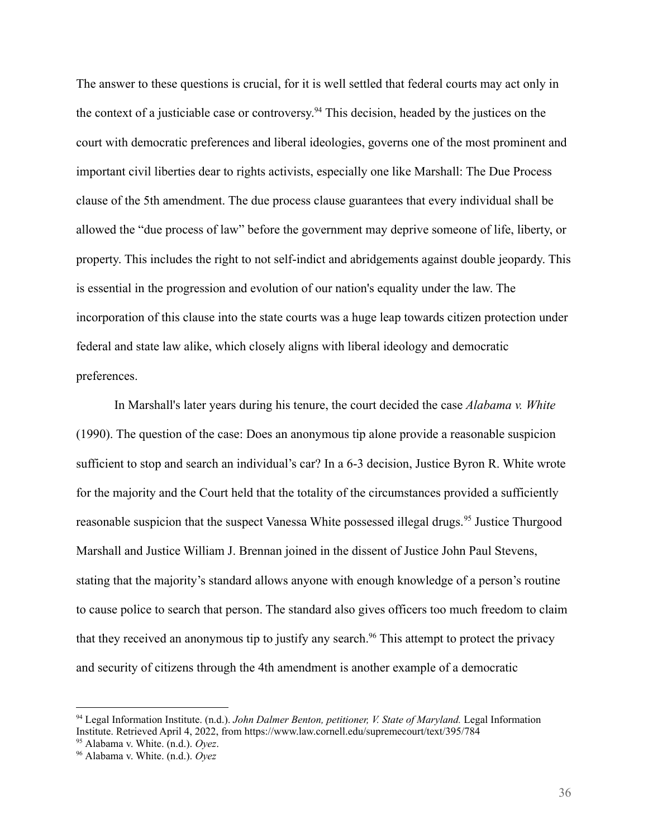The answer to these questions is crucial, for it is well settled that federal courts may act only in the context of a justiciable case or controversy. <sup>94</sup> This decision, headed by the justices on the court with democratic preferences and liberal ideologies, governs one of the most prominent and important civil liberties dear to rights activists, especially one like Marshall: The Due Process clause of the 5th amendment. The due process clause guarantees that every individual shall be allowed the "due process of law" before the government may deprive someone of life, liberty, or property. This includes the right to not self-indict and abridgements against double jeopardy. This is essential in the progression and evolution of our nation's equality under the law. The incorporation of this clause into the state courts was a huge leap towards citizen protection under federal and state law alike, which closely aligns with liberal ideology and democratic preferences.

In Marshall's later years during his tenure, the court decided the case *Alabama v. White* (1990). The question of the case: Does an anonymous tip alone provide a reasonable suspicion sufficient to stop and search an individual's car? In a 6-3 decision, Justice Byron R. White wrote for the majority and the Court held that the totality of the circumstances provided a sufficiently reasonable suspicion that the suspect Vanessa White possessed illegal drugs.<sup>95</sup> Justice Thurgood Marshall and Justice William J. Brennan joined in the dissent of Justice John Paul Stevens, stating that the majority's standard allows anyone with enough knowledge of a person's routine to cause police to search that person. The standard also gives officers too much freedom to claim that they received an anonymous tip to justify any search.<sup>96</sup> This attempt to protect the privacy and security of citizens through the 4th amendment is another example of a democratic

<sup>94</sup> Legal Information Institute. (n.d.). *John Dalmer Benton, petitioner, V. State of Maryland.* Legal Information Institute. Retrieved April 4, 2022, from https://www.law.cornell.edu/supremecourt/text/395/784

<sup>95</sup> Alabama v. White. (n.d.). *Oyez*.

<sup>96</sup> Alabama v. White. (n.d.). *Oyez*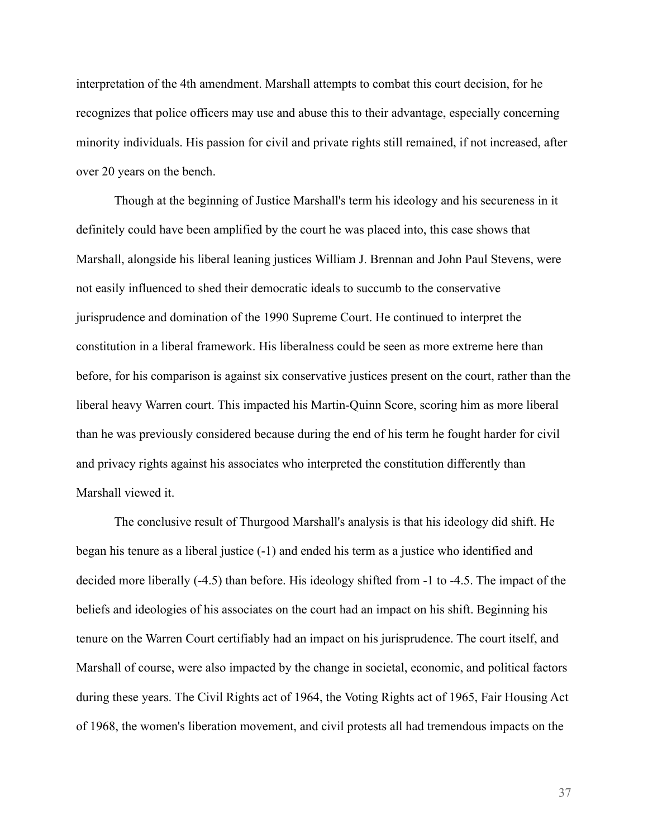interpretation of the 4th amendment. Marshall attempts to combat this court decision, for he recognizes that police officers may use and abuse this to their advantage, especially concerning minority individuals. His passion for civil and private rights still remained, if not increased, after over 20 years on the bench.

Though at the beginning of Justice Marshall's term his ideology and his secureness in it definitely could have been amplified by the court he was placed into, this case shows that Marshall, alongside his liberal leaning justices William J. Brennan and John Paul Stevens, were not easily influenced to shed their democratic ideals to succumb to the conservative jurisprudence and domination of the 1990 Supreme Court. He continued to interpret the constitution in a liberal framework. His liberalness could be seen as more extreme here than before, for his comparison is against six conservative justices present on the court, rather than the liberal heavy Warren court. This impacted his Martin-Quinn Score, scoring him as more liberal than he was previously considered because during the end of his term he fought harder for civil and privacy rights against his associates who interpreted the constitution differently than Marshall viewed it.

The conclusive result of Thurgood Marshall's analysis is that his ideology did shift. He began his tenure as a liberal justice (-1) and ended his term as a justice who identified and decided more liberally (-4.5) than before. His ideology shifted from -1 to -4.5. The impact of the beliefs and ideologies of his associates on the court had an impact on his shift. Beginning his tenure on the Warren Court certifiably had an impact on his jurisprudence. The court itself, and Marshall of course, were also impacted by the change in societal, economic, and political factors during these years. The Civil Rights act of 1964, the Voting Rights act of 1965, Fair Housing Act of 1968, the women's liberation movement, and civil protests all had tremendous impacts on the

37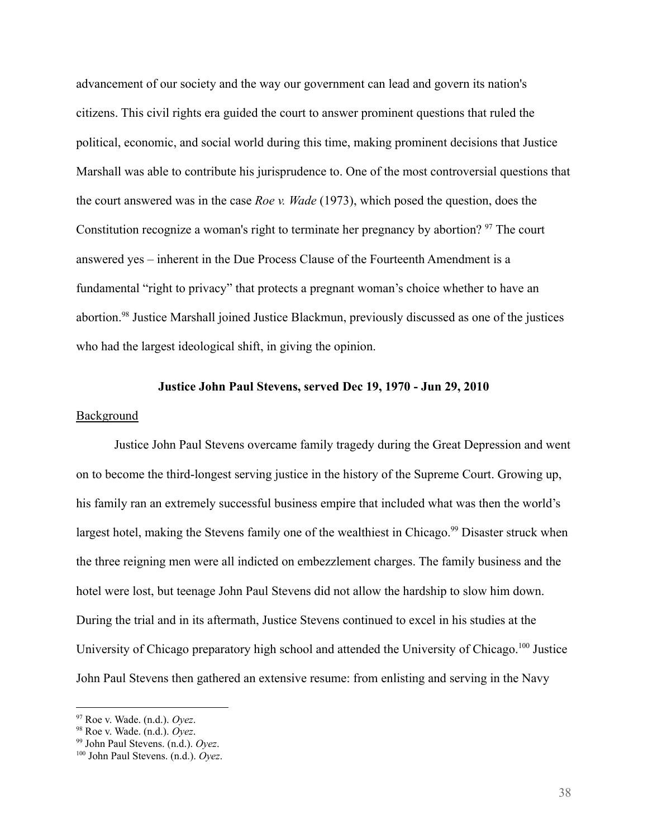advancement of our society and the way our government can lead and govern its nation's citizens. This civil rights era guided the court to answer prominent questions that ruled the political, economic, and social world during this time, making prominent decisions that Justice Marshall was able to contribute his jurisprudence to. One of the most controversial questions that the court answered was in the case *Roe v. Wade* (1973), which posed the question, does the Constitution recognize a woman's right to terminate her pregnancy by abortion?  $97$  The court answered yes – inherent in the Due Process Clause of the Fourteenth Amendment is a fundamental "right to privacy" that protects a pregnant woman's choice whether to have an abortion.<sup>98</sup> Justice Marshall joined Justice Blackmun, previously discussed as one of the justices who had the largest ideological shift, in giving the opinion.

# **Justice John Paul Stevens, served Dec 19, 1970 - Jun 29, 2010**

#### Background

Justice John Paul Stevens overcame family tragedy during the Great Depression and went on to become the third-longest serving justice in the history of the Supreme Court. Growing up, his family ran an extremely successful business empire that included what was then the world's largest hotel, making the Stevens family one of the wealthiest in Chicago.<sup>99</sup> Disaster struck when the three reigning men were all indicted on embezzlement charges. The family business and the hotel were lost, but teenage John Paul Stevens did not allow the hardship to slow him down. During the trial and in its aftermath, Justice Stevens continued to excel in his studies at the University of Chicago preparatory high school and attended the University of Chicago.<sup>100</sup> Justice John Paul Stevens then gathered an extensive resume: from enlisting and serving in the Navy

<sup>97</sup> Roe v. Wade. (n.d.). *Oyez*.

<sup>98</sup> Roe v. Wade. (n.d.). *Oyez*.

<sup>99</sup> John Paul Stevens. (n.d.). *Oyez*.

<sup>100</sup> John Paul Stevens. (n.d.). *Oyez*.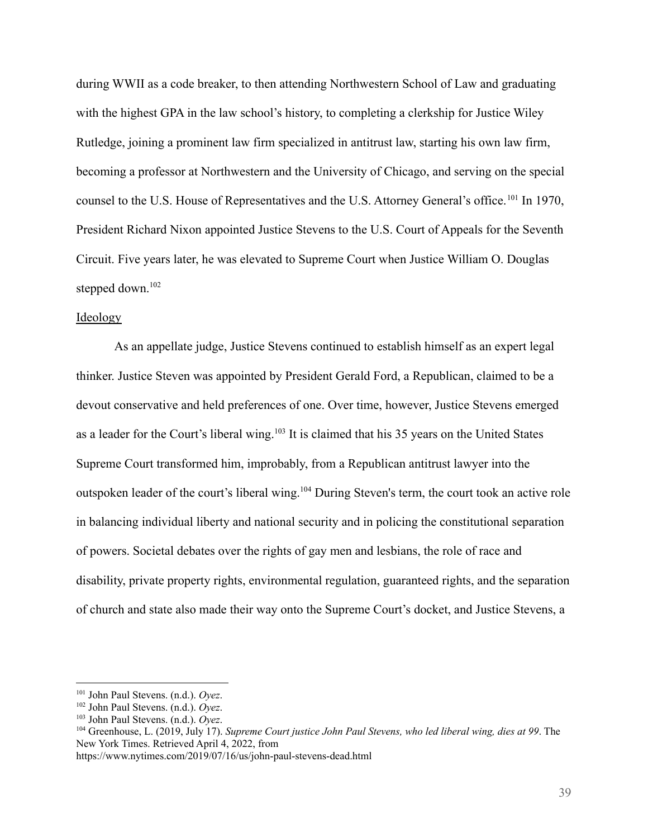during WWII as a code breaker, to then attending Northwestern School of Law and graduating with the highest GPA in the law school's history, to completing a clerkship for Justice Wiley Rutledge, joining a prominent law firm specialized in antitrust law, starting his own law firm, becoming a professor at Northwestern and the University of Chicago, and serving on the special counsel to the U.S. House of Representatives and the U.S. Attorney General's office.<sup>101</sup> In 1970, President Richard Nixon appointed Justice Stevens to the U.S. Court of Appeals for the Seventh Circuit. Five years later, he was elevated to Supreme Court when Justice William O. Douglas stepped down.<sup>102</sup>

## Ideology

As an appellate judge, Justice Stevens continued to establish himself as an expert legal thinker. Justice Steven was appointed by President Gerald Ford, a Republican, claimed to be a devout conservative and held preferences of one. Over time, however, Justice Stevens emerged as a leader for the Court's liberal wing.<sup>103</sup> It is claimed that his 35 years on the United States Supreme Court transformed him, improbably, from a Republican antitrust lawyer into the outspoken leader of the court's liberal wing.<sup>104</sup> During Steven's term, the court took an active role in balancing individual liberty and national security and in policing the constitutional separation of powers. Societal debates over the rights of gay men and lesbians, the role of race and disability, private property rights, environmental regulation, guaranteed rights, and the separation of church and state also made their way onto the Supreme Court's docket, and Justice Stevens, a

<sup>101</sup> John Paul Stevens. (n.d.). *Oyez*.

<sup>102</sup> John Paul Stevens. (n.d.). *Oyez*.

<sup>103</sup> John Paul Stevens. (n.d.). *Oyez*.

<sup>104</sup> Greenhouse, L. (2019, July 17). *Supreme Court justice John Paul Stevens, who led liberal wing, dies at 99*. The New York Times. Retrieved April 4, 2022, from

https://www.nytimes.com/2019/07/16/us/john-paul-stevens-dead.html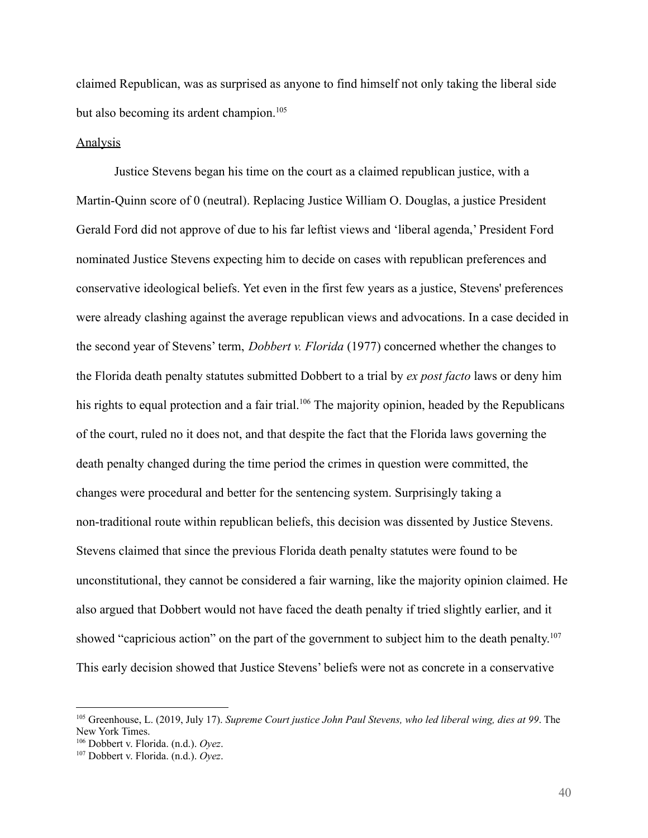claimed Republican, was as surprised as anyone to find himself not only taking the liberal side but also becoming its ardent champion.<sup>105</sup>

#### Analysis

Justice Stevens began his time on the court as a claimed republican justice, with a Martin-Quinn score of 0 (neutral). Replacing Justice William O. Douglas, a justice President Gerald Ford did not approve of due to his far leftist views and 'liberal agenda,' President Ford nominated Justice Stevens expecting him to decide on cases with republican preferences and conservative ideological beliefs. Yet even in the first few years as a justice, Stevens' preferences were already clashing against the average republican views and advocations. In a case decided in the second year of Stevens' term, *Dobbert v. Florida* (1977) concerned whether the changes to the Florida death penalty statutes submitted Dobbert to a trial by *ex post facto* laws or deny him his rights to equal protection and a fair trial.<sup>106</sup> The majority opinion, headed by the Republicans of the court, ruled no it does not, and that despite the fact that the Florida laws governing the death penalty changed during the time period the crimes in question were committed, the changes were procedural and better for the sentencing system. Surprisingly taking a non-traditional route within republican beliefs, this decision was dissented by Justice Stevens. Stevens claimed that since the previous Florida death penalty statutes were found to be unconstitutional, they cannot be considered a fair warning, like the majority opinion claimed. He also argued that Dobbert would not have faced the death penalty if tried slightly earlier, and it showed "capricious action" on the part of the government to subject him to the death penalty.<sup>107</sup> This early decision showed that Justice Stevens' beliefs were not as concrete in a conservative

<sup>105</sup> Greenhouse, L. (2019, July 17). *Supreme Court justice John Paul Stevens, who led liberal wing, dies at 99*. The New York Times.

<sup>106</sup> Dobbert v. Florida. (n.d.). *Oyez*.

<sup>107</sup> Dobbert v. Florida. (n.d.). *Oyez*.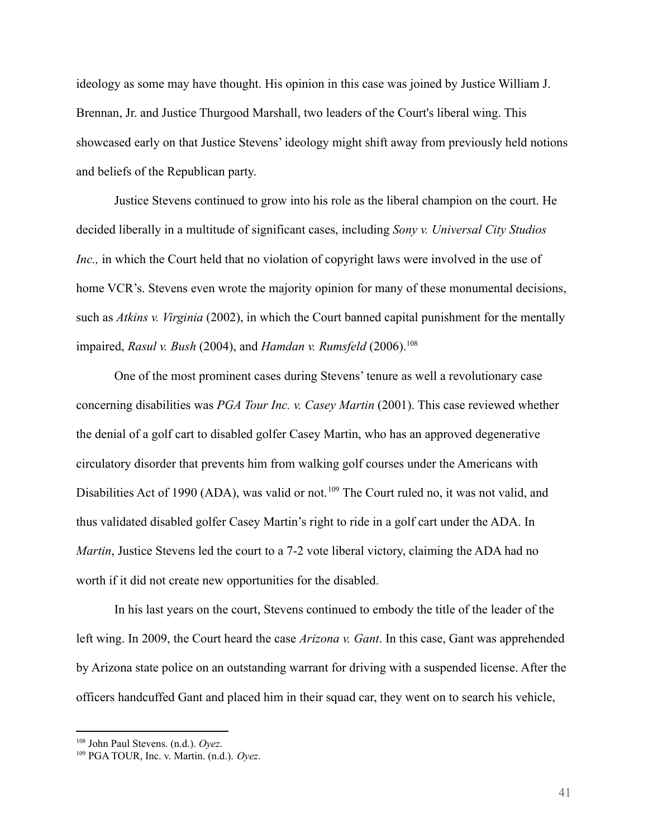ideology as some may have thought. His opinion in this case was joined by Justice William J. Brennan, Jr. and Justice Thurgood Marshall, two leaders of the Court's liberal wing. This showcased early on that Justice Stevens' ideology might shift away from previously held notions and beliefs of the Republican party.

Justice Stevens continued to grow into his role as the liberal champion on the court. He decided liberally in a multitude of significant cases, including *Sony v. Universal City Studios Inc.,* in which the Court held that no violation of copyright laws were involved in the use of home VCR's. Stevens even wrote the majority opinion for many of these monumental decisions, such as *Atkins v. Virginia* (2002), in which the Court banned capital punishment for the mentally impaired, *Rasul v. Bush* (2004), and *Hamdan v. Rumsfeld* (2006).<sup>108</sup>

One of the most prominent cases during Stevens' tenure as well a revolutionary case concerning disabilities was *PGA Tour Inc. v. Casey Martin* (2001). This case reviewed whether the denial of a golf cart to disabled golfer Casey Martin, who has an approved degenerative circulatory disorder that prevents him from walking golf courses under the Americans with Disabilities Act of 1990 (ADA), was valid or not.<sup>109</sup> The Court ruled no, it was not valid, and thus validated disabled golfer Casey Martin's right to ride in a golf cart under the ADA. In *Martin*, Justice Stevens led the court to a 7-2 vote liberal victory, claiming the ADA had no worth if it did not create new opportunities for the disabled.

In his last years on the court, Stevens continued to embody the title of the leader of the left wing. In 2009, the Court heard the case *Arizona v. Gant*. In this case, Gant was apprehended by Arizona state police on an outstanding warrant for driving with a suspended license. After the officers handcuffed Gant and placed him in their squad car, they went on to search his vehicle,

<sup>108</sup> John Paul Stevens. (n.d.). *Oyez*.

<sup>109</sup> PGA TOUR, Inc. v. Martin. (n.d.). *Oyez*.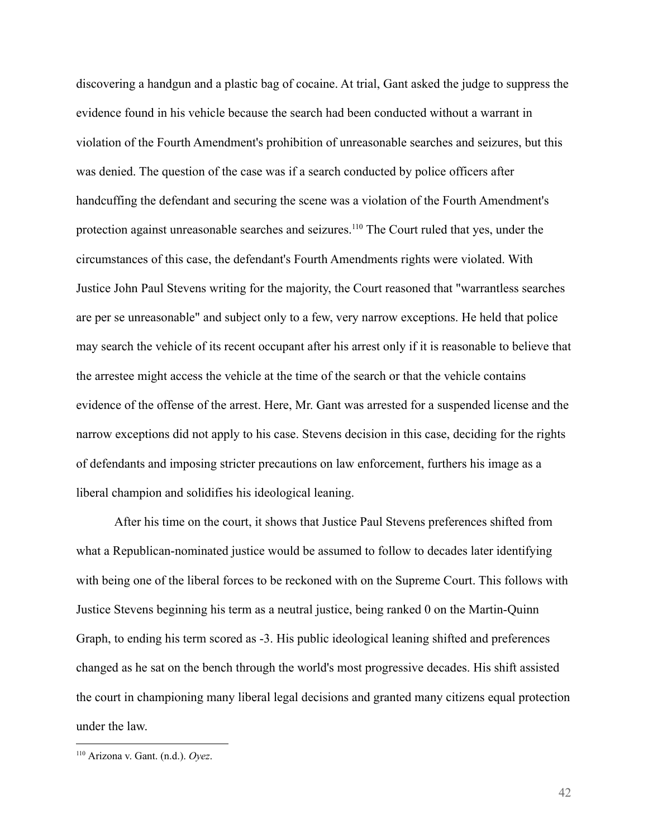discovering a handgun and a plastic bag of cocaine. At trial, Gant asked the judge to suppress the evidence found in his vehicle because the search had been conducted without a warrant in violation of the Fourth Amendment's prohibition of unreasonable searches and seizures, but this was denied. The question of the case was if a search conducted by police officers after handcuffing the defendant and securing the scene was a violation of the Fourth Amendment's protection against unreasonable searches and seizures.<sup>110</sup> The Court ruled that yes, under the circumstances of this case, the defendant's Fourth Amendments rights were violated. With Justice John Paul Stevens writing for the majority, the Court reasoned that "warrantless searches are per se unreasonable" and subject only to a few, very narrow exceptions. He held that police may search the vehicle of its recent occupant after his arrest only if it is reasonable to believe that the arrestee might access the vehicle at the time of the search or that the vehicle contains evidence of the offense of the arrest. Here, Mr. Gant was arrested for a suspended license and the narrow exceptions did not apply to his case. Stevens decision in this case, deciding for the rights of defendants and imposing stricter precautions on law enforcement, furthers his image as a liberal champion and solidifies his ideological leaning.

After his time on the court, it shows that Justice Paul Stevens preferences shifted from what a Republican-nominated justice would be assumed to follow to decades later identifying with being one of the liberal forces to be reckoned with on the Supreme Court. This follows with Justice Stevens beginning his term as a neutral justice, being ranked 0 on the Martin-Quinn Graph, to ending his term scored as -3. His public ideological leaning shifted and preferences changed as he sat on the bench through the world's most progressive decades. His shift assisted the court in championing many liberal legal decisions and granted many citizens equal protection under the law.

<sup>110</sup> Arizona v. Gant. (n.d.). *Oyez*.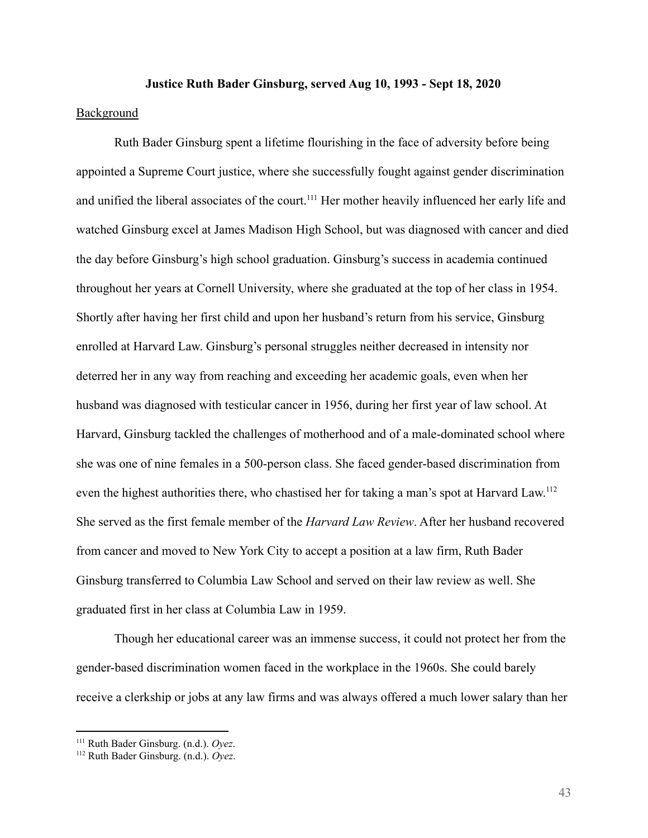#### **Justice Ruth Bader Ginsburg, served Aug 10, 1993 - Sept 18, 2020**

# Background

Ruth Bader Ginsburg spent a lifetime flourishing in the face of adversity before being appointed a Supreme Court justice, where she successfully fought against gender discrimination and unified the liberal associates of the court.<sup>111</sup> Her mother heavily influenced her early life and watched Ginsburg excel at James Madison High School, but was diagnosed with cancer and died the day before Ginsburg's high school graduation. Ginsburg's success in academia continued throughout her years at Cornell University, where she graduated at the top of her class in 1954. Shortly after having her first child and upon her husband's return from his service, Ginsburg enrolled at Harvard Law. Ginsburg's personal struggles neither decreased in intensity nor deterred her in any way from reaching and exceeding her academic goals, even when her husband was diagnosed with testicular cancer in 1956, during her first year of law school. At Harvard, Ginsburg tackled the challenges of motherhood and of a male-dominated school where she was one of nine females in a 500-person class. She faced gender-based discrimination from even the highest authorities there, who chastised her for taking a man's spot at Harvard Law.<sup>112</sup> She served as the first female member of the *Harvard Law Review*. After her husband recovered from cancer and moved to New York City to accept a position at a law firm, Ruth Bader Ginsburg transferred to Columbia Law School and served on their law review as well. She graduated first in her class at Columbia Law in 1959.

Though her educational career was an immense success, it could not protect her from the gender-based discrimination women faced in the workplace in the 1960s. She could barely receive a clerkship or jobs at any law firms and was always offered a much lower salary than her

<sup>111</sup> Ruth Bader Ginsburg. (n.d.). *Oyez*.

<sup>112</sup> Ruth Bader Ginsburg. (n.d.). *Oyez*.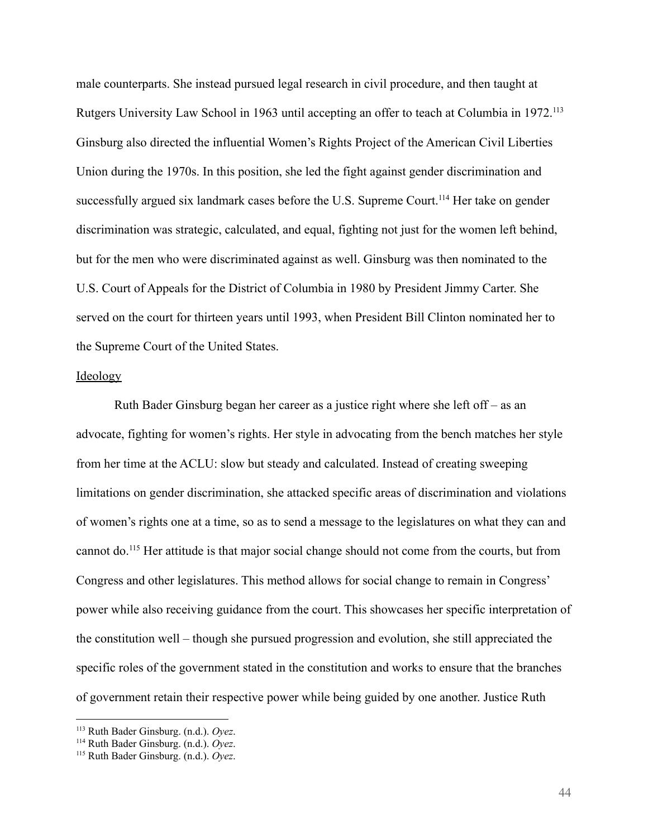male counterparts. She instead pursued legal research in civil procedure, and then taught at Rutgers University Law School in 1963 until accepting an offer to teach at Columbia in 1972.<sup>113</sup> Ginsburg also directed the influential Women's Rights Project of the American Civil Liberties Union during the 1970s. In this position, she led the fight against gender discrimination and successfully argued six landmark cases before the U.S. Supreme Court.<sup>114</sup> Her take on gender discrimination was strategic, calculated, and equal, fighting not just for the women left behind, but for the men who were discriminated against as well. Ginsburg was then nominated to the U.S. Court of Appeals for the District of Columbia in 1980 by President Jimmy Carter. She served on the court for thirteen years until 1993, when President Bill Clinton nominated her to the Supreme Court of the United States.

## Ideology

Ruth Bader Ginsburg began her career as a justice right where she left off – as an advocate, fighting for women's rights. Her style in advocating from the bench matches her style from her time at the ACLU: slow but steady and calculated. Instead of creating sweeping limitations on gender discrimination, she attacked specific areas of discrimination and violations of women's rights one at a time, so as to send a message to the legislatures on what they can and cannot do.<sup>115</sup> Her attitude is that major social change should not come from the courts, but from Congress and other legislatures. This method allows for social change to remain in Congress' power while also receiving guidance from the court. This showcases her specific interpretation of the constitution well – though she pursued progression and evolution, she still appreciated the specific roles of the government stated in the constitution and works to ensure that the branches of government retain their respective power while being guided by one another. Justice Ruth

<sup>113</sup> Ruth Bader Ginsburg. (n.d.). *Oyez*.

<sup>114</sup> Ruth Bader Ginsburg. (n.d.). *Oyez*.

<sup>115</sup> Ruth Bader Ginsburg. (n.d.). *Oyez*.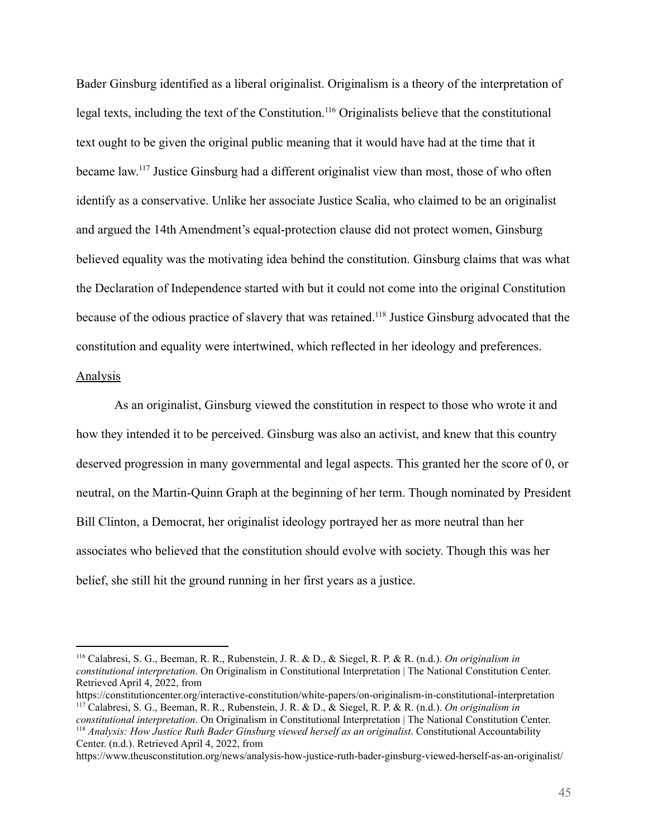Bader Ginsburg identified as a liberal originalist. Originalism is a theory of the interpretation of legal texts, including the text of the Constitution.<sup>116</sup> Originalists believe that the constitutional text ought to be given the original public meaning that it would have had at the time that it became law.<sup>117</sup> Justice Ginsburg had a different originalist view than most, those of who often identify as a conservative. Unlike her associate Justice Scalia, who claimed to be an originalist and argued the 14th Amendment's equal-protection clause did not protect women, Ginsburg believed equality was the motivating idea behind the constitution. Ginsburg claims that was what the Declaration of Independence started with but it could not come into the original Constitution because of the odious practice of slavery that was retained.<sup>118</sup> Justice Ginsburg advocated that the constitution and equality were intertwined, which reflected in her ideology and preferences.

#### Analysis

As an originalist, Ginsburg viewed the constitution in respect to those who wrote it and how they intended it to be perceived. Ginsburg was also an activist, and knew that this country deserved progression in many governmental and legal aspects. This granted her the score of 0, or neutral, on the Martin-Quinn Graph at the beginning of her term. Though nominated by President Bill Clinton, a Democrat, her originalist ideology portrayed her as more neutral than her associates who believed that the constitution should evolve with society. Though this was her belief, she still hit the ground running in her first years as a justice.

<sup>116</sup> Calabresi, S. G., Beeman, R. R., Rubenstein, J. R. & D., & Siegel, R. P. & R. (n.d.). *On originalism in constitutional interpretation*. On Originalism in Constitutional Interpretation | The National Constitution Center. Retrieved April 4, 2022, from

<sup>117</sup> Calabresi, S. G., Beeman, R. R., Rubenstein, J. R. & D., & Siegel, R. P. & R. (n.d.). *On originalism in* https://constitutioncenter.org/interactive-constitution/white-papers/on-originalism-in-constitutional-interpretation

<sup>118</sup> *Analysis: How Justice Ruth Bader Ginsburg viewed herself as an originalist*. Constitutional Accountability Center. (n.d.). Retrieved April 4, 2022, from *constitutional interpretation*. On Originalism in Constitutional Interpretation | The National Constitution Center.

https://www.theusconstitution.org/news/analysis-how-justice-ruth-bader-ginsburg-viewed-herself-as-an-originalist/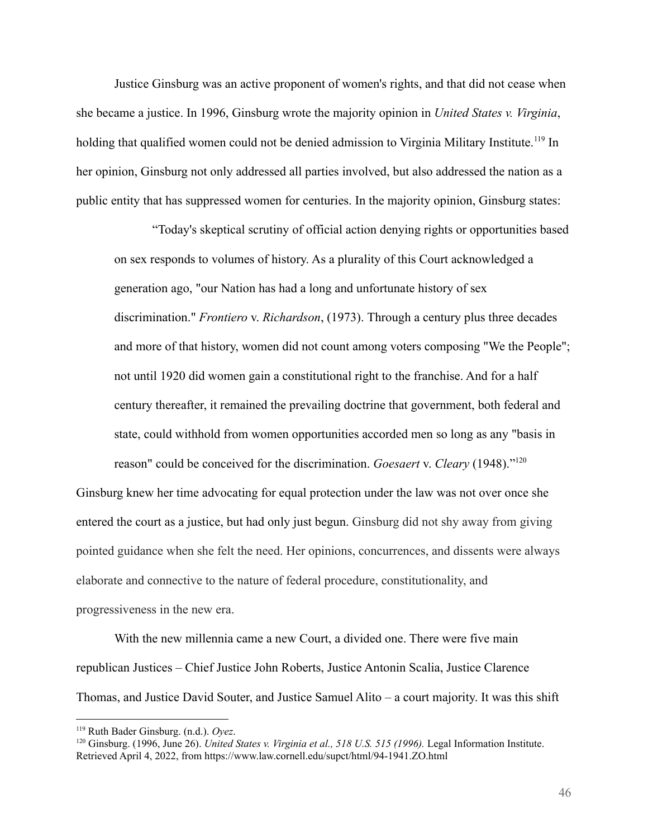Justice Ginsburg was an active proponent of women's rights, and that did not cease when she became a justice. In 1996, Ginsburg wrote the majority opinion in *United States v. Virginia*, holding that qualified women could not be denied admission to Virginia Military Institute.<sup>119</sup> In her opinion, Ginsburg not only addressed all parties involved, but also addressed the nation as a public entity that has suppressed women for centuries. In the majority opinion, Ginsburg states:

"Today's skeptical scrutiny of official action denying rights or opportunities based on sex responds to volumes of history. As a plurality of this Court acknowledged a generation ago, "our Nation has had a long and unfortunate history of sex discrimination." *Frontiero* v. *Richardson*, (1973). Through a century plus three decades and more of that history, women did not count among voters composing "We the People"; not until 1920 did women gain a constitutional right to the franchise. And for a half century thereafter, it remained the prevailing doctrine that government, both federal and state, could withhold from women opportunities accorded men so long as any "basis in reason" could be conceived for the discrimination. *Goesaert* v. *Cleary* (1948)."<sup>120</sup>

Ginsburg knew her time advocating for equal protection under the law was not over once she entered the court as a justice, but had only just begun. Ginsburg did not shy away from giving pointed guidance when she felt the need. Her opinions, concurrences, and dissents were always elaborate and connective to the nature of federal procedure, constitutionality, and progressiveness in the new era.

With the new millennia came a new Court, a divided one. There were five main republican Justices – Chief Justice John Roberts, Justice Antonin Scalia, Justice Clarence Thomas, and Justice David Souter, and Justice Samuel Alito – a court majority. It was this shift

<sup>119</sup> Ruth Bader Ginsburg. (n.d.). *Oyez*.

<sup>120</sup> Ginsburg. (1996, June 26). *United States v. Virginia et al., 518 U.S. 515 (1996).* Legal Information Institute. Retrieved April 4, 2022, from https://www.law.cornell.edu/supct/html/94-1941.ZO.html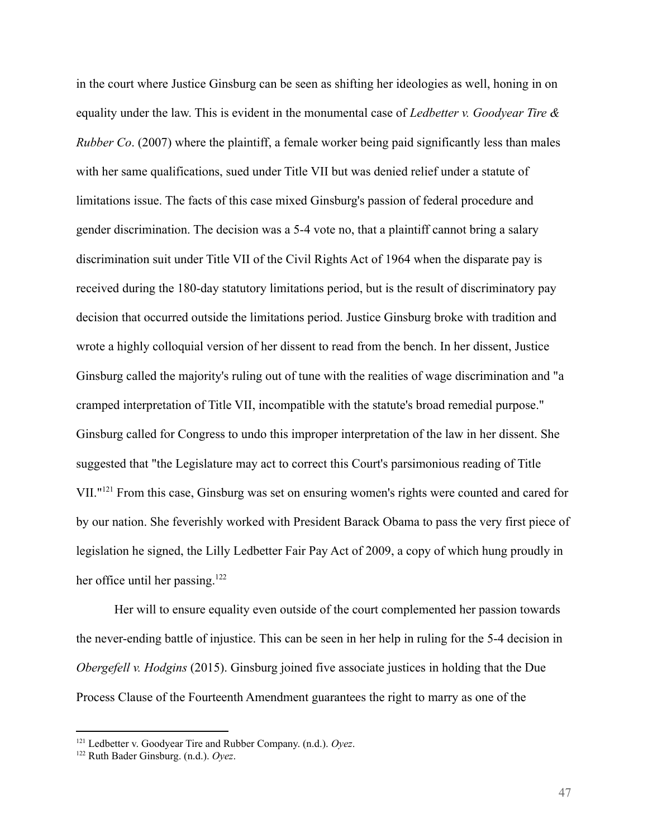in the court where Justice Ginsburg can be seen as shifting her ideologies as well, honing in on equality under the law. This is evident in the monumental case of *Ledbetter v. Goodyear Tire & Rubber Co*. (2007) where the plaintiff, a female worker being paid significantly less than males with her same qualifications, sued under Title VII but was denied relief under a statute of limitations issue. The facts of this case mixed Ginsburg's passion of federal procedure and gender discrimination. The decision was a 5-4 vote no, that a plaintiff cannot bring a salary discrimination suit under Title VII of the Civil Rights Act of 1964 when the disparate pay is received during the 180-day statutory limitations period, but is the result of discriminatory pay decision that occurred outside the limitations period. Justice Ginsburg broke with tradition and wrote a highly colloquial version of her dissent to read from the bench. In her dissent, Justice Ginsburg called the majority's ruling out of tune with the realities of wage discrimination and "a cramped interpretation of Title VII, incompatible with the statute's broad remedial purpose." Ginsburg called for Congress to undo this improper interpretation of the law in her dissent. She suggested that "the Legislature may act to correct this Court's parsimonious reading of Title VII."<sup>121</sup> From this case, Ginsburg was set on ensuring women's rights were counted and cared for by our nation. She feverishly worked with President Barack Obama to pass the very first piece of legislation he signed, the Lilly Ledbetter Fair Pay Act of 2009, a copy of which hung proudly in her office until her passing.<sup>122</sup>

Her will to ensure equality even outside of the court complemented her passion towards the never-ending battle of injustice. This can be seen in her help in ruling for the 5-4 decision in *Obergefell v. Hodgins* (2015). Ginsburg joined five associate justices in holding that the Due Process Clause of the Fourteenth Amendment guarantees the right to marry as one of the

<sup>121</sup> Ledbetter v. Goodyear Tire and Rubber Company. (n.d.). *Oyez*.

<sup>122</sup> Ruth Bader Ginsburg. (n.d.). *Oyez*.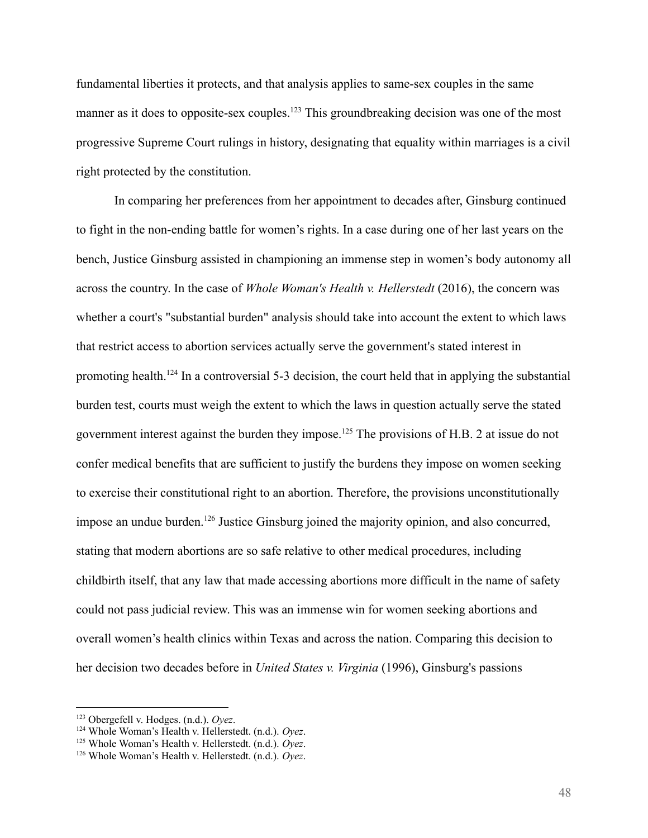fundamental liberties it protects, and that analysis applies to same-sex couples in the same manner as it does to opposite-sex couples.<sup>123</sup> This groundbreaking decision was one of the most progressive Supreme Court rulings in history, designating that equality within marriages is a civil right protected by the constitution.

In comparing her preferences from her appointment to decades after, Ginsburg continued to fight in the non-ending battle for women's rights. In a case during one of her last years on the bench, Justice Ginsburg assisted in championing an immense step in women's body autonomy all across the country. In the case of *Whole Woman's Health v. Hellerstedt* (2016), the concern was whether a court's "substantial burden" analysis should take into account the extent to which laws that restrict access to abortion services actually serve the government's stated interest in promoting health.<sup>124</sup> In a controversial 5-3 decision, the court held that in applying the substantial burden test, courts must weigh the extent to which the laws in question actually serve the stated government interest against the burden they impose.<sup>125</sup> The provisions of H.B. 2 at issue do not confer medical benefits that are sufficient to justify the burdens they impose on women seeking to exercise their constitutional right to an abortion. Therefore, the provisions unconstitutionally impose an undue burden.<sup>126</sup> Justice Ginsburg joined the majority opinion, and also concurred, stating that modern abortions are so safe relative to other medical procedures, including childbirth itself, that any law that made accessing abortions more difficult in the name of safety could not pass judicial review. This was an immense win for women seeking abortions and overall women's health clinics within Texas and across the nation. Comparing this decision to her decision two decades before in *United States v. Virginia* (1996), Ginsburg's passions

<sup>123</sup> Obergefell v. Hodges. (n.d.). *Oyez*.

<sup>124</sup> Whole Woman's Health v. Hellerstedt. (n.d.). *Oyez*.

<sup>125</sup> Whole Woman's Health v. Hellerstedt. (n.d.). *Oyez*.

<sup>126</sup> Whole Woman's Health v. Hellerstedt. (n.d.). *Oyez*.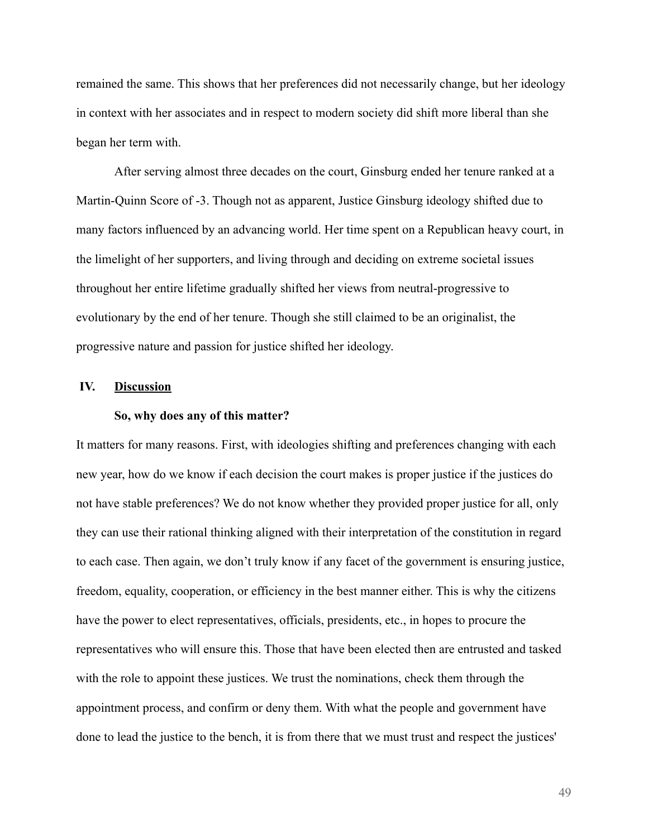remained the same. This shows that her preferences did not necessarily change, but her ideology in context with her associates and in respect to modern society did shift more liberal than she began her term with.

After serving almost three decades on the court, Ginsburg ended her tenure ranked at a Martin-Quinn Score of -3. Though not as apparent, Justice Ginsburg ideology shifted due to many factors influenced by an advancing world. Her time spent on a Republican heavy court, in the limelight of her supporters, and living through and deciding on extreme societal issues throughout her entire lifetime gradually shifted her views from neutral-progressive to evolutionary by the end of her tenure. Though she still claimed to be an originalist, the progressive nature and passion for justice shifted her ideology.

# **IV. Discussion**

#### **So, why does any of this matter?**

It matters for many reasons. First, with ideologies shifting and preferences changing with each new year, how do we know if each decision the court makes is proper justice if the justices do not have stable preferences? We do not know whether they provided proper justice for all, only they can use their rational thinking aligned with their interpretation of the constitution in regard to each case. Then again, we don't truly know if any facet of the government is ensuring justice, freedom, equality, cooperation, or efficiency in the best manner either. This is why the citizens have the power to elect representatives, officials, presidents, etc., in hopes to procure the representatives who will ensure this. Those that have been elected then are entrusted and tasked with the role to appoint these justices. We trust the nominations, check them through the appointment process, and confirm or deny them. With what the people and government have done to lead the justice to the bench, it is from there that we must trust and respect the justices'

49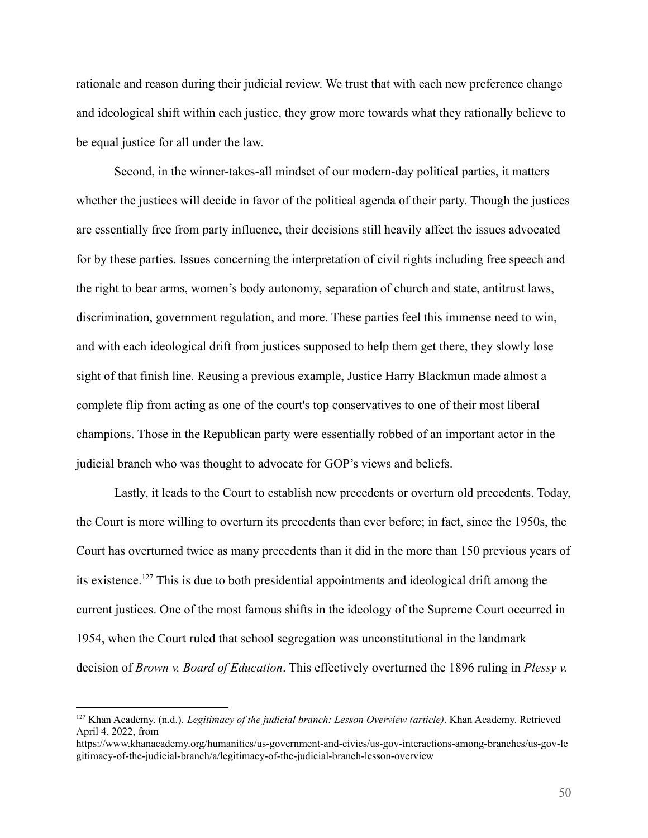rationale and reason during their judicial review. We trust that with each new preference change and ideological shift within each justice, they grow more towards what they rationally believe to be equal justice for all under the law.

Second, in the winner-takes-all mindset of our modern-day political parties, it matters whether the justices will decide in favor of the political agenda of their party. Though the justices are essentially free from party influence, their decisions still heavily affect the issues advocated for by these parties. Issues concerning the interpretation of civil rights including free speech and the right to bear arms, women's body autonomy, separation of church and state, antitrust laws, discrimination, government regulation, and more. These parties feel this immense need to win, and with each ideological drift from justices supposed to help them get there, they slowly lose sight of that finish line. Reusing a previous example, Justice Harry Blackmun made almost a complete flip from acting as one of the court's top conservatives to one of their most liberal champions. Those in the Republican party were essentially robbed of an important actor in the judicial branch who was thought to advocate for GOP's views and beliefs.

Lastly, it leads to the Court to establish new precedents or overturn old precedents. Today, the Court is more willing to overturn its precedents than ever before; in fact, since the 1950s, the Court has overturned twice as many precedents than it did in the more than 150 previous years of its existence.<sup>127</sup> This is due to both presidential appointments and ideological drift among the current justices. One of the most famous shifts in the ideology of the Supreme Court occurred in 1954, when the Court ruled that school segregation was unconstitutional in the landmark decision of *Brown v. Board of Education*. This effectively overturned the 1896 ruling in *Plessy v.*

<sup>127</sup> Khan Academy. (n.d.). *Legitimacy of the judicial branch: Lesson Overview (article)*. Khan Academy. Retrieved April 4, 2022, from

https://www.khanacademy.org/humanities/us-government-and-civics/us-gov-interactions-among-branches/us-gov-le gitimacy-of-the-judicial-branch/a/legitimacy-of-the-judicial-branch-lesson-overview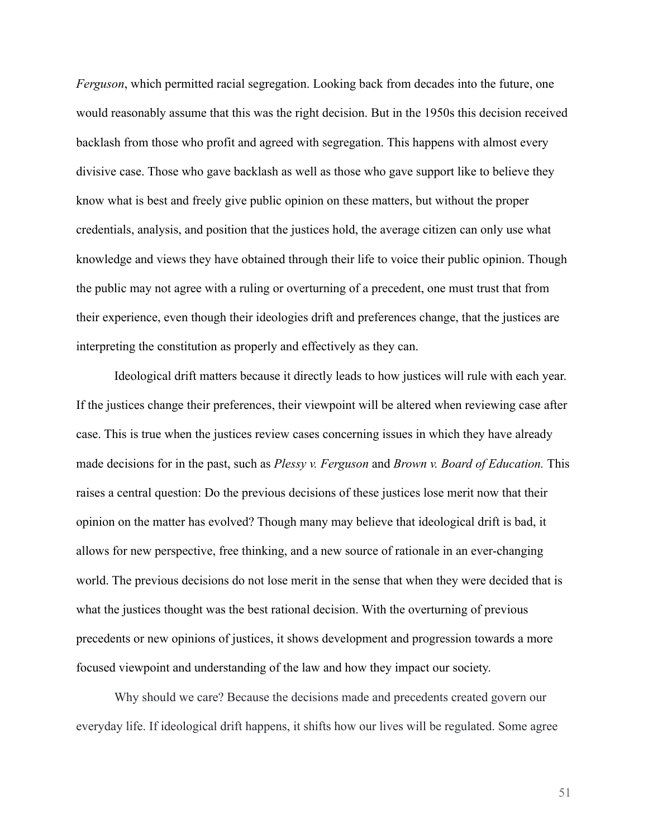*Ferguson*, which permitted racial segregation. Looking back from decades into the future, one would reasonably assume that this was the right decision. But in the 1950s this decision received backlash from those who profit and agreed with segregation. This happens with almost every divisive case. Those who gave backlash as well as those who gave support like to believe they know what is best and freely give public opinion on these matters, but without the proper credentials, analysis, and position that the justices hold, the average citizen can only use what knowledge and views they have obtained through their life to voice their public opinion. Though the public may not agree with a ruling or overturning of a precedent, one must trust that from their experience, even though their ideologies drift and preferences change, that the justices are interpreting the constitution as properly and effectively as they can.

Ideological drift matters because it directly leads to how justices will rule with each year. If the justices change their preferences, their viewpoint will be altered when reviewing case after case. This is true when the justices review cases concerning issues in which they have already made decisions for in the past, such as *Plessy v. Ferguson* and *Brown v. Board of Education.* This raises a central question: Do the previous decisions of these justices lose merit now that their opinion on the matter has evolved? Though many may believe that ideological drift is bad, it allows for new perspective, free thinking, and a new source of rationale in an ever-changing world. The previous decisions do not lose merit in the sense that when they were decided that is what the justices thought was the best rational decision. With the overturning of previous precedents or new opinions of justices, it shows development and progression towards a more focused viewpoint and understanding of the law and how they impact our society.

Why should we care? Because the decisions made and precedents created govern our everyday life. If ideological drift happens, it shifts how our lives will be regulated. Some agree

51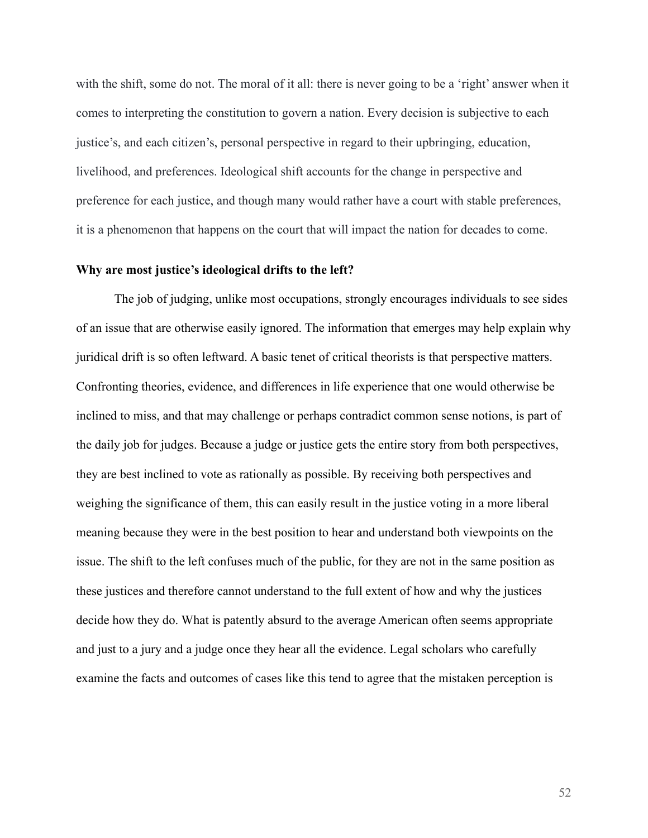with the shift, some do not. The moral of it all: there is never going to be a 'right' answer when it comes to interpreting the constitution to govern a nation. Every decision is subjective to each justice's, and each citizen's, personal perspective in regard to their upbringing, education, livelihood, and preferences. Ideological shift accounts for the change in perspective and preference for each justice, and though many would rather have a court with stable preferences, it is a phenomenon that happens on the court that will impact the nation for decades to come.

# **Why are most justice's ideological drifts to the left?**

The job of judging, unlike most occupations, strongly encourages individuals to see sides of an issue that are otherwise easily ignored. The information that emerges may help explain why juridical drift is so often leftward. A basic tenet of critical theorists is that perspective matters. Confronting theories, evidence, and differences in life experience that one would otherwise be inclined to miss, and that may challenge or perhaps contradict common sense notions, is part of the daily job for judges. Because a judge or justice gets the entire story from both perspectives, they are best inclined to vote as rationally as possible. By receiving both perspectives and weighing the significance of them, this can easily result in the justice voting in a more liberal meaning because they were in the best position to hear and understand both viewpoints on the issue. The shift to the left confuses much of the public, for they are not in the same position as these justices and therefore cannot understand to the full extent of how and why the justices decide how they do. What is patently absurd to the average American often seems appropriate and just to a jury and a judge once they hear all the evidence. Legal scholars who carefully examine the facts and outcomes of cases like this tend to agree that the mistaken perception is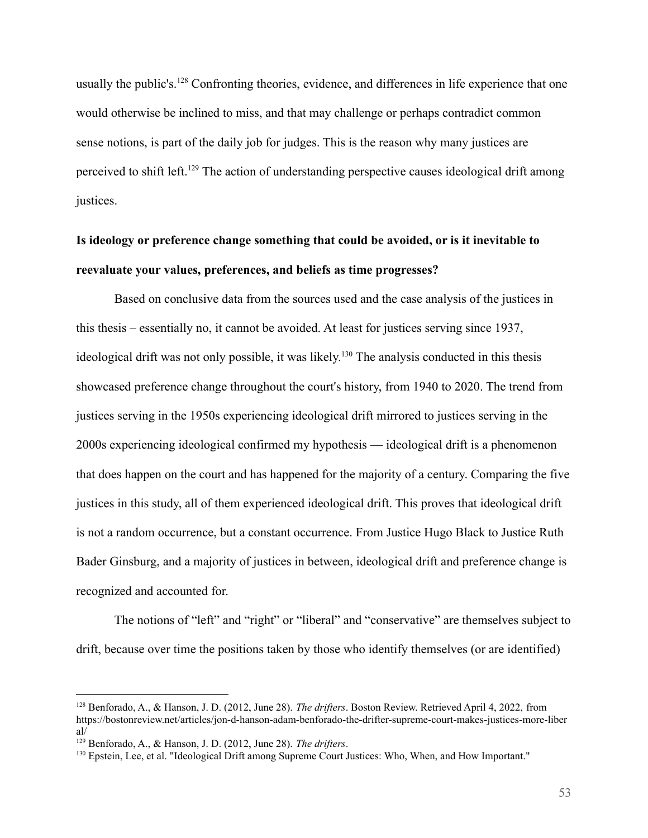usually the public's.<sup>128</sup> Confronting theories, evidence, and differences in life experience that one would otherwise be inclined to miss, and that may challenge or perhaps contradict common sense notions, is part of the daily job for judges. This is the reason why many justices are perceived to shift left.<sup>129</sup> The action of understanding perspective causes ideological drift among justices.

# **Is ideology or preference change something that could be avoided, or is it inevitable to reevaluate your values, preferences, and beliefs as time progresses?**

Based on conclusive data from the sources used and the case analysis of the justices in this thesis – essentially no, it cannot be avoided. At least for justices serving since 1937, ideological drift was not only possible, it was likely. <sup>130</sup> The analysis conducted in this thesis showcased preference change throughout the court's history, from 1940 to 2020. The trend from justices serving in the 1950s experiencing ideological drift mirrored to justices serving in the 2000s experiencing ideological confirmed my hypothesis –– ideological drift is a phenomenon that does happen on the court and has happened for the majority of a century. Comparing the five justices in this study, all of them experienced ideological drift. This proves that ideological drift is not a random occurrence, but a constant occurrence. From Justice Hugo Black to Justice Ruth Bader Ginsburg, and a majority of justices in between, ideological drift and preference change is recognized and accounted for.

The notions of "left" and "right" or "liberal" and "conservative" are themselves subject to drift, because over time the positions taken by those who identify themselves (or are identified)

<sup>128</sup> Benforado, A., & Hanson, J. D. (2012, June 28). *The drifters*. Boston Review. Retrieved April 4, 2022, from https://bostonreview.net/articles/jon-d-hanson-adam-benforado-the-drifter-supreme-court-makes-justices-more-liber al/

<sup>129</sup> Benforado, A., & Hanson, J. D. (2012, June 28). *The drifters*.

<sup>130</sup> Epstein, Lee, et al. "Ideological Drift among Supreme Court Justices: Who, When, and How Important."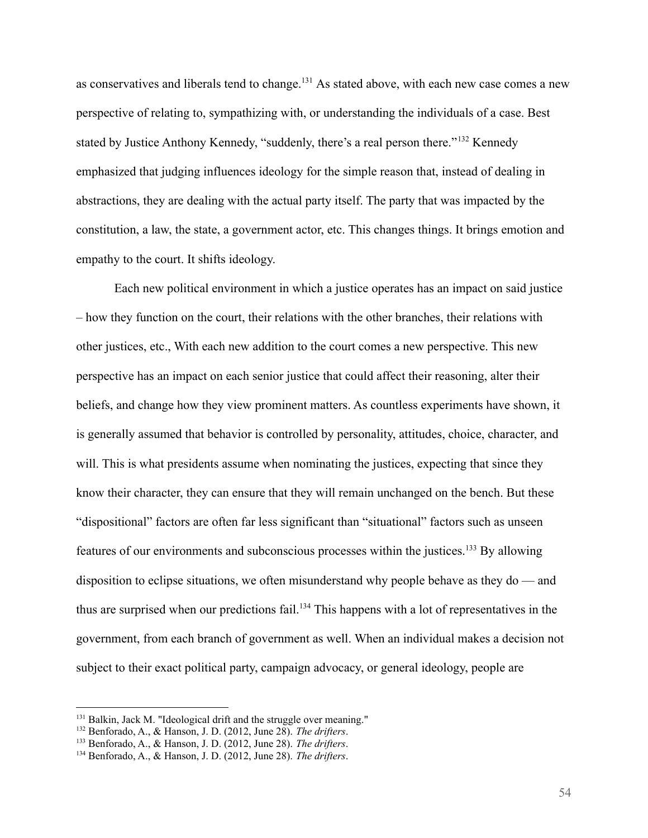as conservatives and liberals tend to change.<sup>131</sup> As stated above, with each new case comes a new perspective of relating to, sympathizing with, or understanding the individuals of a case. Best stated by Justice Anthony Kennedy, "suddenly, there's a real person there."<sup>132</sup> Kennedy emphasized that judging influences ideology for the simple reason that, instead of dealing in abstractions, they are dealing with the actual party itself. The party that was impacted by the constitution, a law, the state, a government actor, etc. This changes things. It brings emotion and empathy to the court. It shifts ideology.

Each new political environment in which a justice operates has an impact on said justice – how they function on the court, their relations with the other branches, their relations with other justices, etc., With each new addition to the court comes a new perspective. This new perspective has an impact on each senior justice that could affect their reasoning, alter their beliefs, and change how they view prominent matters. As countless experiments have shown, it is generally assumed that behavior is controlled by personality, attitudes, choice, character, and will. This is what presidents assume when nominating the justices, expecting that since they know their character, they can ensure that they will remain unchanged on the bench. But these "dispositional" factors are often far less significant than "situational" factors such as unseen features of our environments and subconscious processes within the justices.<sup>133</sup> By allowing disposition to eclipse situations, we often misunderstand why people behave as they do — and thus are surprised when our predictions fail.<sup>134</sup> This happens with a lot of representatives in the government, from each branch of government as well. When an individual makes a decision not subject to their exact political party, campaign advocacy, or general ideology, people are

<sup>&</sup>lt;sup>131</sup> Balkin, Jack M. "Ideological drift and the struggle over meaning."

<sup>132</sup> Benforado, A., & Hanson, J. D. (2012, June 28). *The drifters*.

<sup>133</sup> Benforado, A., & Hanson, J. D. (2012, June 28). *The drifters*.

<sup>134</sup> Benforado, A., & Hanson, J. D. (2012, June 28). *The drifters*.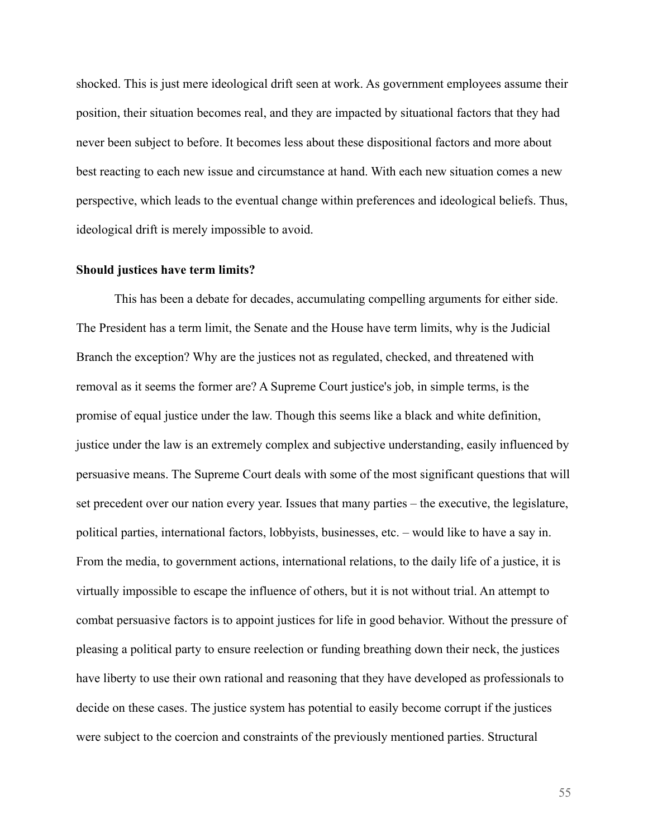shocked. This is just mere ideological drift seen at work. As government employees assume their position, their situation becomes real, and they are impacted by situational factors that they had never been subject to before. It becomes less about these dispositional factors and more about best reacting to each new issue and circumstance at hand. With each new situation comes a new perspective, which leads to the eventual change within preferences and ideological beliefs. Thus, ideological drift is merely impossible to avoid.

#### **Should justices have term limits?**

This has been a debate for decades, accumulating compelling arguments for either side. The President has a term limit, the Senate and the House have term limits, why is the Judicial Branch the exception? Why are the justices not as regulated, checked, and threatened with removal as it seems the former are? A Supreme Court justice's job, in simple terms, is the promise of equal justice under the law. Though this seems like a black and white definition, justice under the law is an extremely complex and subjective understanding, easily influenced by persuasive means. The Supreme Court deals with some of the most significant questions that will set precedent over our nation every year. Issues that many parties – the executive, the legislature, political parties, international factors, lobbyists, businesses, etc. – would like to have a say in. From the media, to government actions, international relations, to the daily life of a justice, it is virtually impossible to escape the influence of others, but it is not without trial. An attempt to combat persuasive factors is to appoint justices for life in good behavior. Without the pressure of pleasing a political party to ensure reelection or funding breathing down their neck, the justices have liberty to use their own rational and reasoning that they have developed as professionals to decide on these cases. The justice system has potential to easily become corrupt if the justices were subject to the coercion and constraints of the previously mentioned parties. Structural

55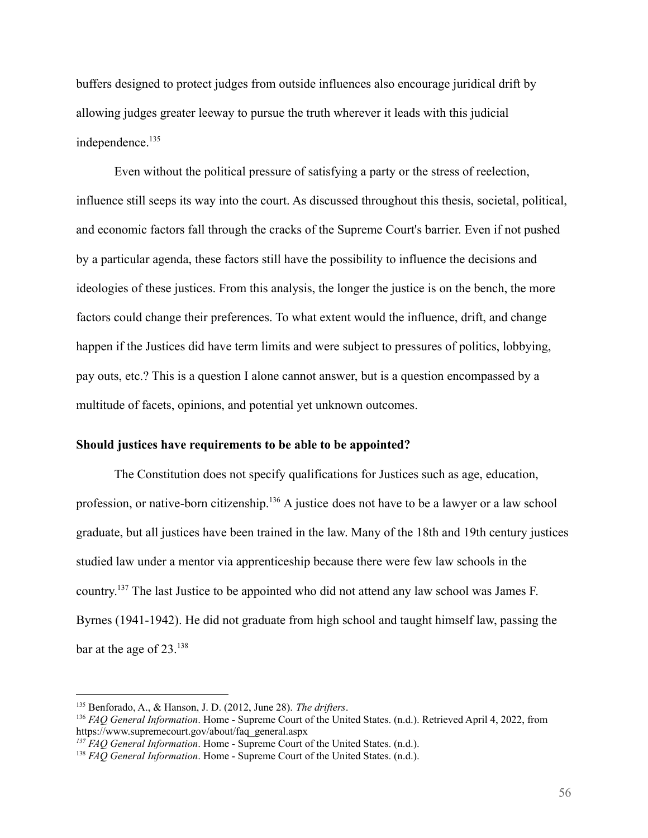buffers designed to protect judges from outside influences also encourage juridical drift by allowing judges greater leeway to pursue the truth wherever it leads with this judicial independence.<sup>135</sup>

Even without the political pressure of satisfying a party or the stress of reelection, influence still seeps its way into the court. As discussed throughout this thesis, societal, political, and economic factors fall through the cracks of the Supreme Court's barrier. Even if not pushed by a particular agenda, these factors still have the possibility to influence the decisions and ideologies of these justices. From this analysis, the longer the justice is on the bench, the more factors could change their preferences. To what extent would the influence, drift, and change happen if the Justices did have term limits and were subject to pressures of politics, lobbying, pay outs, etc.? This is a question I alone cannot answer, but is a question encompassed by a multitude of facets, opinions, and potential yet unknown outcomes.

## **Should justices have requirements to be able to be appointed?**

The Constitution does not specify qualifications for Justices such as age, education, profession, or native-born citizenship.<sup>136</sup> A justice does not have to be a lawyer or a law school graduate, but all justices have been trained in the law. Many of the 18th and 19th century justices studied law under a mentor via apprenticeship because there were few law schools in the country.<sup>137</sup> The last Justice to be appointed who did not attend any law school was James F. Byrnes (1941-1942). He did not graduate from high school and taught himself law, passing the bar at the age of 23.<sup>138</sup>

<sup>135</sup> Benforado, A., & Hanson, J. D. (2012, June 28). *The drifters*.

<sup>136</sup> *FAQ General Information*. Home - Supreme Court of the United States. (n.d.). Retrieved April 4, 2022, from https://www.supremecourt.gov/about/faq\_general.aspx

*<sup>137</sup> FAQ General Information*. Home - Supreme Court of the United States. (n.d.).

<sup>138</sup> *FAQ General Information*. Home - Supreme Court of the United States. (n.d.).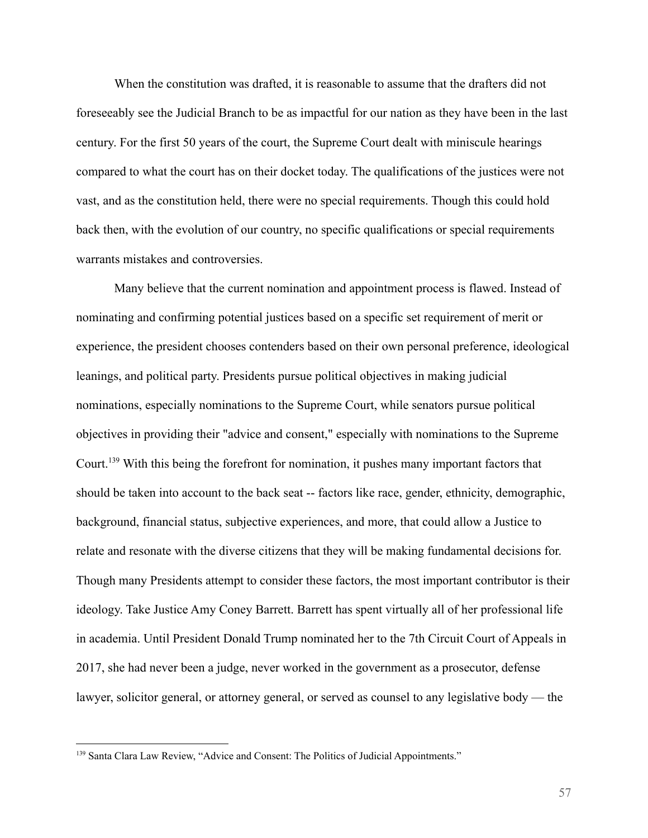When the constitution was drafted, it is reasonable to assume that the drafters did not foreseeably see the Judicial Branch to be as impactful for our nation as they have been in the last century. For the first 50 years of the court, the Supreme Court dealt with miniscule hearings compared to what the court has on their docket today. The qualifications of the justices were not vast, and as the constitution held, there were no special requirements. Though this could hold back then, with the evolution of our country, no specific qualifications or special requirements warrants mistakes and controversies.

Many believe that the current nomination and appointment process is flawed. Instead of nominating and confirming potential justices based on a specific set requirement of merit or experience, the president chooses contenders based on their own personal preference, ideological leanings, and political party. Presidents pursue political objectives in making judicial nominations, especially nominations to the Supreme Court, while senators pursue political objectives in providing their "advice and consent," especially with nominations to the Supreme Court.<sup>139</sup> With this being the forefront for nomination, it pushes many important factors that should be taken into account to the back seat -- factors like race, gender, ethnicity, demographic, background, financial status, subjective experiences, and more, that could allow a Justice to relate and resonate with the diverse citizens that they will be making fundamental decisions for. Though many Presidents attempt to consider these factors, the most important contributor is their ideology. Take Justice Amy Coney Barrett. Barrett has spent virtually all of her professional life in academia. Until President Donald Trump nominated her to the 7th Circuit Court of Appeals in 2017, she had never been a judge, never worked in the government as a prosecutor, defense lawyer, solicitor general, or attorney general, or served as counsel to any legislative body — the

<sup>&</sup>lt;sup>139</sup> Santa Clara Law Review, "Advice and Consent: The Politics of Judicial Appointments."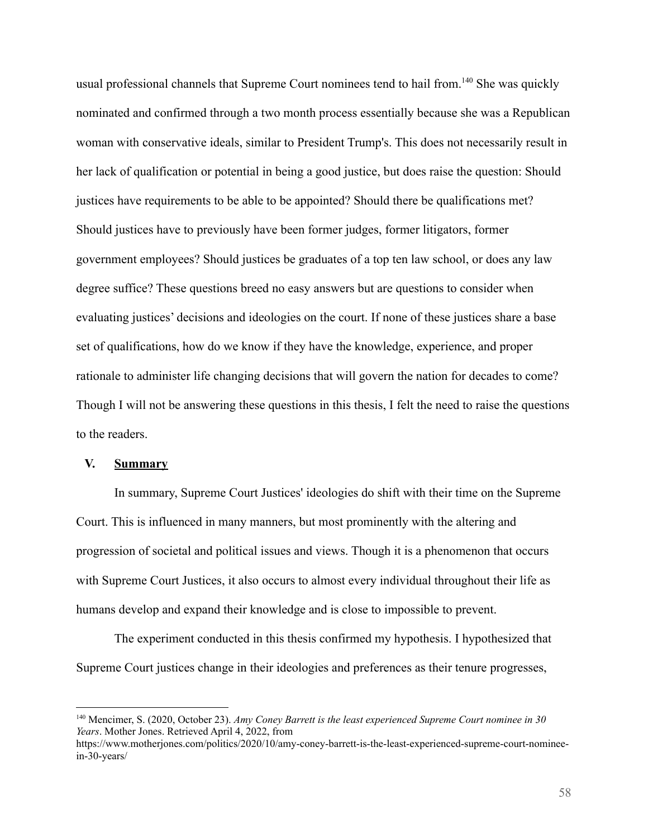usual professional channels that Supreme Court nominees tend to hail from.<sup>140</sup> She was quickly nominated and confirmed through a two month process essentially because she was a Republican woman with conservative ideals, similar to President Trump's. This does not necessarily result in her lack of qualification or potential in being a good justice, but does raise the question: Should justices have requirements to be able to be appointed? Should there be qualifications met? Should justices have to previously have been former judges, former litigators, former government employees? Should justices be graduates of a top ten law school, or does any law degree suffice? These questions breed no easy answers but are questions to consider when evaluating justices' decisions and ideologies on the court. If none of these justices share a base set of qualifications, how do we know if they have the knowledge, experience, and proper rationale to administer life changing decisions that will govern the nation for decades to come? Though I will not be answering these questions in this thesis, I felt the need to raise the questions to the readers.

# **V. Summary**

In summary, Supreme Court Justices' ideologies do shift with their time on the Supreme Court. This is influenced in many manners, but most prominently with the altering and progression of societal and political issues and views. Though it is a phenomenon that occurs with Supreme Court Justices, it also occurs to almost every individual throughout their life as humans develop and expand their knowledge and is close to impossible to prevent.

The experiment conducted in this thesis confirmed my hypothesis. I hypothesized that Supreme Court justices change in their ideologies and preferences as their tenure progresses,

<sup>140</sup> Mencimer, S. (2020, October 23). *Amy Coney Barrett is the least experienced Supreme Court nominee in 30 Years*. Mother Jones. Retrieved April 4, 2022, from

https://www.motherjones.com/politics/2020/10/amy-coney-barrett-is-the-least-experienced-supreme-court-nomineein-30-years/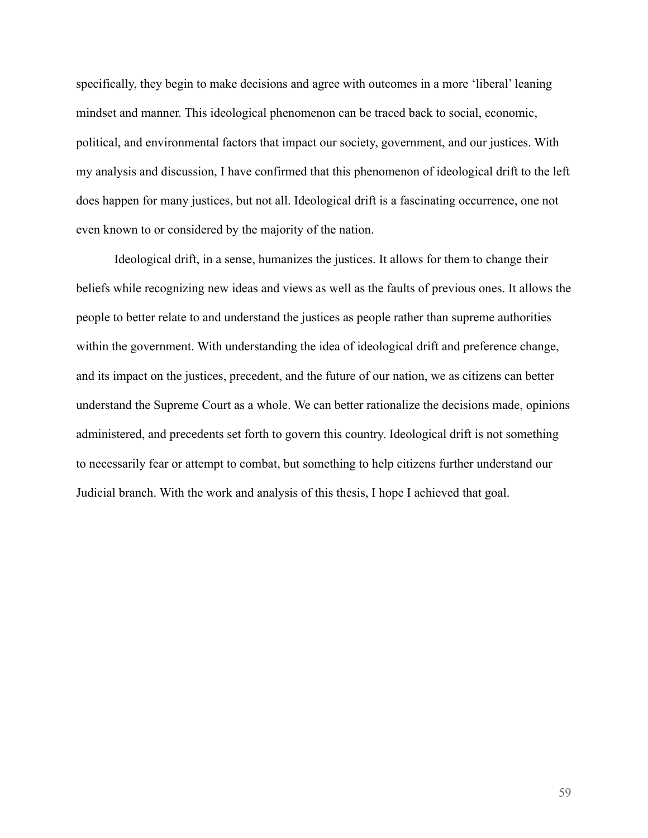specifically, they begin to make decisions and agree with outcomes in a more 'liberal' leaning mindset and manner. This ideological phenomenon can be traced back to social, economic, political, and environmental factors that impact our society, government, and our justices. With my analysis and discussion, I have confirmed that this phenomenon of ideological drift to the left does happen for many justices, but not all. Ideological drift is a fascinating occurrence, one not even known to or considered by the majority of the nation.

Ideological drift, in a sense, humanizes the justices. It allows for them to change their beliefs while recognizing new ideas and views as well as the faults of previous ones. It allows the people to better relate to and understand the justices as people rather than supreme authorities within the government. With understanding the idea of ideological drift and preference change, and its impact on the justices, precedent, and the future of our nation, we as citizens can better understand the Supreme Court as a whole. We can better rationalize the decisions made, opinions administered, and precedents set forth to govern this country. Ideological drift is not something to necessarily fear or attempt to combat, but something to help citizens further understand our Judicial branch. With the work and analysis of this thesis, I hope I achieved that goal.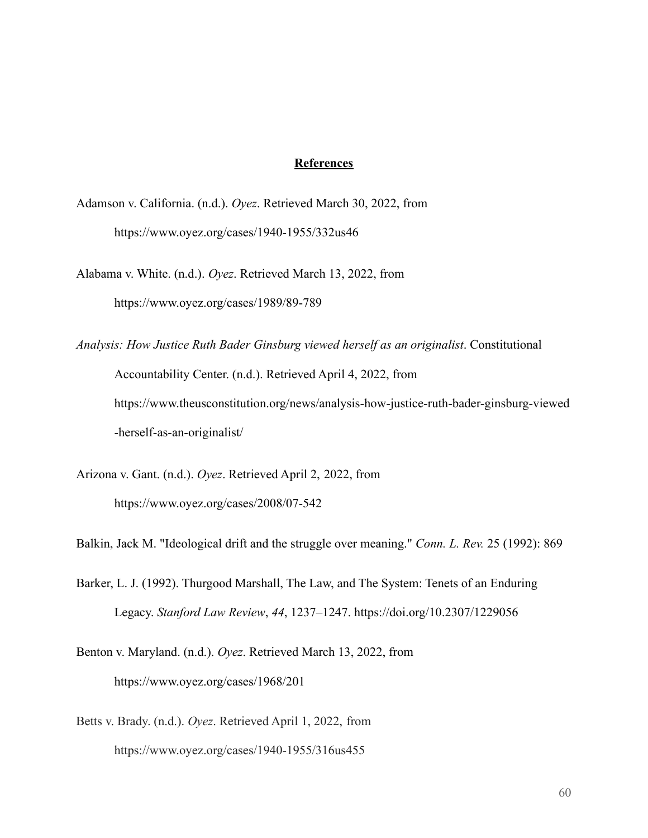# **References**

Adamson v. California. (n.d.). *Oyez*. Retrieved March 30, 2022, from https://www.oyez.org/cases/1940-1955/332us46

Alabama v. White. (n.d.). *Oyez*. Retrieved March 13, 2022, from https://www.oyez.org/cases/1989/89-789

*Analysis: How Justice Ruth Bader Ginsburg viewed herself as an originalist*. Constitutional Accountability Center. (n.d.). Retrieved April 4, 2022, from https://www.theusconstitution.org/news/analysis-how-justice-ruth-bader-ginsburg-viewed -herself-as-an-originalist/

Arizona v. Gant. (n.d.). *Oyez*. Retrieved April 2, 2022, from https://www.oyez.org/cases/2008/07-542

Balkin, Jack M. "Ideological drift and the struggle over meaning." *Conn. L. Rev.* 25 (1992): 869

Barker, L. J. (1992). Thurgood Marshall, The Law, and The System: Tenets of an Enduring Legacy. *Stanford Law Review*, *44*, 1237–1247. https://doi.org/10.2307/1229056

Benton v. Maryland. (n.d.). *Oyez*. Retrieved March 13, 2022, from https://www.oyez.org/cases/1968/201

Betts v. Brady. (n.d.). *Oyez*. Retrieved April 1, 2022, from https://www.oyez.org/cases/1940-1955/316us455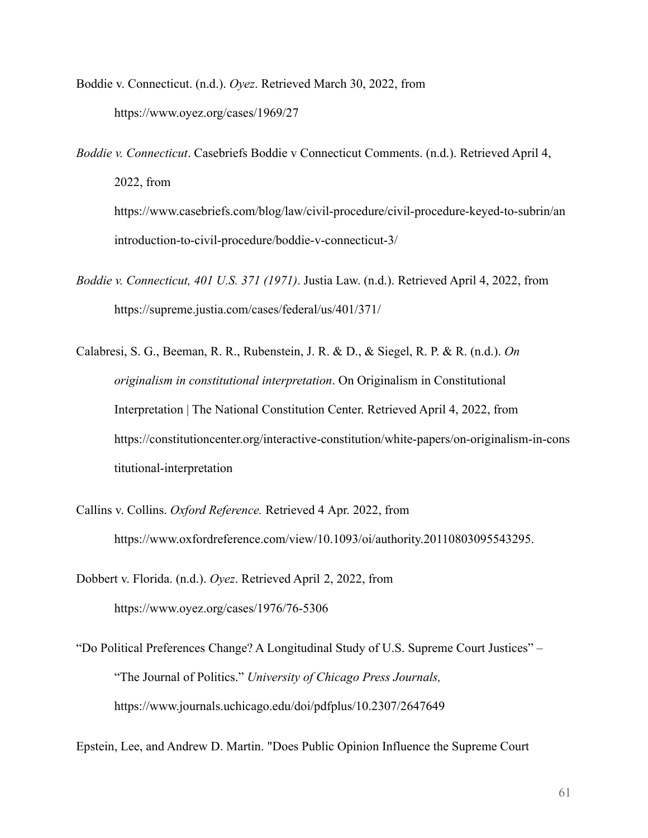Boddie v. Connecticut. (n.d.). *Oyez*. Retrieved March 30, 2022, from https://www.oyez.org/cases/1969/27

*Boddie v. Connecticut*. Casebriefs Boddie v Connecticut Comments. (n.d.). Retrieved April 4, 2022, from https://www.casebriefs.com/blog/law/civil-procedure/civil-procedure-keyed-to-subrin/an introduction-to-civil-procedure/boddie-v-connecticut-3/

- *Boddie v. Connecticut, 401 U.S. 371 (1971)*. Justia Law. (n.d.). Retrieved April 4, 2022, from https://supreme.justia.com/cases/federal/us/401/371/
- Calabresi, S. G., Beeman, R. R., Rubenstein, J. R. & D., & Siegel, R. P. & R. (n.d.). *On originalism in constitutional interpretation*. On Originalism in Constitutional Interpretation | The National Constitution Center. Retrieved April 4, 2022, from https://constitutioncenter.org/interactive-constitution/white-papers/on-originalism-in-cons titutional-interpretation
- Callins v. Collins. *Oxford Reference.* Retrieved 4 Apr. 2022, from https://www.oxfordreference.com/view/10.1093/oi/authority.20110803095543295.
- Dobbert v. Florida. (n.d.). *Oyez*. Retrieved April 2, 2022, from https://www.oyez.org/cases/1976/76-5306

"Do Political Preferences Change? A Longitudinal Study of U.S. Supreme Court Justices" – "The Journal of Politics." *University of Chicago Press Journals,* https://www.journals.uchicago.edu/doi/pdfplus/10.2307/2647649

Epstein, Lee, and Andrew D. Martin. "Does Public Opinion Influence the Supreme Court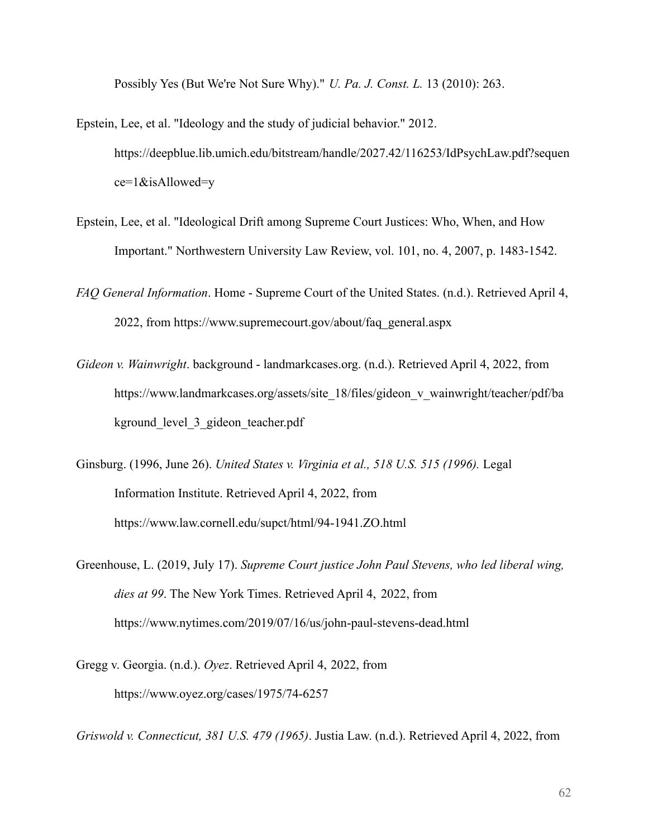Possibly Yes (But We're Not Sure Why)." *U. Pa. J. Const. L.* 13 (2010): 263.

- Epstein, Lee, et al. "Ideology and the study of judicial behavior." 2012. https://deepblue.lib.umich.edu/bitstream/handle/2027.42/116253/IdPsychLaw.pdf?sequen ce=1&isAllowed=y
- Epstein, Lee, et al. "Ideological Drift among Supreme Court Justices: Who, When, and How Important." Northwestern University Law Review, vol. 101, no. 4, 2007, p. 1483-1542.
- *FAQ General Information*. Home Supreme Court of the United States. (n.d.). Retrieved April 4, 2022, from https://www.supremecourt.gov/about/faq\_general.aspx
- *Gideon v. Wainwright*. background landmarkcases.org. (n.d.). Retrieved April 4, 2022, from https://www.landmarkcases.org/assets/site\_18/files/gideon\_v\_wainwright/teacher/pdf/ba kground level 3 gideon teacher.pdf
- Ginsburg. (1996, June 26). *United States v. Virginia et al., 518 U.S. 515 (1996).* Legal Information Institute. Retrieved April 4, 2022, from https://www.law.cornell.edu/supct/html/94-1941.ZO.html
- Greenhouse, L. (2019, July 17). *Supreme Court justice John Paul Stevens, who led liberal wing, dies at 99*. The New York Times. Retrieved April 4, 2022, from https://www.nytimes.com/2019/07/16/us/john-paul-stevens-dead.html
- Gregg v. Georgia. (n.d.). *Oyez*. Retrieved April 4, 2022, from https://www.oyez.org/cases/1975/74-6257

*Griswold v. Connecticut, 381 U.S. 479 (1965)*. Justia Law. (n.d.). Retrieved April 4, 2022, from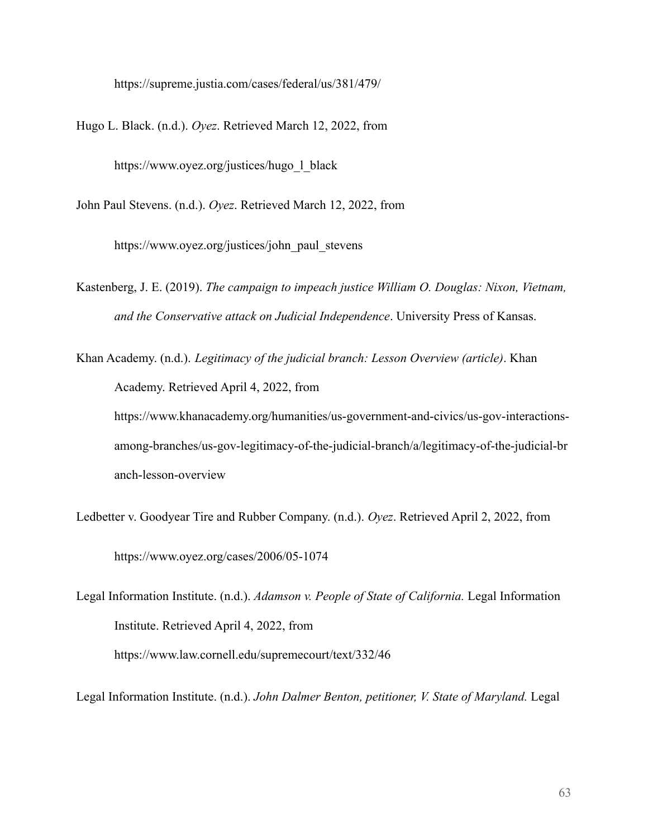https://supreme.justia.com/cases/federal/us/381/479/

Hugo L. Black. (n.d.). *Oyez*. Retrieved March 12, 2022, from

https://www.oyez.org/justices/hugo\_l\_black

John Paul Stevens. (n.d.). *Oyez*. Retrieved March 12, 2022, from

https://www.oyez.org/justices/john\_paul\_stevens

Kastenberg, J. E. (2019). *The campaign to impeach justice William O. Douglas: Nixon, Vietnam, and the Conservative attack on Judicial Independence*. University Press of Kansas.

Khan Academy. (n.d.). *Legitimacy of the judicial branch: Lesson Overview (article)*. Khan Academy. Retrieved April 4, 2022, from https://www.khanacademy.org/humanities/us-government-and-civics/us-gov-interactionsamong-branches/us-gov-legitimacy-of-the-judicial-branch/a/legitimacy-of-the-judicial-br anch-lesson-overview

Ledbetter v. Goodyear Tire and Rubber Company. (n.d.). *Oyez*. Retrieved April 2, 2022, from https://www.oyez.org/cases/2006/05-1074

Legal Information Institute. (n.d.). *Adamson v. People of State of California.* Legal Information Institute. Retrieved April 4, 2022, from https://www.law.cornell.edu/supremecourt/text/332/46

Legal Information Institute. (n.d.). *John Dalmer Benton, petitioner, V. State of Maryland.* Legal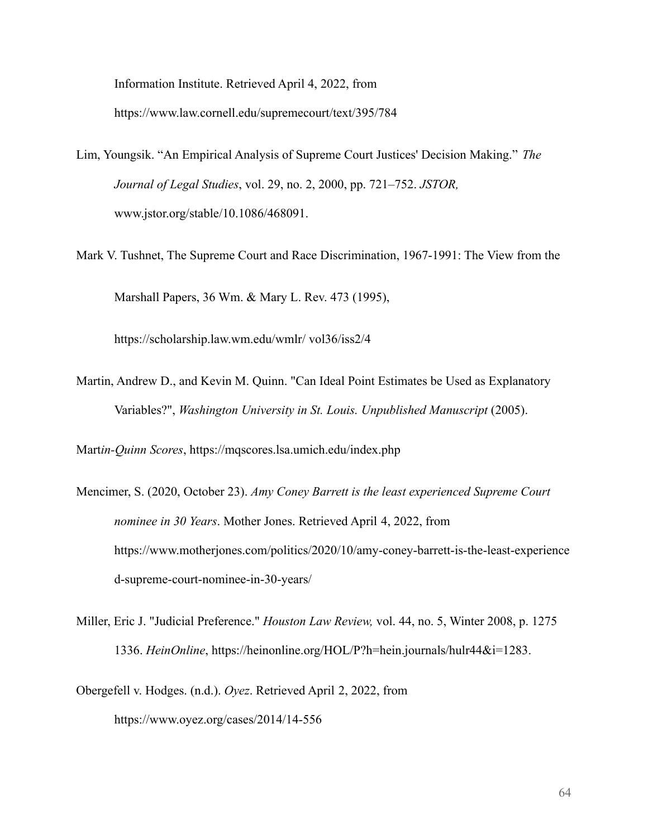Information Institute. Retrieved April 4, 2022, from https://www.law.cornell.edu/supremecourt/text/395/784

- Lim, Youngsik. "An Empirical Analysis of Supreme Court Justices' Decision Making." *The Journal of Legal Studies*, vol. 29, no. 2, 2000, pp. 721–752. *JSTOR,* www.jstor.org/stable/10.1086/468091.
- Mark V. Tushnet, The Supreme Court and Race Discrimination, 1967-1991: The View from the Marshall Papers, 36 Wm. & Mary L. Rev. 473 (1995),

https://scholarship.law.wm.edu/wmlr/ vol36/iss2/4

Martin, Andrew D., and Kevin M. Quinn. "Can Ideal Point Estimates be Used as Explanatory Variables?", *Washington University in St. Louis. Unpublished Manuscript* (2005).

Mart*in-Quinn Scores*, https://mqscores.lsa.umich.edu/index.php

- Mencimer, S. (2020, October 23). *Amy Coney Barrett is the least experienced Supreme Court nominee in 30 Years*. Mother Jones. Retrieved April 4, 2022, from https://www.motherjones.com/politics/2020/10/amy-coney-barrett-is-the-least-experience d-supreme-court-nominee-in-30-years/
- Miller, Eric J. "Judicial Preference." *Houston Law Review,* vol. 44, no. 5, Winter 2008, p. 1275 1336. *HeinOnline*, https://heinonline.org/HOL/P?h=hein.journals/hulr44&i=1283.
- Obergefell v. Hodges. (n.d.). *Oyez*. Retrieved April 2, 2022, from https://www.oyez.org/cases/2014/14-556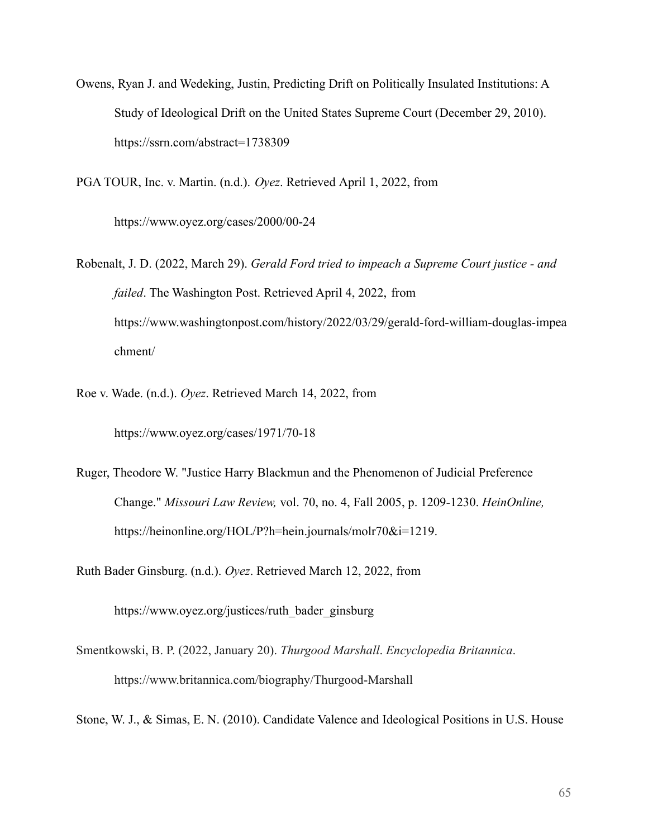Owens, Ryan J. and Wedeking, Justin, Predicting Drift on Politically Insulated Institutions: A Study of Ideological Drift on the United States Supreme Court (December 29, 2010). https://ssrn.com/abstract=1738309

PGA TOUR, Inc. v. Martin. (n.d.). *Oyez*. Retrieved April 1, 2022, from

https://www.oyez.org/cases/2000/00-24

- Robenalt, J. D. (2022, March 29). *Gerald Ford tried to impeach a Supreme Court justice and failed*. The Washington Post. Retrieved April 4, 2022, from https://www.washingtonpost.com/history/2022/03/29/gerald-ford-william-douglas-impea chment/
- Roe v. Wade. (n.d.). *Oyez*. Retrieved March 14, 2022, from

https://www.oyez.org/cases/1971/70-18

Ruger, Theodore W. "Justice Harry Blackmun and the Phenomenon of Judicial Preference Change." *Missouri Law Review,* vol. 70, no. 4, Fall 2005, p. 1209-1230. *HeinOnline,* https://heinonline.org/HOL/P?h=hein.journals/molr70&i=1219.

Ruth Bader Ginsburg. (n.d.). *Oyez*. Retrieved March 12, 2022, from

https://www.oyez.org/justices/ruth\_bader\_ginsburg

- Smentkowski, B. P. (2022, January 20). *Thurgood Marshall*. *Encyclopedia Britannica*. https://www.britannica.com/biography/Thurgood-Marshall
- Stone, W. J., & Simas, E. N. (2010). Candidate Valence and Ideological Positions in U.S. House